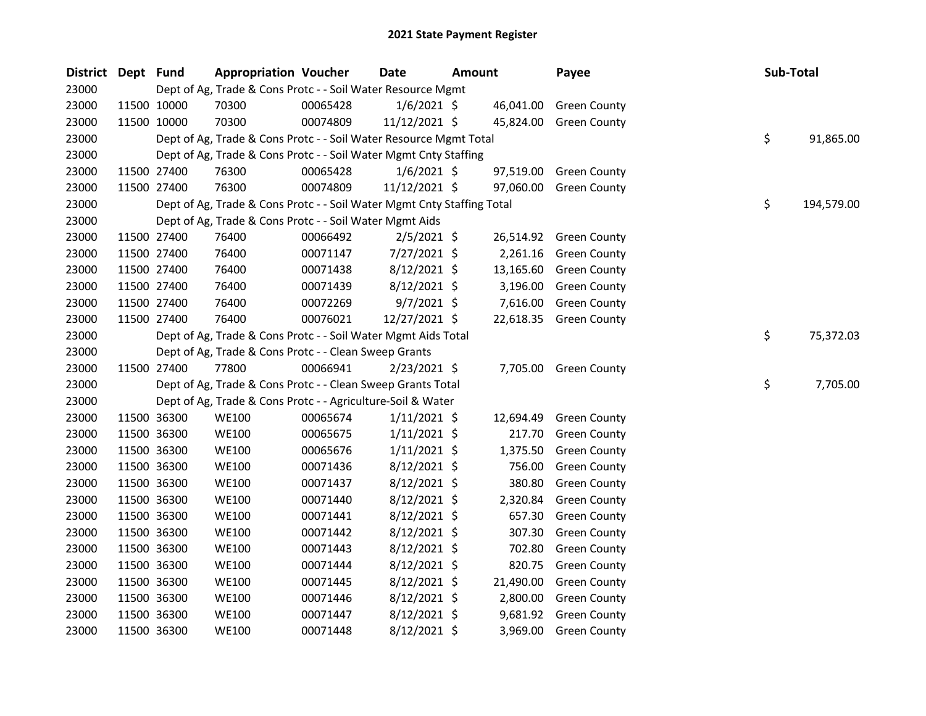| District Dept Fund |             | <b>Appropriation Voucher</b>                                           |          | <b>Date</b>    | <b>Amount</b> |           | Payee                  | Sub-Total |            |
|--------------------|-------------|------------------------------------------------------------------------|----------|----------------|---------------|-----------|------------------------|-----------|------------|
| 23000              |             | Dept of Ag, Trade & Cons Protc - - Soil Water Resource Mgmt            |          |                |               |           |                        |           |            |
| 23000              | 11500 10000 | 70300                                                                  | 00065428 | $1/6/2021$ \$  |               | 46,041.00 | <b>Green County</b>    |           |            |
| 23000              | 11500 10000 | 70300                                                                  | 00074809 | 11/12/2021 \$  |               |           | 45,824.00 Green County |           |            |
| 23000              |             | Dept of Ag, Trade & Cons Protc - - Soil Water Resource Mgmt Total      |          |                |               |           |                        | \$        | 91,865.00  |
| 23000              |             | Dept of Ag, Trade & Cons Protc - - Soil Water Mgmt Cnty Staffing       |          |                |               |           |                        |           |            |
| 23000              | 11500 27400 | 76300                                                                  | 00065428 | $1/6/2021$ \$  |               | 97,519.00 | Green County           |           |            |
| 23000              | 11500 27400 | 76300                                                                  | 00074809 | 11/12/2021 \$  |               | 97,060.00 | <b>Green County</b>    |           |            |
| 23000              |             | Dept of Ag, Trade & Cons Protc - - Soil Water Mgmt Cnty Staffing Total |          |                |               |           |                        | \$        | 194,579.00 |
| 23000              |             | Dept of Ag, Trade & Cons Protc - - Soil Water Mgmt Aids                |          |                |               |           |                        |           |            |
| 23000              | 11500 27400 | 76400                                                                  | 00066492 | $2/5/2021$ \$  |               | 26,514.92 | <b>Green County</b>    |           |            |
| 23000              | 11500 27400 | 76400                                                                  | 00071147 | 7/27/2021 \$   |               | 2,261.16  | <b>Green County</b>    |           |            |
| 23000              | 11500 27400 | 76400                                                                  | 00071438 | $8/12/2021$ \$ |               |           | 13,165.60 Green County |           |            |
| 23000              | 11500 27400 | 76400                                                                  | 00071439 | $8/12/2021$ \$ |               | 3,196.00  | <b>Green County</b>    |           |            |
| 23000              | 11500 27400 | 76400                                                                  | 00072269 | $9/7/2021$ \$  |               | 7,616.00  | <b>Green County</b>    |           |            |
| 23000              | 11500 27400 | 76400                                                                  | 00076021 | 12/27/2021 \$  |               | 22,618.35 | <b>Green County</b>    |           |            |
| 23000              |             | Dept of Ag, Trade & Cons Protc - - Soil Water Mgmt Aids Total          |          |                |               |           |                        | \$        | 75,372.03  |
| 23000              |             | Dept of Ag, Trade & Cons Protc - - Clean Sweep Grants                  |          |                |               |           |                        |           |            |
| 23000              | 11500 27400 | 77800                                                                  | 00066941 | $2/23/2021$ \$ |               |           | 7,705.00 Green County  |           |            |
| 23000              |             | Dept of Ag, Trade & Cons Protc - - Clean Sweep Grants Total            |          |                |               |           |                        | \$        | 7,705.00   |
| 23000              |             | Dept of Ag, Trade & Cons Protc - - Agriculture-Soil & Water            |          |                |               |           |                        |           |            |
| 23000              | 11500 36300 | <b>WE100</b>                                                           | 00065674 | $1/11/2021$ \$ |               | 12,694.49 | <b>Green County</b>    |           |            |
| 23000              | 11500 36300 | <b>WE100</b>                                                           | 00065675 | $1/11/2021$ \$ |               | 217.70    | <b>Green County</b>    |           |            |
| 23000              | 11500 36300 | <b>WE100</b>                                                           | 00065676 | $1/11/2021$ \$ |               | 1,375.50  | <b>Green County</b>    |           |            |
| 23000              | 11500 36300 | <b>WE100</b>                                                           | 00071436 | $8/12/2021$ \$ |               | 756.00    | <b>Green County</b>    |           |            |
| 23000              | 11500 36300 | <b>WE100</b>                                                           | 00071437 | $8/12/2021$ \$ |               | 380.80    | <b>Green County</b>    |           |            |
| 23000              | 11500 36300 | <b>WE100</b>                                                           | 00071440 | $8/12/2021$ \$ |               | 2,320.84  | <b>Green County</b>    |           |            |
| 23000              | 11500 36300 | <b>WE100</b>                                                           | 00071441 | $8/12/2021$ \$ |               | 657.30    | <b>Green County</b>    |           |            |
| 23000              | 11500 36300 | <b>WE100</b>                                                           | 00071442 | $8/12/2021$ \$ |               | 307.30    | <b>Green County</b>    |           |            |
| 23000              | 11500 36300 | <b>WE100</b>                                                           | 00071443 | 8/12/2021 \$   |               | 702.80    | <b>Green County</b>    |           |            |
| 23000              | 11500 36300 | <b>WE100</b>                                                           | 00071444 | $8/12/2021$ \$ |               | 820.75    | <b>Green County</b>    |           |            |
| 23000              | 11500 36300 | <b>WE100</b>                                                           | 00071445 | $8/12/2021$ \$ |               | 21,490.00 | <b>Green County</b>    |           |            |
| 23000              | 11500 36300 | <b>WE100</b>                                                           | 00071446 | $8/12/2021$ \$ |               | 2,800.00  | <b>Green County</b>    |           |            |
| 23000              | 11500 36300 | <b>WE100</b>                                                           | 00071447 | $8/12/2021$ \$ |               | 9,681.92  | <b>Green County</b>    |           |            |
| 23000              | 11500 36300 | <b>WE100</b>                                                           | 00071448 | 8/12/2021 \$   |               | 3,969.00  | <b>Green County</b>    |           |            |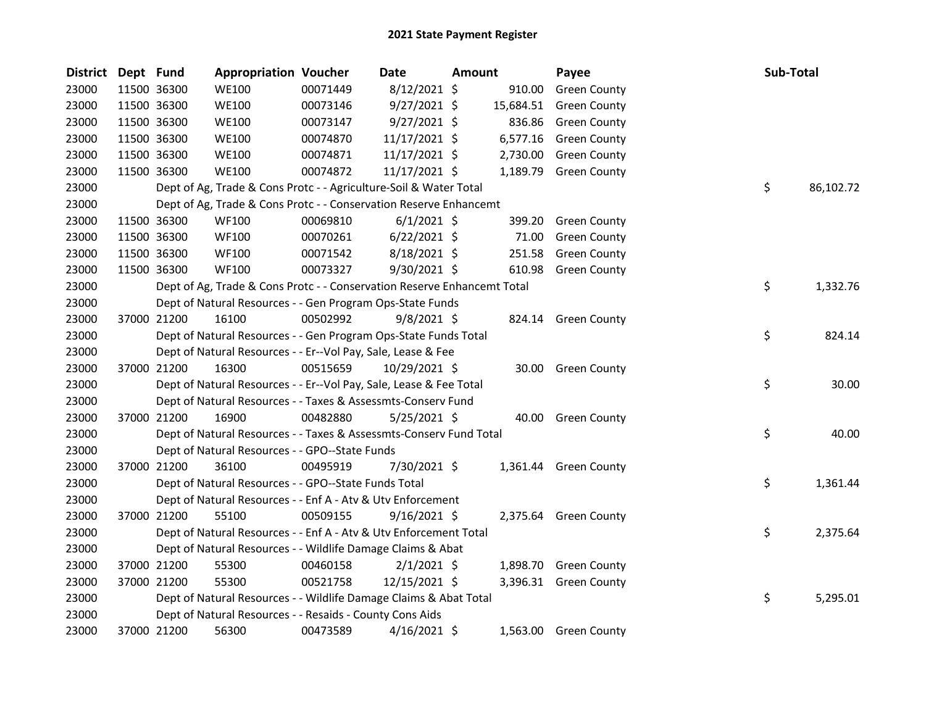| District Dept Fund |             | <b>Appropriation Voucher</b>                                            |          | Date           | Amount |           | Payee                 | Sub-Total |           |
|--------------------|-------------|-------------------------------------------------------------------------|----------|----------------|--------|-----------|-----------------------|-----------|-----------|
| 23000              | 11500 36300 | <b>WE100</b>                                                            | 00071449 | 8/12/2021 \$   |        | 910.00    | <b>Green County</b>   |           |           |
| 23000              | 11500 36300 | <b>WE100</b>                                                            | 00073146 | $9/27/2021$ \$ |        | 15,684.51 | <b>Green County</b>   |           |           |
| 23000              | 11500 36300 | <b>WE100</b>                                                            | 00073147 | $9/27/2021$ \$ |        | 836.86    | <b>Green County</b>   |           |           |
| 23000              | 11500 36300 | <b>WE100</b>                                                            | 00074870 | 11/17/2021 \$  |        | 6,577.16  | <b>Green County</b>   |           |           |
| 23000              | 11500 36300 | <b>WE100</b>                                                            | 00074871 | 11/17/2021 \$  |        | 2,730.00  | <b>Green County</b>   |           |           |
| 23000              | 11500 36300 | <b>WE100</b>                                                            | 00074872 | 11/17/2021 \$  |        |           | 1,189.79 Green County |           |           |
| 23000              |             | Dept of Ag, Trade & Cons Protc - - Agriculture-Soil & Water Total       |          |                |        |           |                       | \$        | 86,102.72 |
| 23000              |             | Dept of Ag, Trade & Cons Protc - - Conservation Reserve Enhancemt       |          |                |        |           |                       |           |           |
| 23000              | 11500 36300 | <b>WF100</b>                                                            | 00069810 | $6/1/2021$ \$  |        | 399.20    | <b>Green County</b>   |           |           |
| 23000              | 11500 36300 | <b>WF100</b>                                                            | 00070261 | $6/22/2021$ \$ |        | 71.00     | <b>Green County</b>   |           |           |
| 23000              | 11500 36300 | <b>WF100</b>                                                            | 00071542 | 8/18/2021 \$   |        | 251.58    | <b>Green County</b>   |           |           |
| 23000              | 11500 36300 | <b>WF100</b>                                                            | 00073327 | 9/30/2021 \$   |        | 610.98    | <b>Green County</b>   |           |           |
| 23000              |             | Dept of Ag, Trade & Cons Protc - - Conservation Reserve Enhancemt Total |          |                |        |           |                       | \$        | 1,332.76  |
| 23000              |             | Dept of Natural Resources - - Gen Program Ops-State Funds               |          |                |        |           |                       |           |           |
| 23000              | 37000 21200 | 16100                                                                   | 00502992 | $9/8/2021$ \$  |        |           | 824.14 Green County   |           |           |
| 23000              |             | Dept of Natural Resources - - Gen Program Ops-State Funds Total         |          |                |        |           |                       | \$        | 824.14    |
| 23000              |             | Dept of Natural Resources - - Er--Vol Pay, Sale, Lease & Fee            |          |                |        |           |                       |           |           |
| 23000              | 37000 21200 | 16300                                                                   | 00515659 | 10/29/2021 \$  |        |           | 30.00 Green County    |           |           |
| 23000              |             | Dept of Natural Resources - - Er--Vol Pay, Sale, Lease & Fee Total      |          |                |        |           |                       | \$        | 30.00     |
| 23000              |             | Dept of Natural Resources - - Taxes & Assessmts-Conserv Fund            |          |                |        |           |                       |           |           |
| 23000              | 37000 21200 | 16900                                                                   | 00482880 | $5/25/2021$ \$ |        | 40.00     | <b>Green County</b>   |           |           |
| 23000              |             | Dept of Natural Resources - - Taxes & Assessmts-Conserv Fund Total      |          |                |        |           |                       | \$        | 40.00     |
| 23000              |             | Dept of Natural Resources - - GPO--State Funds                          |          |                |        |           |                       |           |           |
| 23000              | 37000 21200 | 36100                                                                   | 00495919 | 7/30/2021 \$   |        |           | 1,361.44 Green County |           |           |
| 23000              |             | Dept of Natural Resources - - GPO--State Funds Total                    |          |                |        |           |                       | \$        | 1,361.44  |
| 23000              |             | Dept of Natural Resources - - Enf A - Atv & Utv Enforcement             |          |                |        |           |                       |           |           |
| 23000              | 37000 21200 | 55100                                                                   | 00509155 | $9/16/2021$ \$ |        |           | 2,375.64 Green County |           |           |
| 23000              |             | Dept of Natural Resources - - Enf A - Atv & Utv Enforcement Total       |          |                |        |           |                       | \$        | 2,375.64  |
| 23000              |             | Dept of Natural Resources - - Wildlife Damage Claims & Abat             |          |                |        |           |                       |           |           |
| 23000              | 37000 21200 | 55300                                                                   | 00460158 | $2/1/2021$ \$  |        |           | 1,898.70 Green County |           |           |
| 23000              | 37000 21200 | 55300                                                                   | 00521758 | 12/15/2021 \$  |        |           | 3,396.31 Green County |           |           |
| 23000              |             | Dept of Natural Resources - - Wildlife Damage Claims & Abat Total       |          |                |        |           |                       | \$        | 5,295.01  |
| 23000              |             | Dept of Natural Resources - - Resaids - County Cons Aids                |          |                |        |           |                       |           |           |
| 23000              | 37000 21200 | 56300                                                                   | 00473589 | $4/16/2021$ \$ |        |           | 1,563.00 Green County |           |           |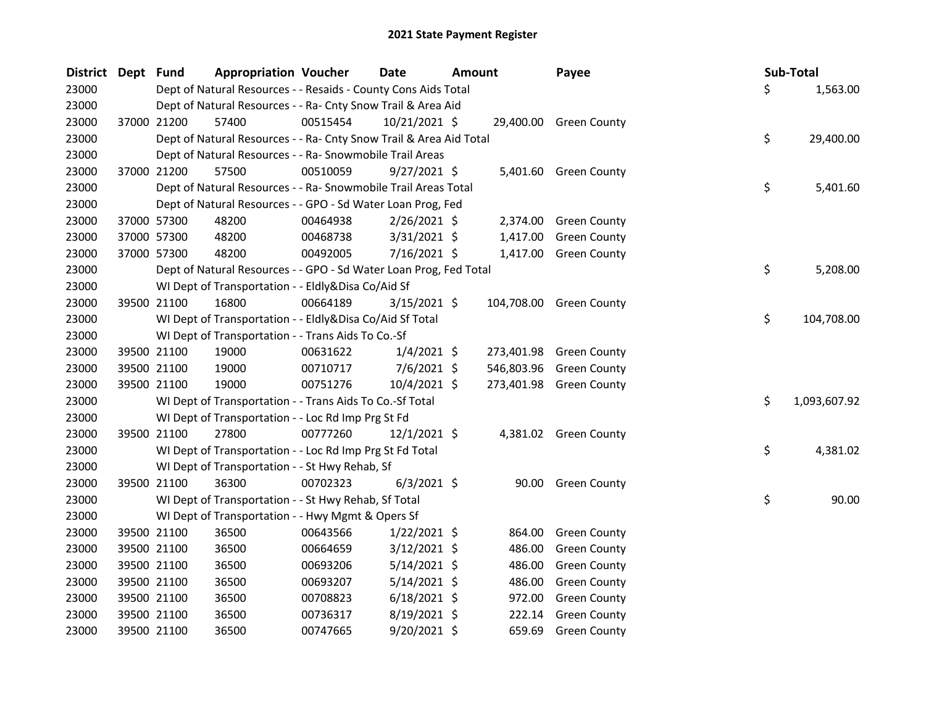| District Dept Fund |             | <b>Appropriation Voucher</b>                                       |          | <b>Date</b>    | <b>Amount</b> |            | Payee                   |     | Sub-Total    |
|--------------------|-------------|--------------------------------------------------------------------|----------|----------------|---------------|------------|-------------------------|-----|--------------|
| 23000              |             | Dept of Natural Resources - - Resaids - County Cons Aids Total     |          |                |               |            |                         | \$. | 1,563.00     |
| 23000              |             | Dept of Natural Resources - - Ra- Cnty Snow Trail & Area Aid       |          |                |               |            |                         |     |              |
| 23000              | 37000 21200 | 57400                                                              | 00515454 | 10/21/2021 \$  |               |            | 29,400.00 Green County  |     |              |
| 23000              |             | Dept of Natural Resources - - Ra- Cnty Snow Trail & Area Aid Total |          |                |               |            |                         | \$  | 29,400.00    |
| 23000              |             | Dept of Natural Resources - - Ra- Snowmobile Trail Areas           |          |                |               |            |                         |     |              |
| 23000              | 37000 21200 | 57500                                                              | 00510059 | $9/27/2021$ \$ |               |            | 5,401.60 Green County   |     |              |
| 23000              |             | Dept of Natural Resources - - Ra- Snowmobile Trail Areas Total     |          |                |               |            |                         | \$  | 5,401.60     |
| 23000              |             | Dept of Natural Resources - - GPO - Sd Water Loan Prog, Fed        |          |                |               |            |                         |     |              |
| 23000              | 37000 57300 | 48200                                                              | 00464938 | $2/26/2021$ \$ |               | 2,374.00   | <b>Green County</b>     |     |              |
| 23000              | 37000 57300 | 48200                                                              | 00468738 | 3/31/2021 \$   |               | 1,417.00   | <b>Green County</b>     |     |              |
| 23000              | 37000 57300 | 48200                                                              | 00492005 | 7/16/2021 \$   |               |            | 1,417.00 Green County   |     |              |
| 23000              |             | Dept of Natural Resources - - GPO - Sd Water Loan Prog, Fed Total  |          |                |               |            |                         | \$  | 5,208.00     |
| 23000              |             | WI Dept of Transportation - - Eldly&Disa Co/Aid Sf                 |          |                |               |            |                         |     |              |
| 23000              | 39500 21100 | 16800                                                              | 00664189 | $3/15/2021$ \$ |               |            | 104,708.00 Green County |     |              |
| 23000              |             | WI Dept of Transportation - - Eldly&Disa Co/Aid Sf Total           |          |                |               |            |                         | \$  | 104,708.00   |
| 23000              |             | WI Dept of Transportation - - Trans Aids To Co.-Sf                 |          |                |               |            |                         |     |              |
| 23000              | 39500 21100 | 19000                                                              | 00631622 | $1/4/2021$ \$  |               |            | 273,401.98 Green County |     |              |
| 23000              | 39500 21100 | 19000                                                              | 00710717 | $7/6/2021$ \$  |               | 546,803.96 | <b>Green County</b>     |     |              |
| 23000              | 39500 21100 | 19000                                                              | 00751276 | 10/4/2021 \$   |               |            | 273,401.98 Green County |     |              |
| 23000              |             | WI Dept of Transportation - - Trans Aids To Co.-Sf Total           |          |                |               |            |                         | \$  | 1,093,607.92 |
| 23000              |             | WI Dept of Transportation - - Loc Rd Imp Prg St Fd                 |          |                |               |            |                         |     |              |
| 23000              | 39500 21100 | 27800                                                              | 00777260 | $12/1/2021$ \$ |               |            | 4,381.02 Green County   |     |              |
| 23000              |             | WI Dept of Transportation - - Loc Rd Imp Prg St Fd Total           |          |                |               |            |                         | \$  | 4,381.02     |
| 23000              |             | WI Dept of Transportation - - St Hwy Rehab, Sf                     |          |                |               |            |                         |     |              |
| 23000              | 39500 21100 | 36300                                                              | 00702323 | $6/3/2021$ \$  |               | 90.00      | <b>Green County</b>     |     |              |
| 23000              |             | WI Dept of Transportation - - St Hwy Rehab, Sf Total               |          |                |               |            |                         | \$  | 90.00        |
| 23000              |             | WI Dept of Transportation - - Hwy Mgmt & Opers Sf                  |          |                |               |            |                         |     |              |
| 23000              | 39500 21100 | 36500                                                              | 00643566 | $1/22/2021$ \$ |               | 864.00     | <b>Green County</b>     |     |              |
| 23000              | 39500 21100 | 36500                                                              | 00664659 | $3/12/2021$ \$ |               | 486.00     | <b>Green County</b>     |     |              |
| 23000              | 39500 21100 | 36500                                                              | 00693206 | 5/14/2021 \$   |               | 486.00     | <b>Green County</b>     |     |              |
| 23000              | 39500 21100 | 36500                                                              | 00693207 | $5/14/2021$ \$ |               | 486.00     | <b>Green County</b>     |     |              |
| 23000              | 39500 21100 | 36500                                                              | 00708823 | $6/18/2021$ \$ |               | 972.00     | <b>Green County</b>     |     |              |
| 23000              | 39500 21100 | 36500                                                              | 00736317 | 8/19/2021 \$   |               | 222.14     | <b>Green County</b>     |     |              |
| 23000              | 39500 21100 | 36500                                                              | 00747665 | 9/20/2021 \$   |               | 659.69     | <b>Green County</b>     |     |              |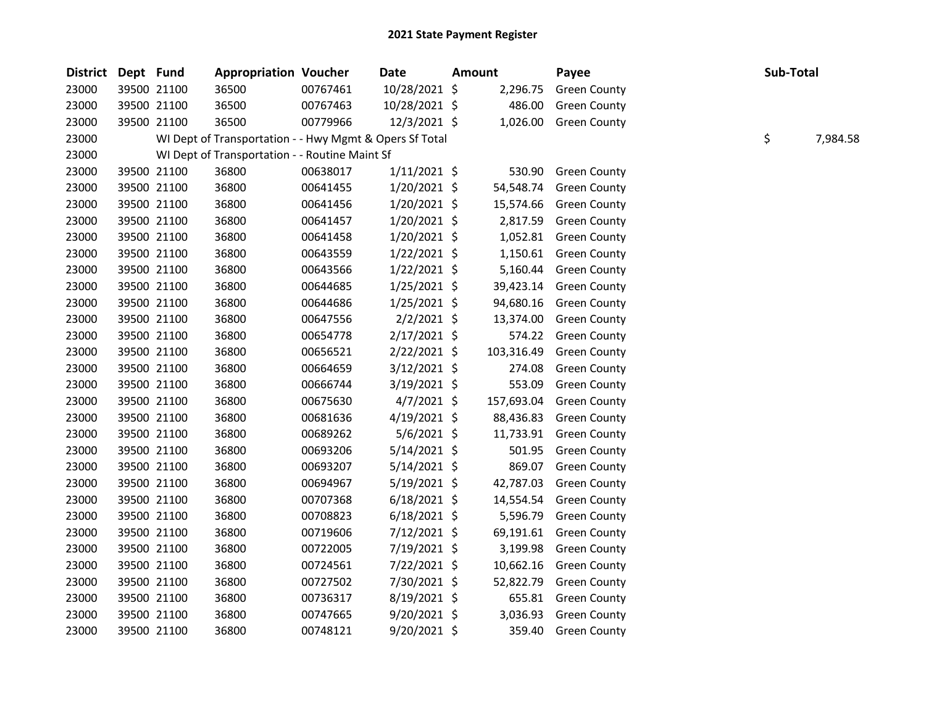| <b>District</b> | Dept Fund |             | <b>Appropriation Voucher</b>                            |          | <b>Date</b>    | Amount     | Payee               | Sub-Total |          |
|-----------------|-----------|-------------|---------------------------------------------------------|----------|----------------|------------|---------------------|-----------|----------|
| 23000           |           | 39500 21100 | 36500                                                   | 00767461 | 10/28/2021 \$  | 2,296.75   | <b>Green County</b> |           |          |
| 23000           |           | 39500 21100 | 36500                                                   | 00767463 | 10/28/2021 \$  | 486.00     | <b>Green County</b> |           |          |
| 23000           |           | 39500 21100 | 36500                                                   | 00779966 | $12/3/2021$ \$ | 1,026.00   | <b>Green County</b> |           |          |
| 23000           |           |             | WI Dept of Transportation - - Hwy Mgmt & Opers Sf Total |          |                |            |                     | \$        | 7,984.58 |
| 23000           |           |             | WI Dept of Transportation - - Routine Maint Sf          |          |                |            |                     |           |          |
| 23000           |           | 39500 21100 | 36800                                                   | 00638017 | $1/11/2021$ \$ | 530.90     | <b>Green County</b> |           |          |
| 23000           |           | 39500 21100 | 36800                                                   | 00641455 | $1/20/2021$ \$ | 54,548.74  | <b>Green County</b> |           |          |
| 23000           |           | 39500 21100 | 36800                                                   | 00641456 | 1/20/2021 \$   | 15,574.66  | <b>Green County</b> |           |          |
| 23000           |           | 39500 21100 | 36800                                                   | 00641457 | $1/20/2021$ \$ | 2,817.59   | <b>Green County</b> |           |          |
| 23000           |           | 39500 21100 | 36800                                                   | 00641458 | $1/20/2021$ \$ | 1,052.81   | <b>Green County</b> |           |          |
| 23000           |           | 39500 21100 | 36800                                                   | 00643559 | $1/22/2021$ \$ | 1,150.61   | <b>Green County</b> |           |          |
| 23000           |           | 39500 21100 | 36800                                                   | 00643566 | $1/22/2021$ \$ | 5,160.44   | <b>Green County</b> |           |          |
| 23000           |           | 39500 21100 | 36800                                                   | 00644685 | 1/25/2021 \$   | 39,423.14  | <b>Green County</b> |           |          |
| 23000           |           | 39500 21100 | 36800                                                   | 00644686 | $1/25/2021$ \$ | 94,680.16  | <b>Green County</b> |           |          |
| 23000           |           | 39500 21100 | 36800                                                   | 00647556 | $2/2/2021$ \$  | 13,374.00  | <b>Green County</b> |           |          |
| 23000           |           | 39500 21100 | 36800                                                   | 00654778 | 2/17/2021 \$   | 574.22     | <b>Green County</b> |           |          |
| 23000           |           | 39500 21100 | 36800                                                   | 00656521 | $2/22/2021$ \$ | 103,316.49 | <b>Green County</b> |           |          |
| 23000           |           | 39500 21100 | 36800                                                   | 00664659 | 3/12/2021 \$   | 274.08     | <b>Green County</b> |           |          |
| 23000           |           | 39500 21100 | 36800                                                   | 00666744 | $3/19/2021$ \$ | 553.09     | <b>Green County</b> |           |          |
| 23000           |           | 39500 21100 | 36800                                                   | 00675630 | $4/7/2021$ \$  | 157,693.04 | <b>Green County</b> |           |          |
| 23000           |           | 39500 21100 | 36800                                                   | 00681636 | $4/19/2021$ \$ | 88,436.83  | <b>Green County</b> |           |          |
| 23000           |           | 39500 21100 | 36800                                                   | 00689262 | $5/6/2021$ \$  | 11,733.91  | <b>Green County</b> |           |          |
| 23000           |           | 39500 21100 | 36800                                                   | 00693206 | 5/14/2021 \$   | 501.95     | <b>Green County</b> |           |          |
| 23000           |           | 39500 21100 | 36800                                                   | 00693207 | $5/14/2021$ \$ | 869.07     | <b>Green County</b> |           |          |
| 23000           |           | 39500 21100 | 36800                                                   | 00694967 | $5/19/2021$ \$ | 42,787.03  | <b>Green County</b> |           |          |
| 23000           |           | 39500 21100 | 36800                                                   | 00707368 | $6/18/2021$ \$ | 14,554.54  | <b>Green County</b> |           |          |
| 23000           |           | 39500 21100 | 36800                                                   | 00708823 | $6/18/2021$ \$ | 5,596.79   | <b>Green County</b> |           |          |
| 23000           |           | 39500 21100 | 36800                                                   | 00719606 | 7/12/2021 \$   | 69,191.61  | <b>Green County</b> |           |          |
| 23000           |           | 39500 21100 | 36800                                                   | 00722005 | 7/19/2021 \$   | 3,199.98   | <b>Green County</b> |           |          |
| 23000           |           | 39500 21100 | 36800                                                   | 00724561 | 7/22/2021 \$   | 10,662.16  | <b>Green County</b> |           |          |
| 23000           |           | 39500 21100 | 36800                                                   | 00727502 | 7/30/2021 \$   | 52,822.79  | <b>Green County</b> |           |          |
| 23000           |           | 39500 21100 | 36800                                                   | 00736317 | $8/19/2021$ \$ | 655.81     | <b>Green County</b> |           |          |
| 23000           |           | 39500 21100 | 36800                                                   | 00747665 | $9/20/2021$ \$ | 3,036.93   | <b>Green County</b> |           |          |
| 23000           |           | 39500 21100 | 36800                                                   | 00748121 | 9/20/2021 \$   | 359.40     | <b>Green County</b> |           |          |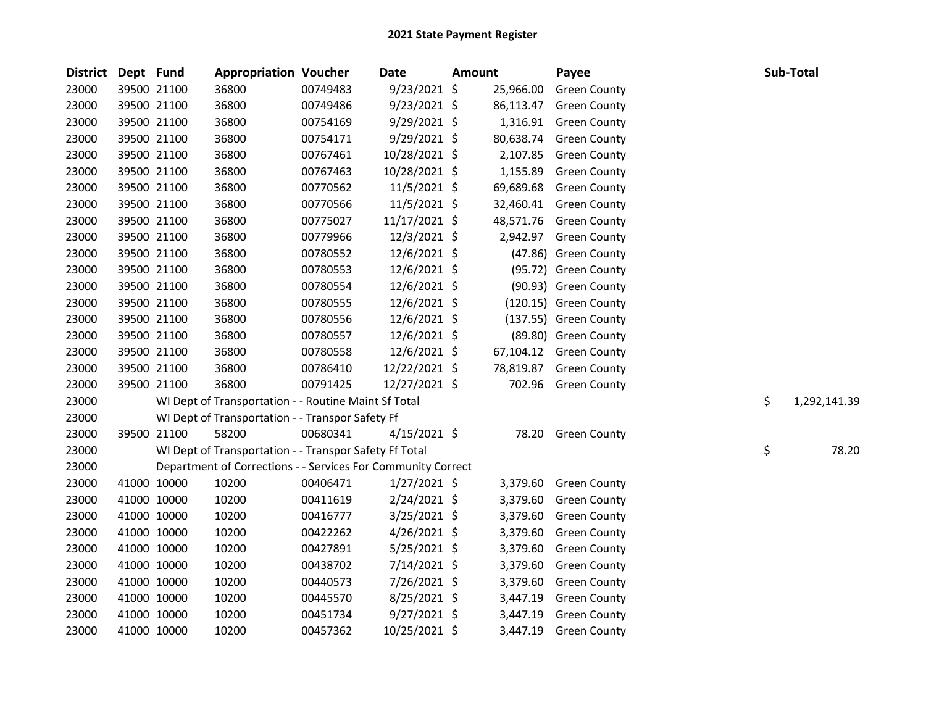| <b>District</b> | Dept Fund |             | <b>Appropriation Voucher</b>                                 |          | <b>Date</b>    | <b>Amount</b> |           | Payee                 | Sub-Total          |  |
|-----------------|-----------|-------------|--------------------------------------------------------------|----------|----------------|---------------|-----------|-----------------------|--------------------|--|
| 23000           |           | 39500 21100 | 36800                                                        | 00749483 | 9/23/2021 \$   |               | 25,966.00 | <b>Green County</b>   |                    |  |
| 23000           |           | 39500 21100 | 36800                                                        | 00749486 | $9/23/2021$ \$ |               | 86,113.47 | <b>Green County</b>   |                    |  |
| 23000           |           | 39500 21100 | 36800                                                        | 00754169 | 9/29/2021 \$   |               | 1,316.91  | <b>Green County</b>   |                    |  |
| 23000           |           | 39500 21100 | 36800                                                        | 00754171 | $9/29/2021$ \$ |               | 80,638.74 | <b>Green County</b>   |                    |  |
| 23000           |           | 39500 21100 | 36800                                                        | 00767461 | 10/28/2021 \$  |               | 2,107.85  | <b>Green County</b>   |                    |  |
| 23000           |           | 39500 21100 | 36800                                                        | 00767463 | 10/28/2021 \$  |               | 1,155.89  | <b>Green County</b>   |                    |  |
| 23000           |           | 39500 21100 | 36800                                                        | 00770562 | 11/5/2021 \$   |               | 69,689.68 | <b>Green County</b>   |                    |  |
| 23000           |           | 39500 21100 | 36800                                                        | 00770566 | $11/5/2021$ \$ |               | 32,460.41 | <b>Green County</b>   |                    |  |
| 23000           |           | 39500 21100 | 36800                                                        | 00775027 | 11/17/2021 \$  |               | 48,571.76 | <b>Green County</b>   |                    |  |
| 23000           |           | 39500 21100 | 36800                                                        | 00779966 | 12/3/2021 \$   |               | 2,942.97  | <b>Green County</b>   |                    |  |
| 23000           |           | 39500 21100 | 36800                                                        | 00780552 | 12/6/2021 \$   |               |           | (47.86) Green County  |                    |  |
| 23000           |           | 39500 21100 | 36800                                                        | 00780553 | 12/6/2021 \$   |               |           | (95.72) Green County  |                    |  |
| 23000           |           | 39500 21100 | 36800                                                        | 00780554 | $12/6/2021$ \$ |               |           | (90.93) Green County  |                    |  |
| 23000           |           | 39500 21100 | 36800                                                        | 00780555 | $12/6/2021$ \$ |               |           | (120.15) Green County |                    |  |
| 23000           |           | 39500 21100 | 36800                                                        | 00780556 | 12/6/2021 \$   |               |           | (137.55) Green County |                    |  |
| 23000           |           | 39500 21100 | 36800                                                        | 00780557 | 12/6/2021 \$   |               |           | (89.80) Green County  |                    |  |
| 23000           |           | 39500 21100 | 36800                                                        | 00780558 | $12/6/2021$ \$ |               | 67,104.12 | <b>Green County</b>   |                    |  |
| 23000           |           | 39500 21100 | 36800                                                        | 00786410 | 12/22/2021 \$  |               | 78,819.87 | <b>Green County</b>   |                    |  |
| 23000           |           | 39500 21100 | 36800                                                        | 00791425 | 12/27/2021 \$  |               | 702.96    | <b>Green County</b>   |                    |  |
| 23000           |           |             | WI Dept of Transportation - - Routine Maint Sf Total         |          |                |               |           |                       | \$<br>1,292,141.39 |  |
| 23000           |           |             | WI Dept of Transportation - - Transpor Safety Ff             |          |                |               |           |                       |                    |  |
| 23000           |           | 39500 21100 | 58200                                                        | 00680341 | $4/15/2021$ \$ |               | 78.20     | <b>Green County</b>   |                    |  |
| 23000           |           |             | WI Dept of Transportation - - Transpor Safety Ff Total       |          |                |               |           |                       | \$<br>78.20        |  |
| 23000           |           |             | Department of Corrections - - Services For Community Correct |          |                |               |           |                       |                    |  |
| 23000           |           | 41000 10000 | 10200                                                        | 00406471 | $1/27/2021$ \$ |               | 3,379.60  | <b>Green County</b>   |                    |  |
| 23000           |           | 41000 10000 | 10200                                                        | 00411619 | 2/24/2021 \$   |               | 3,379.60  | <b>Green County</b>   |                    |  |
| 23000           |           | 41000 10000 | 10200                                                        | 00416777 | 3/25/2021 \$   |               | 3,379.60  | <b>Green County</b>   |                    |  |
| 23000           |           | 41000 10000 | 10200                                                        | 00422262 | $4/26/2021$ \$ |               | 3,379.60  | <b>Green County</b>   |                    |  |
| 23000           |           | 41000 10000 | 10200                                                        | 00427891 | $5/25/2021$ \$ |               | 3,379.60  | <b>Green County</b>   |                    |  |
| 23000           |           | 41000 10000 | 10200                                                        | 00438702 | 7/14/2021 \$   |               | 3,379.60  | <b>Green County</b>   |                    |  |
| 23000           |           | 41000 10000 | 10200                                                        | 00440573 | 7/26/2021 \$   |               | 3,379.60  | <b>Green County</b>   |                    |  |
| 23000           |           | 41000 10000 | 10200                                                        | 00445570 | 8/25/2021 \$   |               | 3,447.19  | <b>Green County</b>   |                    |  |
| 23000           |           | 41000 10000 | 10200                                                        | 00451734 | $9/27/2021$ \$ |               | 3,447.19  | <b>Green County</b>   |                    |  |
| 23000           |           | 41000 10000 | 10200                                                        | 00457362 | 10/25/2021 \$  |               | 3,447.19  | <b>Green County</b>   |                    |  |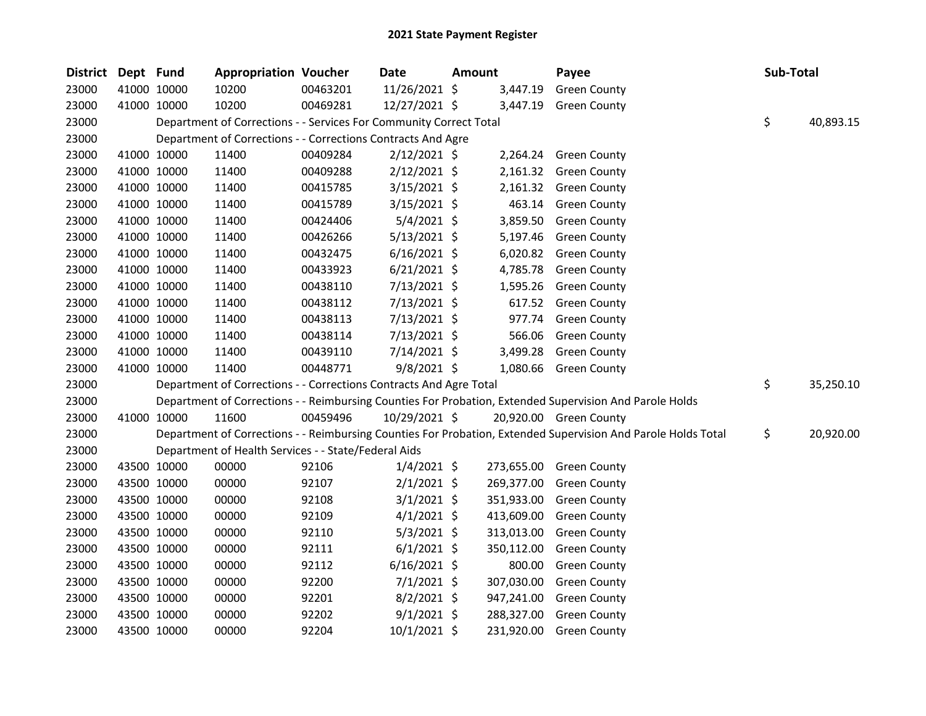| District | Dept Fund |             | <b>Appropriation Voucher</b>                                       |          | <b>Date</b>    | Amount |            | Payee                                                                                                         | Sub-Total |           |
|----------|-----------|-------------|--------------------------------------------------------------------|----------|----------------|--------|------------|---------------------------------------------------------------------------------------------------------------|-----------|-----------|
| 23000    |           | 41000 10000 | 10200                                                              | 00463201 | 11/26/2021 \$  |        | 3,447.19   | <b>Green County</b>                                                                                           |           |           |
| 23000    |           | 41000 10000 | 10200                                                              | 00469281 | 12/27/2021 \$  |        | 3,447.19   | <b>Green County</b>                                                                                           |           |           |
| 23000    |           |             | Department of Corrections - - Services For Community Correct Total |          |                |        |            |                                                                                                               | \$        | 40,893.15 |
| 23000    |           |             | Department of Corrections - - Corrections Contracts And Agre       |          |                |        |            |                                                                                                               |           |           |
| 23000    |           | 41000 10000 | 11400                                                              | 00409284 | $2/12/2021$ \$ |        |            | 2,264.24 Green County                                                                                         |           |           |
| 23000    |           | 41000 10000 | 11400                                                              | 00409288 | $2/12/2021$ \$ |        |            | 2,161.32 Green County                                                                                         |           |           |
| 23000    |           | 41000 10000 | 11400                                                              | 00415785 | $3/15/2021$ \$ |        |            | 2,161.32 Green County                                                                                         |           |           |
| 23000    |           | 41000 10000 | 11400                                                              | 00415789 | $3/15/2021$ \$ |        |            | 463.14 Green County                                                                                           |           |           |
| 23000    |           | 41000 10000 | 11400                                                              | 00424406 | $5/4/2021$ \$  |        | 3,859.50   | <b>Green County</b>                                                                                           |           |           |
| 23000    |           | 41000 10000 | 11400                                                              | 00426266 | $5/13/2021$ \$ |        | 5,197.46   | <b>Green County</b>                                                                                           |           |           |
| 23000    |           | 41000 10000 | 11400                                                              | 00432475 | $6/16/2021$ \$ |        |            | 6,020.82 Green County                                                                                         |           |           |
| 23000    |           | 41000 10000 | 11400                                                              | 00433923 | $6/21/2021$ \$ |        | 4,785.78   | <b>Green County</b>                                                                                           |           |           |
| 23000    |           | 41000 10000 | 11400                                                              | 00438110 | 7/13/2021 \$   |        | 1,595.26   | <b>Green County</b>                                                                                           |           |           |
| 23000    |           | 41000 10000 | 11400                                                              | 00438112 | 7/13/2021 \$   |        | 617.52     | <b>Green County</b>                                                                                           |           |           |
| 23000    |           | 41000 10000 | 11400                                                              | 00438113 | 7/13/2021 \$   |        | 977.74     | <b>Green County</b>                                                                                           |           |           |
| 23000    |           | 41000 10000 | 11400                                                              | 00438114 | 7/13/2021 \$   |        | 566.06     | <b>Green County</b>                                                                                           |           |           |
| 23000    |           | 41000 10000 | 11400                                                              | 00439110 | 7/14/2021 \$   |        | 3,499.28   | <b>Green County</b>                                                                                           |           |           |
| 23000    |           | 41000 10000 | 11400                                                              | 00448771 | $9/8/2021$ \$  |        |            | 1,080.66 Green County                                                                                         |           |           |
| 23000    |           |             | Department of Corrections - - Corrections Contracts And Agre Total |          |                |        |            |                                                                                                               | \$        | 35,250.10 |
| 23000    |           |             |                                                                    |          |                |        |            | Department of Corrections - - Reimbursing Counties For Probation, Extended Supervision And Parole Holds       |           |           |
| 23000    |           | 41000 10000 | 11600                                                              | 00459496 | 10/29/2021 \$  |        |            | 20,920.00 Green County                                                                                        |           |           |
| 23000    |           |             |                                                                    |          |                |        |            | Department of Corrections - - Reimbursing Counties For Probation, Extended Supervision And Parole Holds Total | \$        | 20,920.00 |
| 23000    |           |             | Department of Health Services - - State/Federal Aids               |          |                |        |            |                                                                                                               |           |           |
| 23000    |           | 43500 10000 | 00000                                                              | 92106    | $1/4/2021$ \$  |        | 273,655.00 | <b>Green County</b>                                                                                           |           |           |
| 23000    |           | 43500 10000 | 00000                                                              | 92107    | $2/1/2021$ \$  |        | 269,377.00 | <b>Green County</b>                                                                                           |           |           |
| 23000    |           | 43500 10000 | 00000                                                              | 92108    | $3/1/2021$ \$  |        | 351,933.00 | <b>Green County</b>                                                                                           |           |           |
| 23000    |           | 43500 10000 | 00000                                                              | 92109    | $4/1/2021$ \$  |        | 413,609.00 | <b>Green County</b>                                                                                           |           |           |
| 23000    |           | 43500 10000 | 00000                                                              | 92110    | $5/3/2021$ \$  |        | 313,013.00 | <b>Green County</b>                                                                                           |           |           |
| 23000    |           | 43500 10000 | 00000                                                              | 92111    | $6/1/2021$ \$  |        | 350,112.00 | <b>Green County</b>                                                                                           |           |           |
| 23000    |           | 43500 10000 | 00000                                                              | 92112    | $6/16/2021$ \$ |        | 800.00     | <b>Green County</b>                                                                                           |           |           |
| 23000    |           | 43500 10000 | 00000                                                              | 92200    | $7/1/2021$ \$  |        | 307,030.00 | <b>Green County</b>                                                                                           |           |           |
| 23000    |           | 43500 10000 | 00000                                                              | 92201    | $8/2/2021$ \$  |        | 947,241.00 | <b>Green County</b>                                                                                           |           |           |
| 23000    |           | 43500 10000 | 00000                                                              | 92202    | $9/1/2021$ \$  |        | 288,327.00 | <b>Green County</b>                                                                                           |           |           |
| 23000    |           | 43500 10000 | 00000                                                              | 92204    | 10/1/2021 \$   |        | 231,920.00 | <b>Green County</b>                                                                                           |           |           |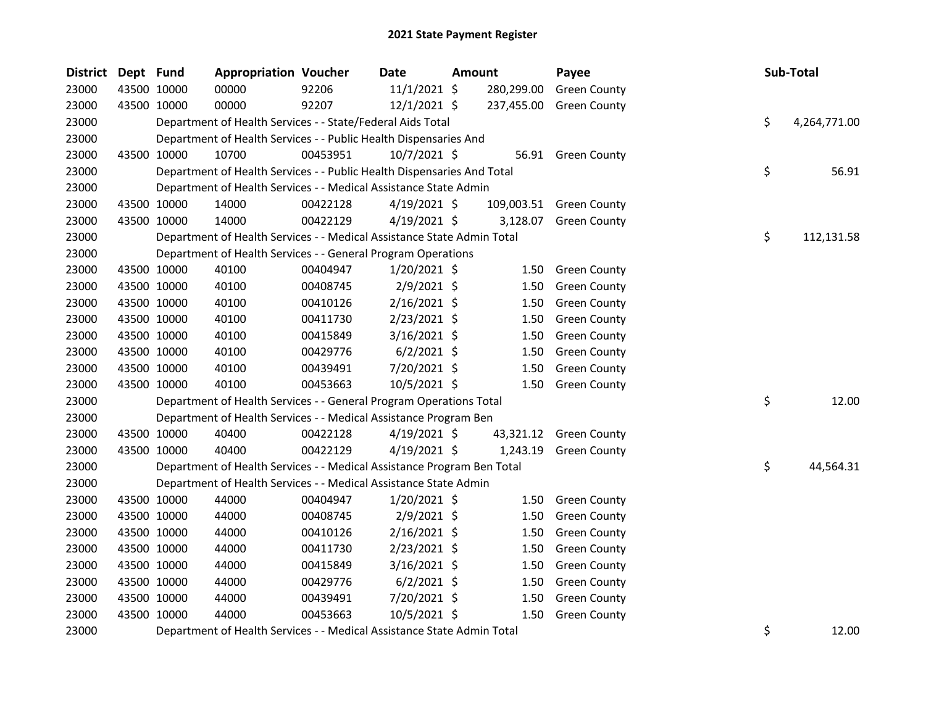| <b>District</b> | Dept Fund |             | <b>Appropriation Voucher</b>                                           |          | Date           | Amount |            | Payee                   |    | Sub-Total    |
|-----------------|-----------|-------------|------------------------------------------------------------------------|----------|----------------|--------|------------|-------------------------|----|--------------|
| 23000           |           | 43500 10000 | 00000                                                                  | 92206    | $11/1/2021$ \$ |        | 280,299.00 | <b>Green County</b>     |    |              |
| 23000           |           | 43500 10000 | 00000                                                                  | 92207    | $12/1/2021$ \$ |        | 237,455.00 | <b>Green County</b>     |    |              |
| 23000           |           |             | Department of Health Services - - State/Federal Aids Total             |          |                |        |            |                         | \$ | 4,264,771.00 |
| 23000           |           |             | Department of Health Services - - Public Health Dispensaries And       |          |                |        |            |                         |    |              |
| 23000           |           | 43500 10000 | 10700                                                                  | 00453951 | $10/7/2021$ \$ |        |            | 56.91 Green County      |    |              |
| 23000           |           |             | Department of Health Services - - Public Health Dispensaries And Total |          |                |        |            |                         | \$ | 56.91        |
| 23000           |           |             | Department of Health Services - - Medical Assistance State Admin       |          |                |        |            |                         |    |              |
| 23000           |           | 43500 10000 | 14000                                                                  | 00422128 | $4/19/2021$ \$ |        |            | 109,003.51 Green County |    |              |
| 23000           |           | 43500 10000 | 14000                                                                  | 00422129 | $4/19/2021$ \$ |        | 3,128.07   | <b>Green County</b>     |    |              |
| 23000           |           |             | Department of Health Services - - Medical Assistance State Admin Total |          |                |        |            |                         | \$ | 112,131.58   |
| 23000           |           |             | Department of Health Services - - General Program Operations           |          |                |        |            |                         |    |              |
| 23000           |           | 43500 10000 | 40100                                                                  | 00404947 | $1/20/2021$ \$ |        | 1.50       | <b>Green County</b>     |    |              |
| 23000           |           | 43500 10000 | 40100                                                                  | 00408745 | 2/9/2021 \$    |        | 1.50       | <b>Green County</b>     |    |              |
| 23000           |           | 43500 10000 | 40100                                                                  | 00410126 | $2/16/2021$ \$ |        | 1.50       | <b>Green County</b>     |    |              |
| 23000           |           | 43500 10000 | 40100                                                                  | 00411730 | $2/23/2021$ \$ |        | 1.50       | <b>Green County</b>     |    |              |
| 23000           |           | 43500 10000 | 40100                                                                  | 00415849 | 3/16/2021 \$   |        | 1.50       | <b>Green County</b>     |    |              |
| 23000           |           | 43500 10000 | 40100                                                                  | 00429776 | $6/2/2021$ \$  |        | 1.50       | <b>Green County</b>     |    |              |
| 23000           |           | 43500 10000 | 40100                                                                  | 00439491 | 7/20/2021 \$   |        | 1.50       | <b>Green County</b>     |    |              |
| 23000           |           | 43500 10000 | 40100                                                                  | 00453663 | 10/5/2021 \$   |        | 1.50       | <b>Green County</b>     |    |              |
| 23000           |           |             | Department of Health Services - - General Program Operations Total     |          |                |        |            |                         | \$ | 12.00        |
| 23000           |           |             | Department of Health Services - - Medical Assistance Program Ben       |          |                |        |            |                         |    |              |
| 23000           |           | 43500 10000 | 40400                                                                  | 00422128 | 4/19/2021 \$   |        | 43,321.12  | Green County            |    |              |
| 23000           |           | 43500 10000 | 40400                                                                  | 00422129 | $4/19/2021$ \$ |        | 1,243.19   | <b>Green County</b>     |    |              |
| 23000           |           |             | Department of Health Services - - Medical Assistance Program Ben Total |          |                |        |            |                         | \$ | 44,564.31    |
| 23000           |           |             | Department of Health Services - - Medical Assistance State Admin       |          |                |        |            |                         |    |              |
| 23000           |           | 43500 10000 | 44000                                                                  | 00404947 | $1/20/2021$ \$ |        | 1.50       | <b>Green County</b>     |    |              |
| 23000           |           | 43500 10000 | 44000                                                                  | 00408745 | $2/9/2021$ \$  |        | 1.50       | <b>Green County</b>     |    |              |
| 23000           |           | 43500 10000 | 44000                                                                  | 00410126 | 2/16/2021 \$   |        | 1.50       | <b>Green County</b>     |    |              |
| 23000           |           | 43500 10000 | 44000                                                                  | 00411730 | $2/23/2021$ \$ |        | 1.50       | <b>Green County</b>     |    |              |
| 23000           |           | 43500 10000 | 44000                                                                  | 00415849 | 3/16/2021 \$   |        | 1.50       | <b>Green County</b>     |    |              |
| 23000           |           | 43500 10000 | 44000                                                                  | 00429776 | $6/2/2021$ \$  |        | 1.50       | <b>Green County</b>     |    |              |
| 23000           |           | 43500 10000 | 44000                                                                  | 00439491 | 7/20/2021 \$   |        | 1.50       | <b>Green County</b>     |    |              |
| 23000           |           | 43500 10000 | 44000                                                                  | 00453663 | 10/5/2021 \$   |        | 1.50       | <b>Green County</b>     |    |              |
| 23000           |           |             | Department of Health Services - - Medical Assistance State Admin Total | \$       | 12.00          |        |            |                         |    |              |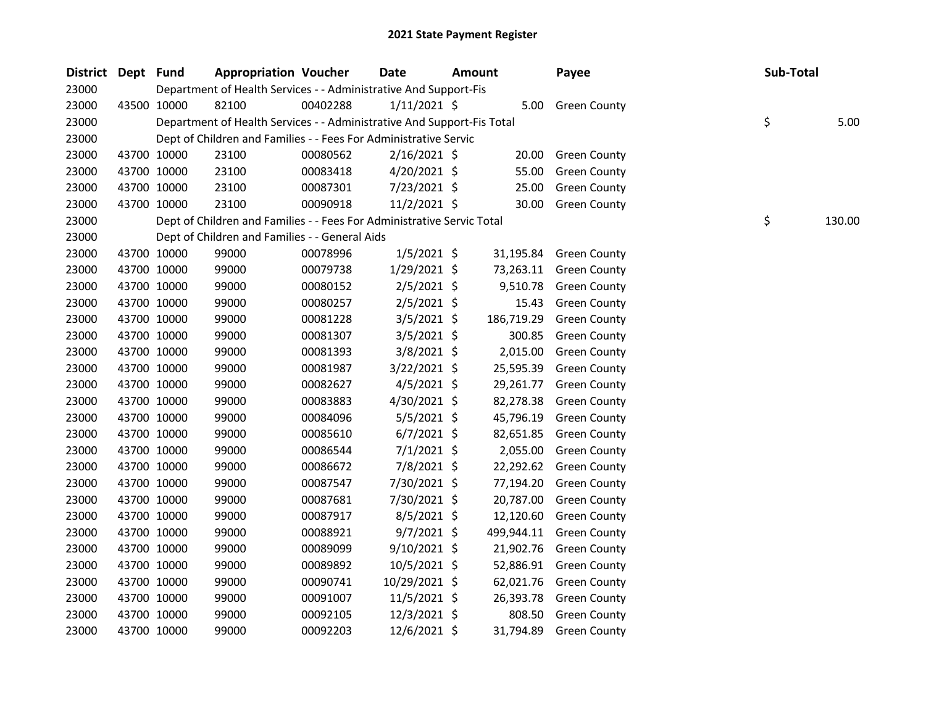| District Dept Fund |             | <b>Appropriation Voucher</b>                                           |          | <b>Date</b>    | <b>Amount</b> |            | Payee               | Sub-Total |        |
|--------------------|-------------|------------------------------------------------------------------------|----------|----------------|---------------|------------|---------------------|-----------|--------|
| 23000              |             | Department of Health Services - - Administrative And Support-Fis       |          |                |               |            |                     |           |        |
| 23000              | 43500 10000 | 82100                                                                  | 00402288 | $1/11/2021$ \$ |               | 5.00       | <b>Green County</b> |           |        |
| 23000              |             | Department of Health Services - - Administrative And Support-Fis Total |          |                |               |            |                     | \$        | 5.00   |
| 23000              |             | Dept of Children and Families - - Fees For Administrative Servic       |          |                |               |            |                     |           |        |
| 23000              | 43700 10000 | 23100                                                                  | 00080562 | $2/16/2021$ \$ |               | 20.00      | <b>Green County</b> |           |        |
| 23000              | 43700 10000 | 23100                                                                  | 00083418 | 4/20/2021 \$   |               | 55.00      | <b>Green County</b> |           |        |
| 23000              | 43700 10000 | 23100                                                                  | 00087301 | 7/23/2021 \$   |               | 25.00      | <b>Green County</b> |           |        |
| 23000              | 43700 10000 | 23100                                                                  | 00090918 | 11/2/2021 \$   |               | 30.00      | <b>Green County</b> |           |        |
| 23000              |             | Dept of Children and Families - - Fees For Administrative Servic Total |          |                |               |            |                     | \$        | 130.00 |
| 23000              |             | Dept of Children and Families - - General Aids                         |          |                |               |            |                     |           |        |
| 23000              | 43700 10000 | 99000                                                                  | 00078996 | $1/5/2021$ \$  |               | 31,195.84  | <b>Green County</b> |           |        |
| 23000              | 43700 10000 | 99000                                                                  | 00079738 | 1/29/2021 \$   |               | 73,263.11  | <b>Green County</b> |           |        |
| 23000              | 43700 10000 | 99000                                                                  | 00080152 | $2/5/2021$ \$  |               | 9,510.78   | <b>Green County</b> |           |        |
| 23000              | 43700 10000 | 99000                                                                  | 00080257 | $2/5/2021$ \$  |               | 15.43      | <b>Green County</b> |           |        |
| 23000              | 43700 10000 | 99000                                                                  | 00081228 | $3/5/2021$ \$  |               | 186,719.29 | <b>Green County</b> |           |        |
| 23000              | 43700 10000 | 99000                                                                  | 00081307 | 3/5/2021 \$    |               | 300.85     | <b>Green County</b> |           |        |
| 23000              | 43700 10000 | 99000                                                                  | 00081393 | 3/8/2021 \$    |               | 2,015.00   | <b>Green County</b> |           |        |
| 23000              | 43700 10000 | 99000                                                                  | 00081987 | $3/22/2021$ \$ |               | 25,595.39  | <b>Green County</b> |           |        |
| 23000              | 43700 10000 | 99000                                                                  | 00082627 | $4/5/2021$ \$  |               | 29,261.77  | <b>Green County</b> |           |        |
| 23000              | 43700 10000 | 99000                                                                  | 00083883 | 4/30/2021 \$   |               | 82,278.38  | <b>Green County</b> |           |        |
| 23000              | 43700 10000 | 99000                                                                  | 00084096 | $5/5/2021$ \$  |               | 45,796.19  | <b>Green County</b> |           |        |
| 23000              | 43700 10000 | 99000                                                                  | 00085610 | $6/7/2021$ \$  |               | 82,651.85  | <b>Green County</b> |           |        |
| 23000              | 43700 10000 | 99000                                                                  | 00086544 | $7/1/2021$ \$  |               | 2,055.00   | <b>Green County</b> |           |        |
| 23000              | 43700 10000 | 99000                                                                  | 00086672 | 7/8/2021 \$    |               | 22,292.62  | <b>Green County</b> |           |        |
| 23000              | 43700 10000 | 99000                                                                  | 00087547 | 7/30/2021 \$   |               | 77,194.20  | <b>Green County</b> |           |        |
| 23000              | 43700 10000 | 99000                                                                  | 00087681 | 7/30/2021 \$   |               | 20,787.00  | <b>Green County</b> |           |        |
| 23000              | 43700 10000 | 99000                                                                  | 00087917 | $8/5/2021$ \$  |               | 12,120.60  | <b>Green County</b> |           |        |
| 23000              | 43700 10000 | 99000                                                                  | 00088921 | $9/7/2021$ \$  |               | 499,944.11 | <b>Green County</b> |           |        |
| 23000              | 43700 10000 | 99000                                                                  | 00089099 | $9/10/2021$ \$ |               | 21,902.76  | <b>Green County</b> |           |        |
| 23000              | 43700 10000 | 99000                                                                  | 00089892 | 10/5/2021 \$   |               | 52,886.91  | <b>Green County</b> |           |        |
| 23000              | 43700 10000 | 99000                                                                  | 00090741 | 10/29/2021 \$  |               | 62,021.76  | <b>Green County</b> |           |        |
| 23000              | 43700 10000 | 99000                                                                  | 00091007 | $11/5/2021$ \$ |               | 26,393.78  | <b>Green County</b> |           |        |
| 23000              | 43700 10000 | 99000                                                                  | 00092105 | 12/3/2021 \$   |               | 808.50     | <b>Green County</b> |           |        |
| 23000              | 43700 10000 | 99000                                                                  | 00092203 | 12/6/2021 \$   |               | 31,794.89  | <b>Green County</b> |           |        |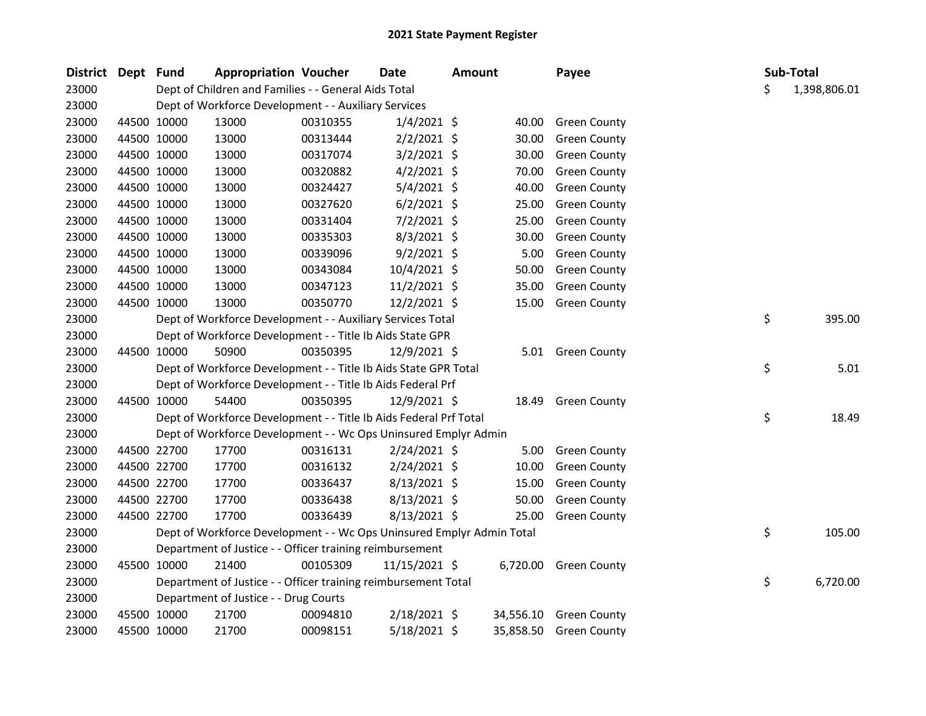| District Dept Fund |             |             | <b>Appropriation Voucher</b>                                          |          | Date           | <b>Amount</b> |           | Payee               |    | Sub-Total    |
|--------------------|-------------|-------------|-----------------------------------------------------------------------|----------|----------------|---------------|-----------|---------------------|----|--------------|
| 23000              |             |             | Dept of Children and Families - - General Aids Total                  |          |                |               |           |                     | \$ | 1,398,806.01 |
| 23000              |             |             | Dept of Workforce Development - - Auxiliary Services                  |          |                |               |           |                     |    |              |
| 23000              |             | 44500 10000 | 13000                                                                 | 00310355 | $1/4/2021$ \$  |               | 40.00     | <b>Green County</b> |    |              |
| 23000              |             | 44500 10000 | 13000                                                                 | 00313444 | $2/2/2021$ \$  |               | 30.00     | <b>Green County</b> |    |              |
| 23000              |             | 44500 10000 | 13000                                                                 | 00317074 | $3/2/2021$ \$  |               | 30.00     | <b>Green County</b> |    |              |
| 23000              |             | 44500 10000 | 13000                                                                 | 00320882 | $4/2/2021$ \$  |               | 70.00     | <b>Green County</b> |    |              |
| 23000              |             | 44500 10000 | 13000                                                                 | 00324427 | $5/4/2021$ \$  |               | 40.00     | <b>Green County</b> |    |              |
| 23000              |             | 44500 10000 | 13000                                                                 | 00327620 | $6/2/2021$ \$  |               | 25.00     | <b>Green County</b> |    |              |
| 23000              |             | 44500 10000 | 13000                                                                 | 00331404 | 7/2/2021 \$    |               | 25.00     | <b>Green County</b> |    |              |
| 23000              |             | 44500 10000 | 13000                                                                 | 00335303 | 8/3/2021 \$    |               | 30.00     | <b>Green County</b> |    |              |
| 23000              |             | 44500 10000 | 13000                                                                 | 00339096 | $9/2/2021$ \$  |               | 5.00      | <b>Green County</b> |    |              |
| 23000              |             | 44500 10000 | 13000                                                                 | 00343084 | 10/4/2021 \$   |               | 50.00     | <b>Green County</b> |    |              |
| 23000              |             | 44500 10000 | 13000                                                                 | 00347123 | 11/2/2021 \$   |               | 35.00     | <b>Green County</b> |    |              |
| 23000              |             | 44500 10000 | 13000                                                                 | 00350770 | 12/2/2021 \$   |               | 15.00     | <b>Green County</b> |    |              |
| 23000              |             |             | Dept of Workforce Development - - Auxiliary Services Total            |          |                |               |           |                     | \$ | 395.00       |
| 23000              |             |             | Dept of Workforce Development - - Title Ib Aids State GPR             |          |                |               |           |                     |    |              |
| 23000              |             | 44500 10000 | 50900                                                                 | 00350395 | 12/9/2021 \$   |               |           | 5.01 Green County   |    |              |
| 23000              |             |             | Dept of Workforce Development - - Title Ib Aids State GPR Total       |          |                |               |           |                     | \$ | 5.01         |
| 23000              |             |             | Dept of Workforce Development - - Title Ib Aids Federal Prf           |          |                |               |           |                     |    |              |
| 23000              |             | 44500 10000 | 54400                                                                 | 00350395 | $12/9/2021$ \$ |               | 18.49     | <b>Green County</b> |    |              |
| 23000              |             |             | Dept of Workforce Development - - Title Ib Aids Federal Prf Total     |          |                |               |           |                     | \$ | 18.49        |
| 23000              |             |             | Dept of Workforce Development - - Wc Ops Uninsured Emplyr Admin       |          |                |               |           |                     |    |              |
| 23000              |             | 44500 22700 | 17700                                                                 | 00316131 | $2/24/2021$ \$ |               | 5.00      | <b>Green County</b> |    |              |
| 23000              |             | 44500 22700 | 17700                                                                 | 00316132 | $2/24/2021$ \$ |               | 10.00     | <b>Green County</b> |    |              |
| 23000              |             | 44500 22700 | 17700                                                                 | 00336437 | $8/13/2021$ \$ |               | 15.00     | <b>Green County</b> |    |              |
| 23000              |             | 44500 22700 | 17700                                                                 | 00336438 | $8/13/2021$ \$ |               | 50.00     | <b>Green County</b> |    |              |
| 23000              |             | 44500 22700 | 17700                                                                 | 00336439 | 8/13/2021 \$   |               | 25.00     | <b>Green County</b> |    |              |
| 23000              |             |             | Dept of Workforce Development - - Wc Ops Uninsured Emplyr Admin Total |          |                |               |           |                     | \$ | 105.00       |
| 23000              |             |             | Department of Justice - - Officer training reimbursement              |          |                |               |           |                     |    |              |
| 23000              |             | 45500 10000 | 21400                                                                 | 00105309 | 11/15/2021 \$  |               | 6,720.00  | <b>Green County</b> |    |              |
| 23000              |             |             | Department of Justice - - Officer training reimbursement Total        |          |                |               |           |                     | \$ | 6,720.00     |
| 23000              |             |             | Department of Justice - - Drug Courts                                 |          |                |               |           |                     |    |              |
| 23000              |             | 45500 10000 | 21700                                                                 | 00094810 | 2/18/2021 \$   |               | 34,556.10 | <b>Green County</b> |    |              |
| 23000              | 45500 10000 |             | 21700                                                                 | 00098151 | 5/18/2021 \$   |               | 35,858.50 | <b>Green County</b> |    |              |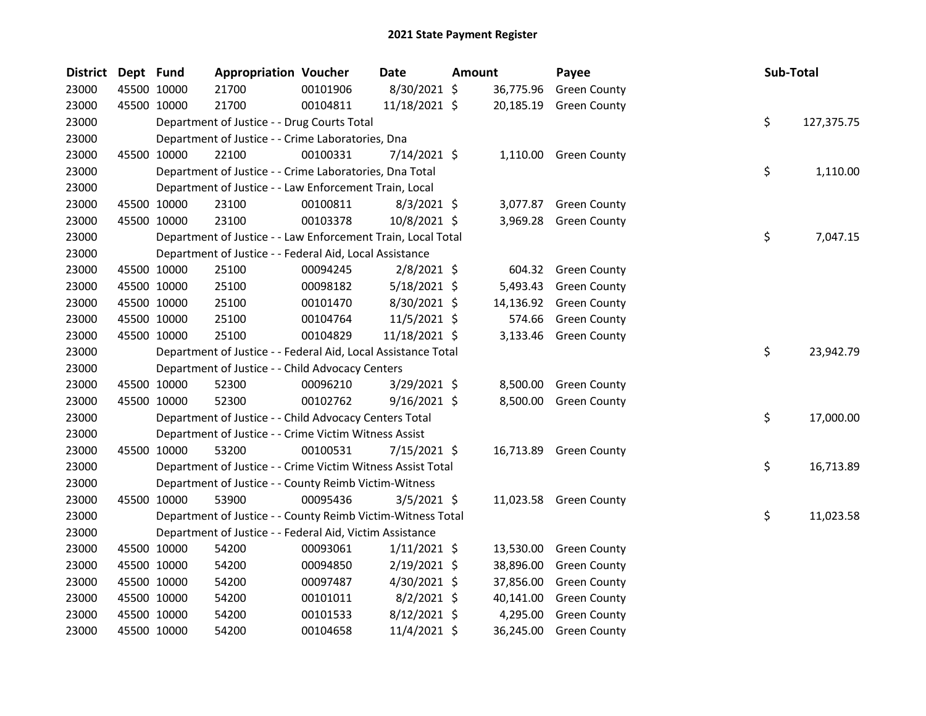| <b>District</b> | Dept Fund |             | <b>Appropriation Voucher</b>                                  |          | <b>Date</b>    | Amount |           | Payee                  | Sub-Total |            |
|-----------------|-----------|-------------|---------------------------------------------------------------|----------|----------------|--------|-----------|------------------------|-----------|------------|
| 23000           |           | 45500 10000 | 21700                                                         | 00101906 | 8/30/2021 \$   |        | 36,775.96 | <b>Green County</b>    |           |            |
| 23000           |           | 45500 10000 | 21700                                                         | 00104811 | 11/18/2021 \$  |        | 20,185.19 | <b>Green County</b>    |           |            |
| 23000           |           |             | Department of Justice - - Drug Courts Total                   |          |                |        |           |                        | \$        | 127,375.75 |
| 23000           |           |             | Department of Justice - - Crime Laboratories, Dna             |          |                |        |           |                        |           |            |
| 23000           |           | 45500 10000 | 22100                                                         | 00100331 | $7/14/2021$ \$ |        |           | 1,110.00 Green County  |           |            |
| 23000           |           |             | Department of Justice - - Crime Laboratories, Dna Total       |          |                |        |           |                        | \$        | 1,110.00   |
| 23000           |           |             | Department of Justice - - Law Enforcement Train, Local        |          |                |        |           |                        |           |            |
| 23000           |           | 45500 10000 | 23100                                                         | 00100811 | $8/3/2021$ \$  |        | 3,077.87  | <b>Green County</b>    |           |            |
| 23000           |           | 45500 10000 | 23100                                                         | 00103378 | 10/8/2021 \$   |        | 3,969.28  | <b>Green County</b>    |           |            |
| 23000           |           |             | Department of Justice - - Law Enforcement Train, Local Total  |          |                |        |           |                        | \$        | 7,047.15   |
| 23000           |           |             | Department of Justice - - Federal Aid, Local Assistance       |          |                |        |           |                        |           |            |
| 23000           |           | 45500 10000 | 25100                                                         | 00094245 | $2/8/2021$ \$  |        | 604.32    | <b>Green County</b>    |           |            |
| 23000           |           | 45500 10000 | 25100                                                         | 00098182 | $5/18/2021$ \$ |        | 5,493.43  | <b>Green County</b>    |           |            |
| 23000           |           | 45500 10000 | 25100                                                         | 00101470 | 8/30/2021 \$   |        | 14,136.92 | <b>Green County</b>    |           |            |
| 23000           |           | 45500 10000 | 25100                                                         | 00104764 | 11/5/2021 \$   |        | 574.66    | <b>Green County</b>    |           |            |
| 23000           |           | 45500 10000 | 25100                                                         | 00104829 | 11/18/2021 \$  |        |           | 3,133.46 Green County  |           |            |
| 23000           |           |             | Department of Justice - - Federal Aid, Local Assistance Total |          |                |        |           |                        | \$        | 23,942.79  |
| 23000           |           |             | Department of Justice - - Child Advocacy Centers              |          |                |        |           |                        |           |            |
| 23000           |           | 45500 10000 | 52300                                                         | 00096210 | $3/29/2021$ \$ |        | 8,500.00  | <b>Green County</b>    |           |            |
| 23000           |           | 45500 10000 | 52300                                                         | 00102762 | $9/16/2021$ \$ |        | 8,500.00  | <b>Green County</b>    |           |            |
| 23000           |           |             | Department of Justice - - Child Advocacy Centers Total        |          |                |        |           |                        | \$        | 17,000.00  |
| 23000           |           |             | Department of Justice - - Crime Victim Witness Assist         |          |                |        |           |                        |           |            |
| 23000           |           | 45500 10000 | 53200                                                         | 00100531 | 7/15/2021 \$   |        |           | 16,713.89 Green County |           |            |
| 23000           |           |             | Department of Justice - - Crime Victim Witness Assist Total   |          |                |        |           |                        | \$        | 16,713.89  |
| 23000           |           |             | Department of Justice - - County Reimb Victim-Witness         |          |                |        |           |                        |           |            |
| 23000           |           | 45500 10000 | 53900                                                         | 00095436 | $3/5/2021$ \$  |        |           | 11,023.58 Green County |           |            |
| 23000           |           |             | Department of Justice - - County Reimb Victim-Witness Total   |          |                |        |           |                        | \$        | 11,023.58  |
| 23000           |           |             | Department of Justice - - Federal Aid, Victim Assistance      |          |                |        |           |                        |           |            |
| 23000           |           | 45500 10000 | 54200                                                         | 00093061 | $1/11/2021$ \$ |        | 13,530.00 | <b>Green County</b>    |           |            |
| 23000           |           | 45500 10000 | 54200                                                         | 00094850 | $2/19/2021$ \$ |        | 38,896.00 | <b>Green County</b>    |           |            |
| 23000           |           | 45500 10000 | 54200                                                         | 00097487 | 4/30/2021 \$   |        | 37,856.00 | <b>Green County</b>    |           |            |
| 23000           |           | 45500 10000 | 54200                                                         | 00101011 | $8/2/2021$ \$  |        | 40,141.00 | <b>Green County</b>    |           |            |
| 23000           |           | 45500 10000 | 54200                                                         | 00101533 | 8/12/2021 \$   |        | 4,295.00  | <b>Green County</b>    |           |            |
| 23000           |           | 45500 10000 | 54200                                                         | 00104658 | 11/4/2021 \$   |        | 36,245.00 | <b>Green County</b>    |           |            |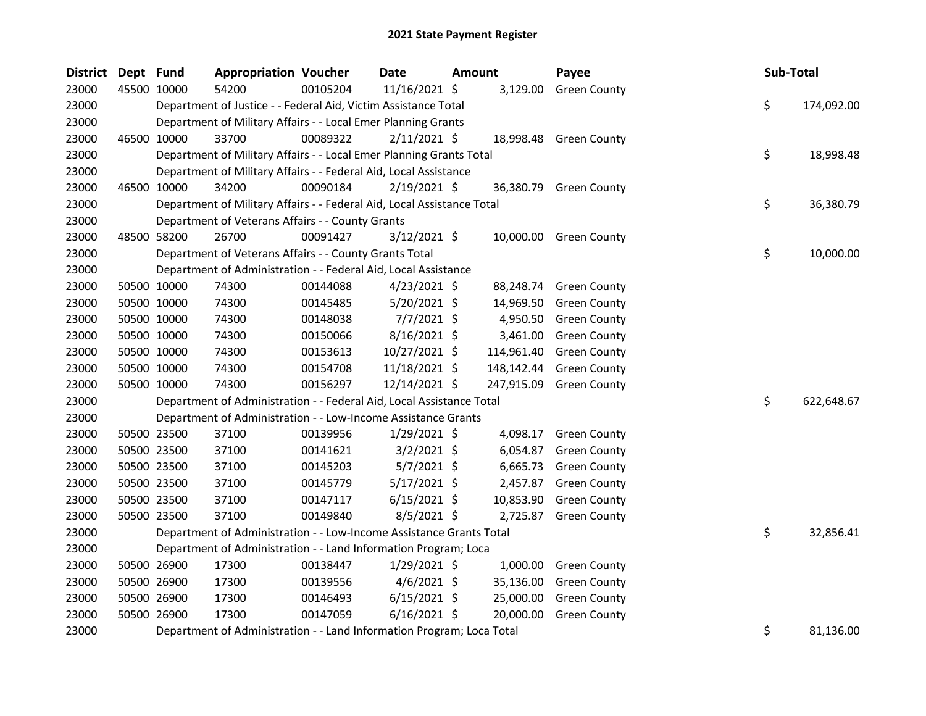| District | Dept Fund |             | <b>Appropriation Voucher</b>                                           |          | Date           | Amount |            | Payee                  | Sub-Total |            |
|----------|-----------|-------------|------------------------------------------------------------------------|----------|----------------|--------|------------|------------------------|-----------|------------|
| 23000    |           | 45500 10000 | 54200                                                                  | 00105204 | 11/16/2021 \$  |        |            | 3,129.00 Green County  |           |            |
| 23000    |           |             | Department of Justice - - Federal Aid, Victim Assistance Total         |          |                |        |            |                        | \$        | 174,092.00 |
| 23000    |           |             | Department of Military Affairs - - Local Emer Planning Grants          |          |                |        |            |                        |           |            |
| 23000    |           | 46500 10000 | 33700                                                                  | 00089322 | $2/11/2021$ \$ |        |            | 18,998.48 Green County |           |            |
| 23000    |           |             | Department of Military Affairs - - Local Emer Planning Grants Total    |          |                |        |            |                        | \$        | 18,998.48  |
| 23000    |           |             | Department of Military Affairs - - Federal Aid, Local Assistance       |          |                |        |            |                        |           |            |
| 23000    |           | 46500 10000 | 34200                                                                  | 00090184 | $2/19/2021$ \$ |        |            | 36,380.79 Green County |           |            |
| 23000    |           |             | Department of Military Affairs - - Federal Aid, Local Assistance Total |          |                |        |            |                        | \$        | 36,380.79  |
| 23000    |           |             | Department of Veterans Affairs - - County Grants                       |          |                |        |            |                        |           |            |
| 23000    |           | 48500 58200 | 26700                                                                  | 00091427 | $3/12/2021$ \$ |        | 10,000.00  | <b>Green County</b>    |           |            |
| 23000    |           |             | Department of Veterans Affairs - - County Grants Total                 |          |                |        |            |                        | \$        | 10,000.00  |
| 23000    |           |             | Department of Administration - - Federal Aid, Local Assistance         |          |                |        |            |                        |           |            |
| 23000    |           | 50500 10000 | 74300                                                                  | 00144088 | $4/23/2021$ \$ |        | 88,248.74  | <b>Green County</b>    |           |            |
| 23000    |           | 50500 10000 | 74300                                                                  | 00145485 | 5/20/2021 \$   |        | 14,969.50  | <b>Green County</b>    |           |            |
| 23000    |           | 50500 10000 | 74300                                                                  | 00148038 | $7/7/2021$ \$  |        | 4,950.50   | <b>Green County</b>    |           |            |
| 23000    |           | 50500 10000 | 74300                                                                  | 00150066 | 8/16/2021 \$   |        | 3,461.00   | <b>Green County</b>    |           |            |
| 23000    |           | 50500 10000 | 74300                                                                  | 00153613 | 10/27/2021 \$  |        | 114,961.40 | <b>Green County</b>    |           |            |
| 23000    |           | 50500 10000 | 74300                                                                  | 00154708 | 11/18/2021 \$  |        | 148,142.44 | <b>Green County</b>    |           |            |
| 23000    |           | 50500 10000 | 74300                                                                  | 00156297 | 12/14/2021 \$  |        | 247,915.09 | <b>Green County</b>    |           |            |
| 23000    |           |             | Department of Administration - - Federal Aid, Local Assistance Total   |          |                |        |            |                        | \$        | 622,648.67 |
| 23000    |           |             | Department of Administration - - Low-Income Assistance Grants          |          |                |        |            |                        |           |            |
| 23000    |           | 50500 23500 | 37100                                                                  | 00139956 | $1/29/2021$ \$ |        | 4,098.17   | <b>Green County</b>    |           |            |
| 23000    |           | 50500 23500 | 37100                                                                  | 00141621 | $3/2/2021$ \$  |        | 6,054.87   | <b>Green County</b>    |           |            |
| 23000    |           | 50500 23500 | 37100                                                                  | 00145203 | $5/7/2021$ \$  |        | 6,665.73   | <b>Green County</b>    |           |            |
| 23000    |           | 50500 23500 | 37100                                                                  | 00145779 | $5/17/2021$ \$ |        | 2,457.87   | <b>Green County</b>    |           |            |
| 23000    |           | 50500 23500 | 37100                                                                  | 00147117 | $6/15/2021$ \$ |        | 10,853.90  | <b>Green County</b>    |           |            |
| 23000    |           | 50500 23500 | 37100                                                                  | 00149840 | $8/5/2021$ \$  |        | 2,725.87   | <b>Green County</b>    |           |            |
| 23000    |           |             | Department of Administration - - Low-Income Assistance Grants Total    |          |                |        |            |                        | \$        | 32,856.41  |
| 23000    |           |             | Department of Administration - - Land Information Program; Loca        |          |                |        |            |                        |           |            |
| 23000    |           | 50500 26900 | 17300                                                                  | 00138447 | $1/29/2021$ \$ |        | 1,000.00   | <b>Green County</b>    |           |            |
| 23000    |           | 50500 26900 | 17300                                                                  | 00139556 | $4/6/2021$ \$  |        | 35,136.00  | <b>Green County</b>    |           |            |
| 23000    |           | 50500 26900 | 17300                                                                  | 00146493 | $6/15/2021$ \$ |        | 25,000.00  | <b>Green County</b>    |           |            |
| 23000    |           | 50500 26900 | 17300                                                                  | 00147059 | $6/16/2021$ \$ |        | 20,000.00  | <b>Green County</b>    |           |            |
| 23000    |           |             | Department of Administration - - Land Information Program; Loca Total  |          |                |        |            |                        | \$        | 81,136.00  |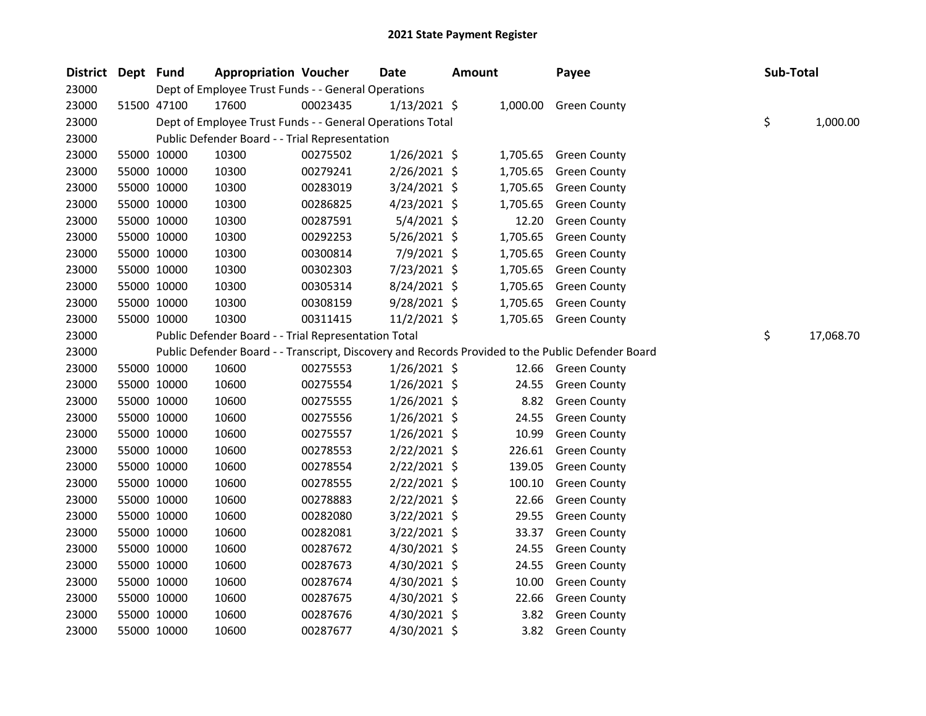| <b>District</b> | Dept Fund |             | <b>Appropriation Voucher</b>                              |          | Date           | <b>Amount</b> |          | Payee                                                                                             | Sub-Total |           |
|-----------------|-----------|-------------|-----------------------------------------------------------|----------|----------------|---------------|----------|---------------------------------------------------------------------------------------------------|-----------|-----------|
| 23000           |           |             | Dept of Employee Trust Funds - - General Operations       |          |                |               |          |                                                                                                   |           |           |
| 23000           |           | 51500 47100 | 17600                                                     | 00023435 | $1/13/2021$ \$ |               |          | 1,000.00 Green County                                                                             |           |           |
| 23000           |           |             | Dept of Employee Trust Funds - - General Operations Total |          |                |               |          |                                                                                                   | \$        | 1,000.00  |
| 23000           |           |             | Public Defender Board - - Trial Representation            |          |                |               |          |                                                                                                   |           |           |
| 23000           |           | 55000 10000 | 10300                                                     | 00275502 | $1/26/2021$ \$ |               | 1,705.65 | <b>Green County</b>                                                                               |           |           |
| 23000           |           | 55000 10000 | 10300                                                     | 00279241 | $2/26/2021$ \$ |               | 1,705.65 | <b>Green County</b>                                                                               |           |           |
| 23000           |           | 55000 10000 | 10300                                                     | 00283019 | 3/24/2021 \$   |               | 1,705.65 | <b>Green County</b>                                                                               |           |           |
| 23000           |           | 55000 10000 | 10300                                                     | 00286825 | $4/23/2021$ \$ |               | 1,705.65 | <b>Green County</b>                                                                               |           |           |
| 23000           |           | 55000 10000 | 10300                                                     | 00287591 | $5/4/2021$ \$  |               | 12.20    | <b>Green County</b>                                                                               |           |           |
| 23000           |           | 55000 10000 | 10300                                                     | 00292253 | 5/26/2021 \$   |               | 1,705.65 | <b>Green County</b>                                                                               |           |           |
| 23000           |           | 55000 10000 | 10300                                                     | 00300814 | 7/9/2021 \$    |               | 1,705.65 | <b>Green County</b>                                                                               |           |           |
| 23000           |           | 55000 10000 | 10300                                                     | 00302303 | 7/23/2021 \$   |               | 1,705.65 | <b>Green County</b>                                                                               |           |           |
| 23000           |           | 55000 10000 | 10300                                                     | 00305314 | 8/24/2021 \$   |               | 1,705.65 | <b>Green County</b>                                                                               |           |           |
| 23000           |           | 55000 10000 | 10300                                                     | 00308159 | $9/28/2021$ \$ |               | 1,705.65 | <b>Green County</b>                                                                               |           |           |
| 23000           |           | 55000 10000 | 10300                                                     | 00311415 | 11/2/2021 \$   |               |          | 1,705.65 Green County                                                                             |           |           |
| 23000           |           |             | Public Defender Board - - Trial Representation Total      |          |                |               |          |                                                                                                   | \$        | 17,068.70 |
| 23000           |           |             |                                                           |          |                |               |          | Public Defender Board - - Transcript, Discovery and Records Provided to the Public Defender Board |           |           |
| 23000           |           | 55000 10000 | 10600                                                     | 00275553 | $1/26/2021$ \$ |               |          | 12.66 Green County                                                                                |           |           |
| 23000           |           | 55000 10000 | 10600                                                     | 00275554 | $1/26/2021$ \$ |               | 24.55    | <b>Green County</b>                                                                               |           |           |
| 23000           |           | 55000 10000 | 10600                                                     | 00275555 | $1/26/2021$ \$ |               | 8.82     | <b>Green County</b>                                                                               |           |           |
| 23000           |           | 55000 10000 | 10600                                                     | 00275556 | $1/26/2021$ \$ |               | 24.55    | <b>Green County</b>                                                                               |           |           |
| 23000           |           | 55000 10000 | 10600                                                     | 00275557 | $1/26/2021$ \$ |               | 10.99    | <b>Green County</b>                                                                               |           |           |
| 23000           |           | 55000 10000 | 10600                                                     | 00278553 | 2/22/2021 \$   |               | 226.61   | <b>Green County</b>                                                                               |           |           |
| 23000           |           | 55000 10000 | 10600                                                     | 00278554 | 2/22/2021 \$   |               | 139.05   | <b>Green County</b>                                                                               |           |           |
| 23000           |           | 55000 10000 | 10600                                                     | 00278555 | 2/22/2021 \$   |               | 100.10   | <b>Green County</b>                                                                               |           |           |
| 23000           |           | 55000 10000 | 10600                                                     | 00278883 | 2/22/2021 \$   |               | 22.66    | <b>Green County</b>                                                                               |           |           |
| 23000           |           | 55000 10000 | 10600                                                     | 00282080 | $3/22/2021$ \$ |               | 29.55    | <b>Green County</b>                                                                               |           |           |
| 23000           |           | 55000 10000 | 10600                                                     | 00282081 | 3/22/2021 \$   |               | 33.37    | <b>Green County</b>                                                                               |           |           |
| 23000           |           | 55000 10000 | 10600                                                     | 00287672 | 4/30/2021 \$   |               | 24.55    | <b>Green County</b>                                                                               |           |           |
| 23000           |           | 55000 10000 | 10600                                                     | 00287673 | 4/30/2021 \$   |               | 24.55    | <b>Green County</b>                                                                               |           |           |
| 23000           |           | 55000 10000 | 10600                                                     | 00287674 | 4/30/2021 \$   |               | 10.00    | <b>Green County</b>                                                                               |           |           |
| 23000           |           | 55000 10000 | 10600                                                     | 00287675 | 4/30/2021 \$   |               | 22.66    | <b>Green County</b>                                                                               |           |           |
| 23000           |           | 55000 10000 | 10600                                                     | 00287676 | 4/30/2021 \$   |               | 3.82     | <b>Green County</b>                                                                               |           |           |
| 23000           |           | 55000 10000 | 10600                                                     | 00287677 | 4/30/2021 \$   |               | 3.82     | <b>Green County</b>                                                                               |           |           |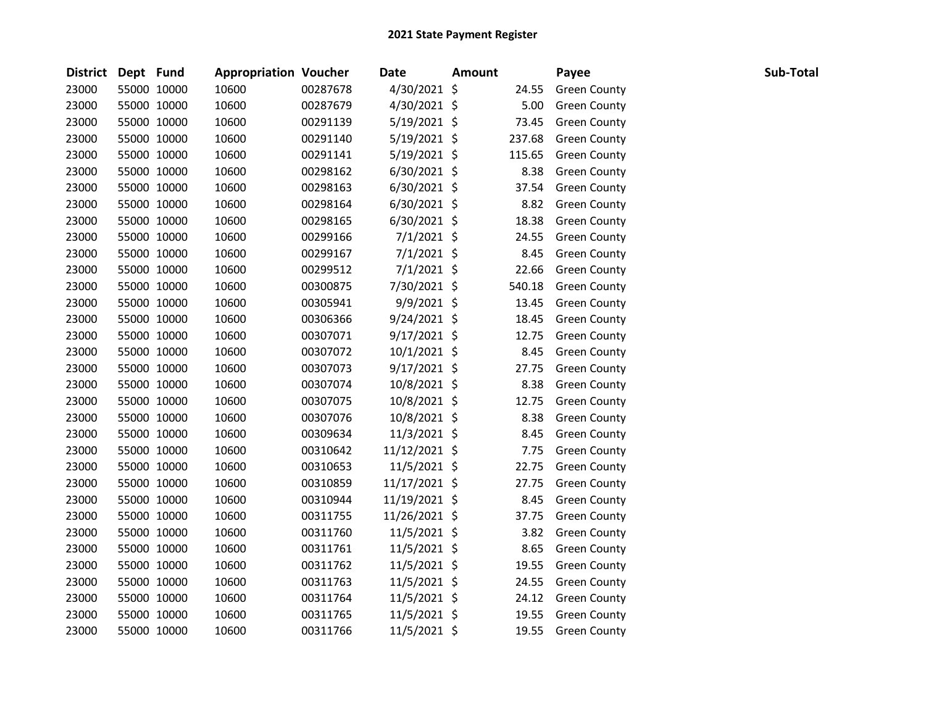| <b>District</b> | Dept Fund |             | <b>Appropriation Voucher</b> |          | <b>Date</b>    | <b>Amount</b> |        | Payee               | Sub-Total |  |
|-----------------|-----------|-------------|------------------------------|----------|----------------|---------------|--------|---------------------|-----------|--|
| 23000           |           | 55000 10000 | 10600                        | 00287678 | 4/30/2021 \$   |               | 24.55  | <b>Green County</b> |           |  |
| 23000           |           | 55000 10000 | 10600                        | 00287679 | 4/30/2021 \$   |               | 5.00   | <b>Green County</b> |           |  |
| 23000           |           | 55000 10000 | 10600                        | 00291139 | 5/19/2021 \$   |               | 73.45  | <b>Green County</b> |           |  |
| 23000           |           | 55000 10000 | 10600                        | 00291140 | $5/19/2021$ \$ |               | 237.68 | <b>Green County</b> |           |  |
| 23000           |           | 55000 10000 | 10600                        | 00291141 | $5/19/2021$ \$ |               | 115.65 | <b>Green County</b> |           |  |
| 23000           |           | 55000 10000 | 10600                        | 00298162 | $6/30/2021$ \$ |               | 8.38   | <b>Green County</b> |           |  |
| 23000           |           | 55000 10000 | 10600                        | 00298163 | $6/30/2021$ \$ |               | 37.54  | <b>Green County</b> |           |  |
| 23000           |           | 55000 10000 | 10600                        | 00298164 | $6/30/2021$ \$ |               | 8.82   | <b>Green County</b> |           |  |
| 23000           |           | 55000 10000 | 10600                        | 00298165 | $6/30/2021$ \$ |               | 18.38  | <b>Green County</b> |           |  |
| 23000           |           | 55000 10000 | 10600                        | 00299166 | $7/1/2021$ \$  |               | 24.55  | <b>Green County</b> |           |  |
| 23000           |           | 55000 10000 | 10600                        | 00299167 | $7/1/2021$ \$  |               | 8.45   | <b>Green County</b> |           |  |
| 23000           |           | 55000 10000 | 10600                        | 00299512 | $7/1/2021$ \$  |               | 22.66  | <b>Green County</b> |           |  |
| 23000           |           | 55000 10000 | 10600                        | 00300875 | 7/30/2021 \$   |               | 540.18 | <b>Green County</b> |           |  |
| 23000           |           | 55000 10000 | 10600                        | 00305941 | 9/9/2021 \$    |               | 13.45  | <b>Green County</b> |           |  |
| 23000           |           | 55000 10000 | 10600                        | 00306366 | $9/24/2021$ \$ |               | 18.45  | <b>Green County</b> |           |  |
| 23000           |           | 55000 10000 | 10600                        | 00307071 | $9/17/2021$ \$ |               | 12.75  | <b>Green County</b> |           |  |
| 23000           |           | 55000 10000 | 10600                        | 00307072 | 10/1/2021 \$   |               | 8.45   | <b>Green County</b> |           |  |
| 23000           |           | 55000 10000 | 10600                        | 00307073 | $9/17/2021$ \$ |               | 27.75  | <b>Green County</b> |           |  |
| 23000           |           | 55000 10000 | 10600                        | 00307074 | 10/8/2021 \$   |               | 8.38   | <b>Green County</b> |           |  |
| 23000           |           | 55000 10000 | 10600                        | 00307075 | 10/8/2021 \$   |               | 12.75  | <b>Green County</b> |           |  |
| 23000           |           | 55000 10000 | 10600                        | 00307076 | 10/8/2021 \$   |               | 8.38   | <b>Green County</b> |           |  |
| 23000           |           | 55000 10000 | 10600                        | 00309634 | 11/3/2021 \$   |               | 8.45   | <b>Green County</b> |           |  |
| 23000           |           | 55000 10000 | 10600                        | 00310642 | 11/12/2021 \$  |               | 7.75   | <b>Green County</b> |           |  |
| 23000           |           | 55000 10000 | 10600                        | 00310653 | 11/5/2021 \$   |               | 22.75  | <b>Green County</b> |           |  |
| 23000           |           | 55000 10000 | 10600                        | 00310859 | 11/17/2021 \$  |               | 27.75  | <b>Green County</b> |           |  |
| 23000           |           | 55000 10000 | 10600                        | 00310944 | 11/19/2021 \$  |               | 8.45   | <b>Green County</b> |           |  |
| 23000           |           | 55000 10000 | 10600                        | 00311755 | 11/26/2021 \$  |               | 37.75  | <b>Green County</b> |           |  |
| 23000           |           | 55000 10000 | 10600                        | 00311760 | 11/5/2021 \$   |               | 3.82   | <b>Green County</b> |           |  |
| 23000           |           | 55000 10000 | 10600                        | 00311761 | 11/5/2021 \$   |               | 8.65   | <b>Green County</b> |           |  |
| 23000           |           | 55000 10000 | 10600                        | 00311762 | $11/5/2021$ \$ |               | 19.55  | <b>Green County</b> |           |  |
| 23000           |           | 55000 10000 | 10600                        | 00311763 | 11/5/2021 \$   |               | 24.55  | <b>Green County</b> |           |  |
| 23000           |           | 55000 10000 | 10600                        | 00311764 | 11/5/2021 \$   |               | 24.12  | <b>Green County</b> |           |  |
| 23000           |           | 55000 10000 | 10600                        | 00311765 | 11/5/2021 \$   |               | 19.55  | <b>Green County</b> |           |  |
| 23000           |           | 55000 10000 | 10600                        | 00311766 | 11/5/2021 \$   |               | 19.55  | <b>Green County</b> |           |  |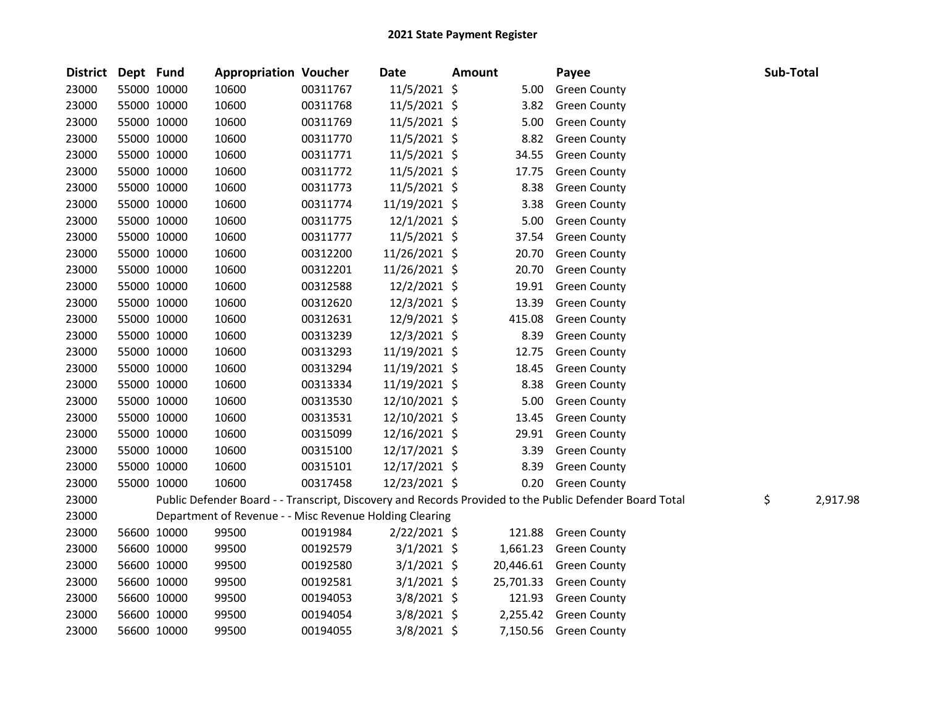| <b>District</b> | Dept Fund   |             | <b>Appropriation Voucher</b>                            |          | <b>Date</b>    | <b>Amount</b> |           | Payee                                                                                                   | Sub-Total |          |
|-----------------|-------------|-------------|---------------------------------------------------------|----------|----------------|---------------|-----------|---------------------------------------------------------------------------------------------------------|-----------|----------|
| 23000           | 55000 10000 |             | 10600                                                   | 00311767 | 11/5/2021 \$   |               | 5.00      | <b>Green County</b>                                                                                     |           |          |
| 23000           | 55000 10000 |             | 10600                                                   | 00311768 | $11/5/2021$ \$ |               | 3.82      | <b>Green County</b>                                                                                     |           |          |
| 23000           | 55000 10000 |             | 10600                                                   | 00311769 | 11/5/2021 \$   |               | 5.00      | <b>Green County</b>                                                                                     |           |          |
| 23000           | 55000 10000 |             | 10600                                                   | 00311770 | 11/5/2021 \$   |               | 8.82      | <b>Green County</b>                                                                                     |           |          |
| 23000           | 55000 10000 |             | 10600                                                   | 00311771 | 11/5/2021 \$   |               | 34.55     | <b>Green County</b>                                                                                     |           |          |
| 23000           | 55000 10000 |             | 10600                                                   | 00311772 | 11/5/2021 \$   |               | 17.75     | <b>Green County</b>                                                                                     |           |          |
| 23000           | 55000 10000 |             | 10600                                                   | 00311773 | 11/5/2021 \$   |               | 8.38      | <b>Green County</b>                                                                                     |           |          |
| 23000           | 55000 10000 |             | 10600                                                   | 00311774 | 11/19/2021 \$  |               | 3.38      | <b>Green County</b>                                                                                     |           |          |
| 23000           | 55000 10000 |             | 10600                                                   | 00311775 | $12/1/2021$ \$ |               | 5.00      | <b>Green County</b>                                                                                     |           |          |
| 23000           | 55000 10000 |             | 10600                                                   | 00311777 | 11/5/2021 \$   |               | 37.54     | <b>Green County</b>                                                                                     |           |          |
| 23000           | 55000 10000 |             | 10600                                                   | 00312200 | 11/26/2021 \$  |               | 20.70     | <b>Green County</b>                                                                                     |           |          |
| 23000           |             | 55000 10000 | 10600                                                   | 00312201 | 11/26/2021 \$  |               | 20.70     | <b>Green County</b>                                                                                     |           |          |
| 23000           | 55000 10000 |             | 10600                                                   | 00312588 | 12/2/2021 \$   |               | 19.91     | <b>Green County</b>                                                                                     |           |          |
| 23000           | 55000 10000 |             | 10600                                                   | 00312620 | 12/3/2021 \$   |               | 13.39     | <b>Green County</b>                                                                                     |           |          |
| 23000           | 55000 10000 |             | 10600                                                   | 00312631 | 12/9/2021 \$   |               | 415.08    | <b>Green County</b>                                                                                     |           |          |
| 23000           | 55000 10000 |             | 10600                                                   | 00313239 | 12/3/2021 \$   |               | 8.39      | <b>Green County</b>                                                                                     |           |          |
| 23000           | 55000 10000 |             | 10600                                                   | 00313293 | 11/19/2021 \$  |               | 12.75     | <b>Green County</b>                                                                                     |           |          |
| 23000           | 55000 10000 |             | 10600                                                   | 00313294 | 11/19/2021 \$  |               | 18.45     | <b>Green County</b>                                                                                     |           |          |
| 23000           | 55000 10000 |             | 10600                                                   | 00313334 | 11/19/2021 \$  |               | 8.38      | <b>Green County</b>                                                                                     |           |          |
| 23000           | 55000 10000 |             | 10600                                                   | 00313530 | 12/10/2021 \$  |               | 5.00      | <b>Green County</b>                                                                                     |           |          |
| 23000           | 55000 10000 |             | 10600                                                   | 00313531 | 12/10/2021 \$  |               | 13.45     | <b>Green County</b>                                                                                     |           |          |
| 23000           | 55000 10000 |             | 10600                                                   | 00315099 | 12/16/2021 \$  |               | 29.91     | <b>Green County</b>                                                                                     |           |          |
| 23000           | 55000 10000 |             | 10600                                                   | 00315100 | 12/17/2021 \$  |               | 3.39      | <b>Green County</b>                                                                                     |           |          |
| 23000           | 55000 10000 |             | 10600                                                   | 00315101 | 12/17/2021 \$  |               | 8.39      | <b>Green County</b>                                                                                     |           |          |
| 23000           | 55000 10000 |             | 10600                                                   | 00317458 | 12/23/2021 \$  |               | 0.20      | <b>Green County</b>                                                                                     |           |          |
| 23000           |             |             |                                                         |          |                |               |           | Public Defender Board - - Transcript, Discovery and Records Provided to the Public Defender Board Total | \$        | 2,917.98 |
| 23000           |             |             | Department of Revenue - - Misc Revenue Holding Clearing |          |                |               |           |                                                                                                         |           |          |
| 23000           |             | 56600 10000 | 99500                                                   | 00191984 | $2/22/2021$ \$ |               | 121.88    | <b>Green County</b>                                                                                     |           |          |
| 23000           | 56600 10000 |             | 99500                                                   | 00192579 | $3/1/2021$ \$  |               | 1,661.23  | <b>Green County</b>                                                                                     |           |          |
| 23000           | 56600 10000 |             | 99500                                                   | 00192580 | $3/1/2021$ \$  |               |           | 20,446.61 Green County                                                                                  |           |          |
| 23000           | 56600 10000 |             | 99500                                                   | 00192581 | $3/1/2021$ \$  |               | 25,701.33 | <b>Green County</b>                                                                                     |           |          |
| 23000           | 56600 10000 |             | 99500                                                   | 00194053 | 3/8/2021 \$    |               | 121.93    | <b>Green County</b>                                                                                     |           |          |
| 23000           | 56600 10000 |             | 99500                                                   | 00194054 | 3/8/2021 \$    |               | 2,255.42  | <b>Green County</b>                                                                                     |           |          |
| 23000           | 56600 10000 |             | 99500                                                   | 00194055 | 3/8/2021 \$    |               |           | 7,150.56 Green County                                                                                   |           |          |
|                 |             |             |                                                         |          |                |               |           |                                                                                                         |           |          |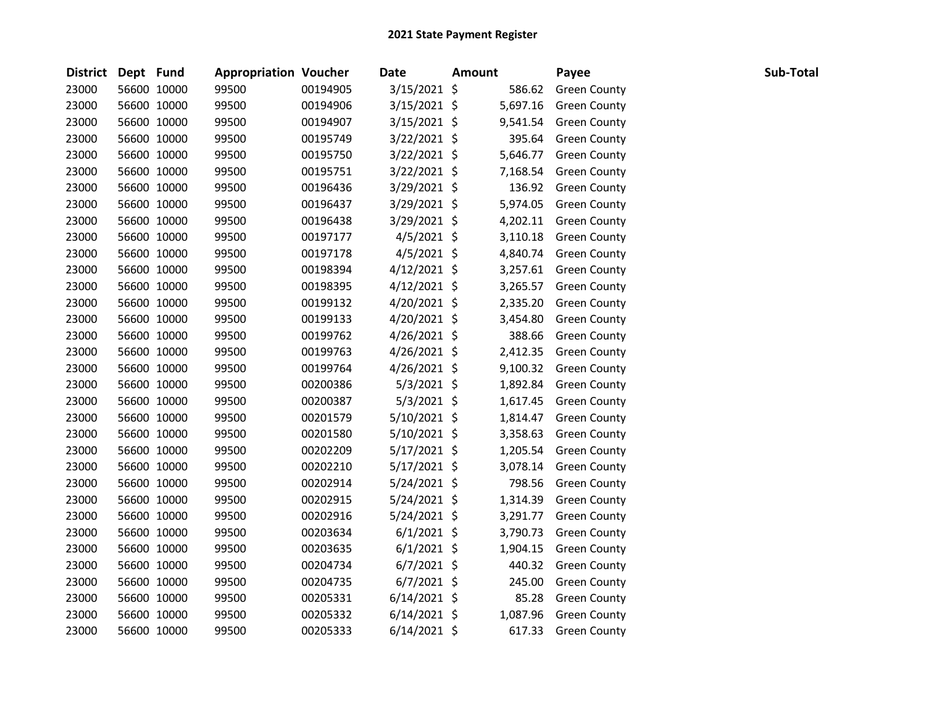| District Dept Fund |             | <b>Appropriation Voucher</b> |          | <b>Date</b>    | <b>Amount</b> | Payee               | Sub-Total |
|--------------------|-------------|------------------------------|----------|----------------|---------------|---------------------|-----------|
| 23000              | 56600 10000 | 99500                        | 00194905 | 3/15/2021 \$   | 586.62        | <b>Green County</b> |           |
| 23000              | 56600 10000 | 99500                        | 00194906 | 3/15/2021 \$   | 5,697.16      | <b>Green County</b> |           |
| 23000              | 56600 10000 | 99500                        | 00194907 | 3/15/2021 \$   | 9,541.54      | <b>Green County</b> |           |
| 23000              | 56600 10000 | 99500                        | 00195749 | $3/22/2021$ \$ | 395.64        | <b>Green County</b> |           |
| 23000              | 56600 10000 | 99500                        | 00195750 | $3/22/2021$ \$ | 5,646.77      | <b>Green County</b> |           |
| 23000              | 56600 10000 | 99500                        | 00195751 | 3/22/2021 \$   | 7,168.54      | <b>Green County</b> |           |
| 23000              | 56600 10000 | 99500                        | 00196436 | 3/29/2021 \$   | 136.92        | <b>Green County</b> |           |
| 23000              | 56600 10000 | 99500                        | 00196437 | $3/29/2021$ \$ | 5,974.05      | <b>Green County</b> |           |
| 23000              | 56600 10000 | 99500                        | 00196438 | 3/29/2021 \$   | 4,202.11      | <b>Green County</b> |           |
| 23000              | 56600 10000 | 99500                        | 00197177 | $4/5/2021$ \$  | 3,110.18      | <b>Green County</b> |           |
| 23000              | 56600 10000 | 99500                        | 00197178 | 4/5/2021 \$    | 4,840.74      | <b>Green County</b> |           |
| 23000              | 56600 10000 | 99500                        | 00198394 | $4/12/2021$ \$ | 3,257.61      | <b>Green County</b> |           |
| 23000              | 56600 10000 | 99500                        | 00198395 | $4/12/2021$ \$ | 3,265.57      | <b>Green County</b> |           |
| 23000              | 56600 10000 | 99500                        | 00199132 | 4/20/2021 \$   | 2,335.20      | <b>Green County</b> |           |
| 23000              | 56600 10000 | 99500                        | 00199133 | 4/20/2021 \$   | 3,454.80      | <b>Green County</b> |           |
| 23000              | 56600 10000 | 99500                        | 00199762 | 4/26/2021 \$   | 388.66        | <b>Green County</b> |           |
| 23000              | 56600 10000 | 99500                        | 00199763 | $4/26/2021$ \$ | 2,412.35      | <b>Green County</b> |           |
| 23000              | 56600 10000 | 99500                        | 00199764 | 4/26/2021 \$   | 9,100.32      | <b>Green County</b> |           |
| 23000              | 56600 10000 | 99500                        | 00200386 | $5/3/2021$ \$  | 1,892.84      | <b>Green County</b> |           |
| 23000              | 56600 10000 | 99500                        | 00200387 | $5/3/2021$ \$  | 1,617.45      | <b>Green County</b> |           |
| 23000              | 56600 10000 | 99500                        | 00201579 | $5/10/2021$ \$ | 1,814.47      | <b>Green County</b> |           |
| 23000              | 56600 10000 | 99500                        | 00201580 | 5/10/2021 \$   | 3,358.63      | <b>Green County</b> |           |
| 23000              | 56600 10000 | 99500                        | 00202209 | 5/17/2021 \$   | 1,205.54      | <b>Green County</b> |           |
| 23000              | 56600 10000 | 99500                        | 00202210 | $5/17/2021$ \$ | 3,078.14      | <b>Green County</b> |           |
| 23000              | 56600 10000 | 99500                        | 00202914 | 5/24/2021 \$   | 798.56        | <b>Green County</b> |           |
| 23000              | 56600 10000 | 99500                        | 00202915 | $5/24/2021$ \$ | 1,314.39      | <b>Green County</b> |           |
| 23000              | 56600 10000 | 99500                        | 00202916 | 5/24/2021 \$   | 3,291.77      | <b>Green County</b> |           |
| 23000              | 56600 10000 | 99500                        | 00203634 | $6/1/2021$ \$  | 3,790.73      | <b>Green County</b> |           |
| 23000              | 56600 10000 | 99500                        | 00203635 | $6/1/2021$ \$  | 1,904.15      | <b>Green County</b> |           |
| 23000              | 56600 10000 | 99500                        | 00204734 | $6/7/2021$ \$  | 440.32        | <b>Green County</b> |           |
| 23000              | 56600 10000 | 99500                        | 00204735 | $6/7/2021$ \$  | 245.00        | <b>Green County</b> |           |
| 23000              | 56600 10000 | 99500                        | 00205331 | $6/14/2021$ \$ | 85.28         | <b>Green County</b> |           |
| 23000              | 56600 10000 | 99500                        | 00205332 | $6/14/2021$ \$ | 1,087.96      | <b>Green County</b> |           |
| 23000              | 56600 10000 | 99500                        | 00205333 | $6/14/2021$ \$ | 617.33        | <b>Green County</b> |           |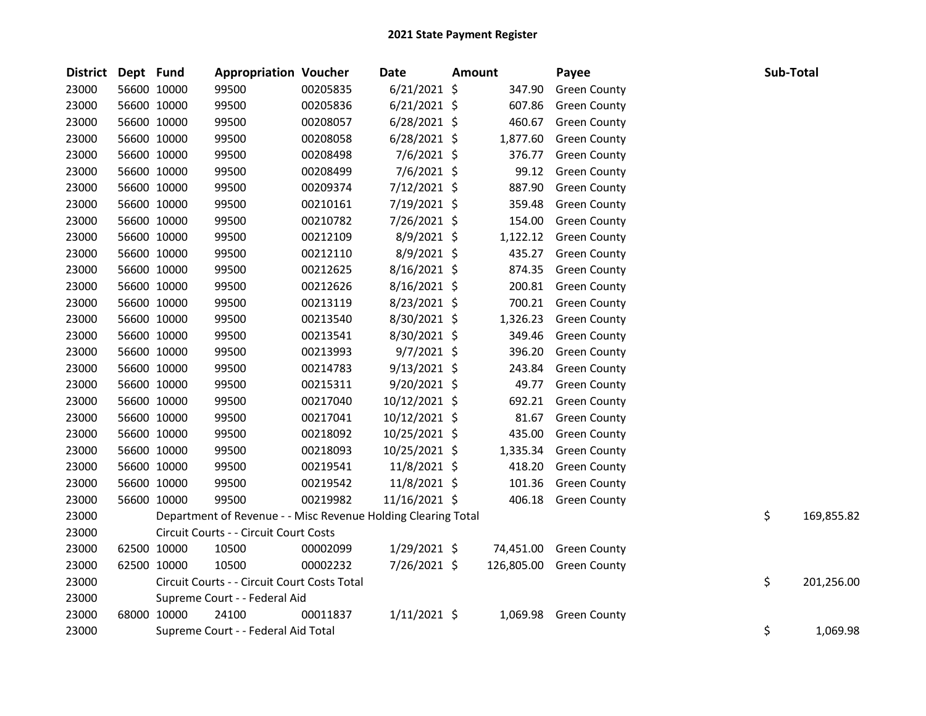| <b>District</b> | Dept Fund |             | <b>Appropriation Voucher</b>                                  |          | Date           | Amount |           | Payee                   | Sub-Total |            |
|-----------------|-----------|-------------|---------------------------------------------------------------|----------|----------------|--------|-----------|-------------------------|-----------|------------|
| 23000           |           | 56600 10000 | 99500                                                         | 00205835 | $6/21/2021$ \$ |        | 347.90    | <b>Green County</b>     |           |            |
| 23000           |           | 56600 10000 | 99500                                                         | 00205836 | $6/21/2021$ \$ |        | 607.86    | <b>Green County</b>     |           |            |
| 23000           |           | 56600 10000 | 99500                                                         | 00208057 | $6/28/2021$ \$ |        | 460.67    | <b>Green County</b>     |           |            |
| 23000           |           | 56600 10000 | 99500                                                         | 00208058 | $6/28/2021$ \$ |        | 1,877.60  | <b>Green County</b>     |           |            |
| 23000           |           | 56600 10000 | 99500                                                         | 00208498 | $7/6/2021$ \$  |        | 376.77    | <b>Green County</b>     |           |            |
| 23000           |           | 56600 10000 | 99500                                                         | 00208499 | $7/6/2021$ \$  |        | 99.12     | <b>Green County</b>     |           |            |
| 23000           |           | 56600 10000 | 99500                                                         | 00209374 | $7/12/2021$ \$ |        | 887.90    | <b>Green County</b>     |           |            |
| 23000           |           | 56600 10000 | 99500                                                         | 00210161 | 7/19/2021 \$   |        | 359.48    | <b>Green County</b>     |           |            |
| 23000           |           | 56600 10000 | 99500                                                         | 00210782 | 7/26/2021 \$   |        | 154.00    | <b>Green County</b>     |           |            |
| 23000           |           | 56600 10000 | 99500                                                         | 00212109 | 8/9/2021 \$    |        | 1,122.12  | <b>Green County</b>     |           |            |
| 23000           |           | 56600 10000 | 99500                                                         | 00212110 | 8/9/2021 \$    |        | 435.27    | <b>Green County</b>     |           |            |
| 23000           |           | 56600 10000 | 99500                                                         | 00212625 | 8/16/2021 \$   |        | 874.35    | <b>Green County</b>     |           |            |
| 23000           |           | 56600 10000 | 99500                                                         | 00212626 | $8/16/2021$ \$ |        | 200.81    | <b>Green County</b>     |           |            |
| 23000           |           | 56600 10000 | 99500                                                         | 00213119 | 8/23/2021 \$   |        | 700.21    | <b>Green County</b>     |           |            |
| 23000           |           | 56600 10000 | 99500                                                         | 00213540 | 8/30/2021 \$   |        | 1,326.23  | <b>Green County</b>     |           |            |
| 23000           |           | 56600 10000 | 99500                                                         | 00213541 | 8/30/2021 \$   |        | 349.46    | <b>Green County</b>     |           |            |
| 23000           |           | 56600 10000 | 99500                                                         | 00213993 | $9/7/2021$ \$  |        | 396.20    | <b>Green County</b>     |           |            |
| 23000           |           | 56600 10000 | 99500                                                         | 00214783 | $9/13/2021$ \$ |        | 243.84    | <b>Green County</b>     |           |            |
| 23000           |           | 56600 10000 | 99500                                                         | 00215311 | 9/20/2021 \$   |        | 49.77     | <b>Green County</b>     |           |            |
| 23000           |           | 56600 10000 | 99500                                                         | 00217040 | 10/12/2021 \$  |        | 692.21    | <b>Green County</b>     |           |            |
| 23000           |           | 56600 10000 | 99500                                                         | 00217041 | 10/12/2021 \$  |        | 81.67     | <b>Green County</b>     |           |            |
| 23000           |           | 56600 10000 | 99500                                                         | 00218092 | 10/25/2021 \$  |        | 435.00    | <b>Green County</b>     |           |            |
| 23000           |           | 56600 10000 | 99500                                                         | 00218093 | 10/25/2021 \$  |        | 1,335.34  | <b>Green County</b>     |           |            |
| 23000           |           | 56600 10000 | 99500                                                         | 00219541 | 11/8/2021 \$   |        | 418.20    | <b>Green County</b>     |           |            |
| 23000           |           | 56600 10000 | 99500                                                         | 00219542 | 11/8/2021 \$   |        | 101.36    | <b>Green County</b>     |           |            |
| 23000           |           | 56600 10000 | 99500                                                         | 00219982 | 11/16/2021 \$  |        | 406.18    | <b>Green County</b>     |           |            |
| 23000           |           |             | Department of Revenue - - Misc Revenue Holding Clearing Total |          |                |        |           |                         | \$        | 169,855.82 |
| 23000           |           |             | Circuit Courts - - Circuit Court Costs                        |          |                |        |           |                         |           |            |
| 23000           |           | 62500 10000 | 10500                                                         | 00002099 | $1/29/2021$ \$ |        | 74,451.00 | <b>Green County</b>     |           |            |
| 23000           |           | 62500 10000 | 10500                                                         | 00002232 | 7/26/2021 \$   |        |           | 126,805.00 Green County |           |            |
| 23000           |           |             | Circuit Courts - - Circuit Court Costs Total                  |          |                |        |           |                         | \$        | 201,256.00 |
| 23000           |           |             | Supreme Court - - Federal Aid                                 |          |                |        |           |                         |           |            |
| 23000           |           | 68000 10000 | 24100                                                         | 00011837 | $1/11/2021$ \$ |        | 1,069.98  | <b>Green County</b>     |           |            |
| 23000           |           |             | Supreme Court - - Federal Aid Total                           |          |                |        |           |                         | \$        | 1,069.98   |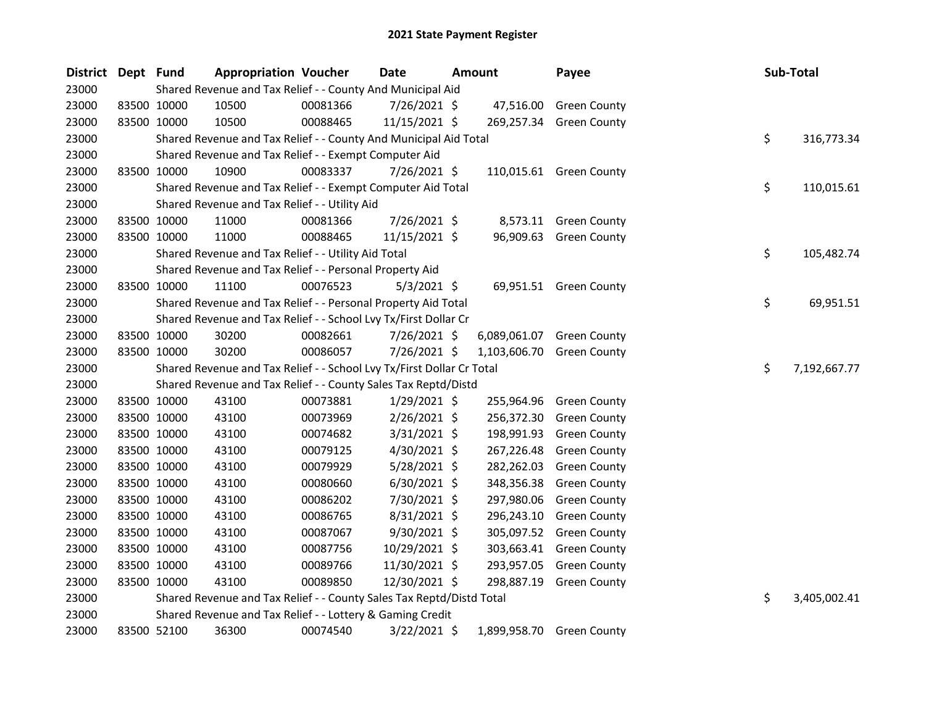| District Dept Fund |             |             | <b>Appropriation Voucher</b>                                          |          | Date           | Amount       | Payee                     |    | Sub-Total    |
|--------------------|-------------|-------------|-----------------------------------------------------------------------|----------|----------------|--------------|---------------------------|----|--------------|
| 23000              |             |             | Shared Revenue and Tax Relief - - County And Municipal Aid            |          |                |              |                           |    |              |
| 23000              |             | 83500 10000 | 10500                                                                 | 00081366 | 7/26/2021 \$   |              | 47,516.00 Green County    |    |              |
| 23000              |             | 83500 10000 | 10500                                                                 | 00088465 | 11/15/2021 \$  |              | 269,257.34 Green County   |    |              |
| 23000              |             |             | Shared Revenue and Tax Relief - - County And Municipal Aid Total      |          |                |              |                           | \$ | 316,773.34   |
| 23000              |             |             | Shared Revenue and Tax Relief - - Exempt Computer Aid                 |          |                |              |                           |    |              |
| 23000              |             | 83500 10000 | 10900                                                                 | 00083337 | 7/26/2021 \$   |              | 110,015.61 Green County   |    |              |
| 23000              |             |             | Shared Revenue and Tax Relief - - Exempt Computer Aid Total           |          |                |              |                           | \$ | 110,015.61   |
| 23000              |             |             | Shared Revenue and Tax Relief - - Utility Aid                         |          |                |              |                           |    |              |
| 23000              |             | 83500 10000 | 11000                                                                 | 00081366 | 7/26/2021 \$   |              | 8,573.11 Green County     |    |              |
| 23000              |             | 83500 10000 | 11000                                                                 | 00088465 | 11/15/2021 \$  |              | 96,909.63 Green County    |    |              |
| 23000              |             |             | Shared Revenue and Tax Relief - - Utility Aid Total                   |          |                |              |                           | \$ | 105,482.74   |
| 23000              |             |             | Shared Revenue and Tax Relief - - Personal Property Aid               |          |                |              |                           |    |              |
| 23000              |             | 83500 10000 | 11100                                                                 | 00076523 | $5/3/2021$ \$  |              | 69,951.51 Green County    |    |              |
| 23000              |             |             | Shared Revenue and Tax Relief - - Personal Property Aid Total         |          |                |              |                           | \$ | 69,951.51    |
| 23000              |             |             | Shared Revenue and Tax Relief - - School Lvy Tx/First Dollar Cr       |          |                |              |                           |    |              |
| 23000              |             | 83500 10000 | 30200                                                                 | 00082661 | 7/26/2021 \$   | 6,089,061.07 | <b>Green County</b>       |    |              |
| 23000              |             | 83500 10000 | 30200                                                                 | 00086057 | 7/26/2021 \$   | 1,103,606.70 | <b>Green County</b>       |    |              |
| 23000              |             |             | Shared Revenue and Tax Relief - - School Lvy Tx/First Dollar Cr Total |          |                |              |                           | \$ | 7,192,667.77 |
| 23000              |             |             | Shared Revenue and Tax Relief - - County Sales Tax Reptd/Distd        |          |                |              |                           |    |              |
| 23000              |             | 83500 10000 | 43100                                                                 | 00073881 | $1/29/2021$ \$ | 255,964.96   | <b>Green County</b>       |    |              |
| 23000              |             | 83500 10000 | 43100                                                                 | 00073969 | $2/26/2021$ \$ | 256,372.30   | <b>Green County</b>       |    |              |
| 23000              |             | 83500 10000 | 43100                                                                 | 00074682 | $3/31/2021$ \$ | 198,991.93   | <b>Green County</b>       |    |              |
| 23000              |             | 83500 10000 | 43100                                                                 | 00079125 | 4/30/2021 \$   | 267,226.48   | <b>Green County</b>       |    |              |
| 23000              |             | 83500 10000 | 43100                                                                 | 00079929 | 5/28/2021 \$   | 282,262.03   | <b>Green County</b>       |    |              |
| 23000              |             | 83500 10000 | 43100                                                                 | 00080660 | $6/30/2021$ \$ | 348,356.38   | <b>Green County</b>       |    |              |
| 23000              |             | 83500 10000 | 43100                                                                 | 00086202 | 7/30/2021 \$   | 297,980.06   | <b>Green County</b>       |    |              |
| 23000              |             | 83500 10000 | 43100                                                                 | 00086765 | 8/31/2021 \$   | 296,243.10   | <b>Green County</b>       |    |              |
| 23000              |             | 83500 10000 | 43100                                                                 | 00087067 | 9/30/2021 \$   | 305,097.52   | <b>Green County</b>       |    |              |
| 23000              |             | 83500 10000 | 43100                                                                 | 00087756 | 10/29/2021 \$  | 303,663.41   | <b>Green County</b>       |    |              |
| 23000              |             | 83500 10000 | 43100                                                                 | 00089766 | 11/30/2021 \$  | 293,957.05   | <b>Green County</b>       |    |              |
| 23000              |             | 83500 10000 | 43100                                                                 | 00089850 | 12/30/2021 \$  | 298,887.19   | <b>Green County</b>       |    |              |
| 23000              |             |             | Shared Revenue and Tax Relief - - County Sales Tax Reptd/Distd Total  |          |                |              |                           | \$ | 3,405,002.41 |
| 23000              |             |             | Shared Revenue and Tax Relief - - Lottery & Gaming Credit             |          |                |              |                           |    |              |
| 23000              | 83500 52100 |             | 36300                                                                 | 00074540 | 3/22/2021 \$   |              | 1,899,958.70 Green County |    |              |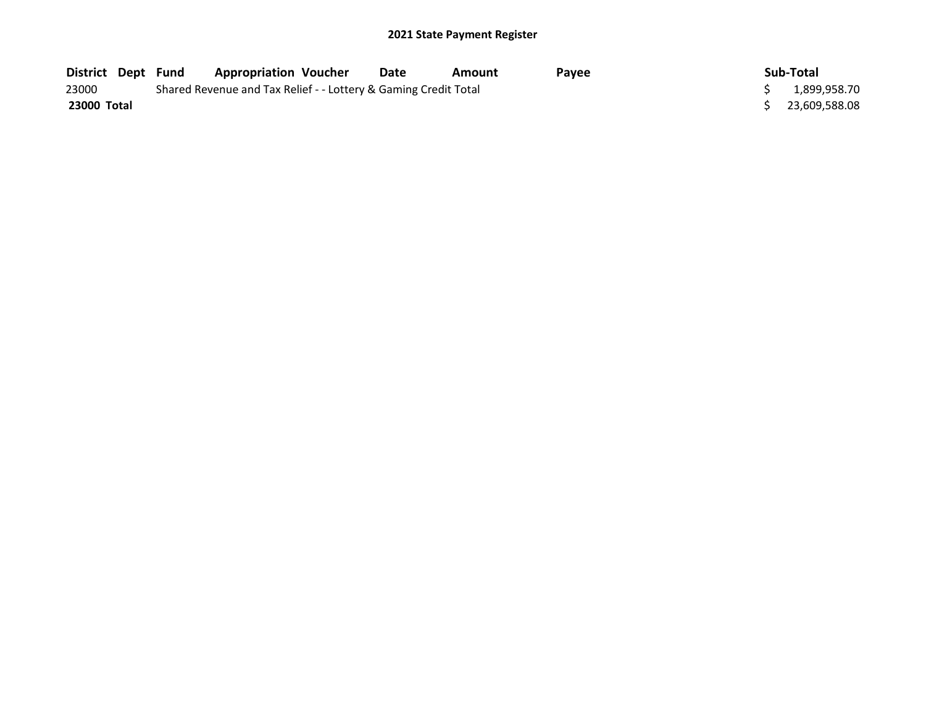| District Dept Fund | <b>Appropriation Voucher</b>                                    |  | Date | Amount | Pavee | Sub-Total       |
|--------------------|-----------------------------------------------------------------|--|------|--------|-------|-----------------|
| 23000              | Shared Revenue and Tax Relief - - Lottery & Gaming Credit Total |  |      |        |       | 1,899,958.70    |
| 23000 Total        |                                                                 |  |      |        |       | \$23,609,588.08 |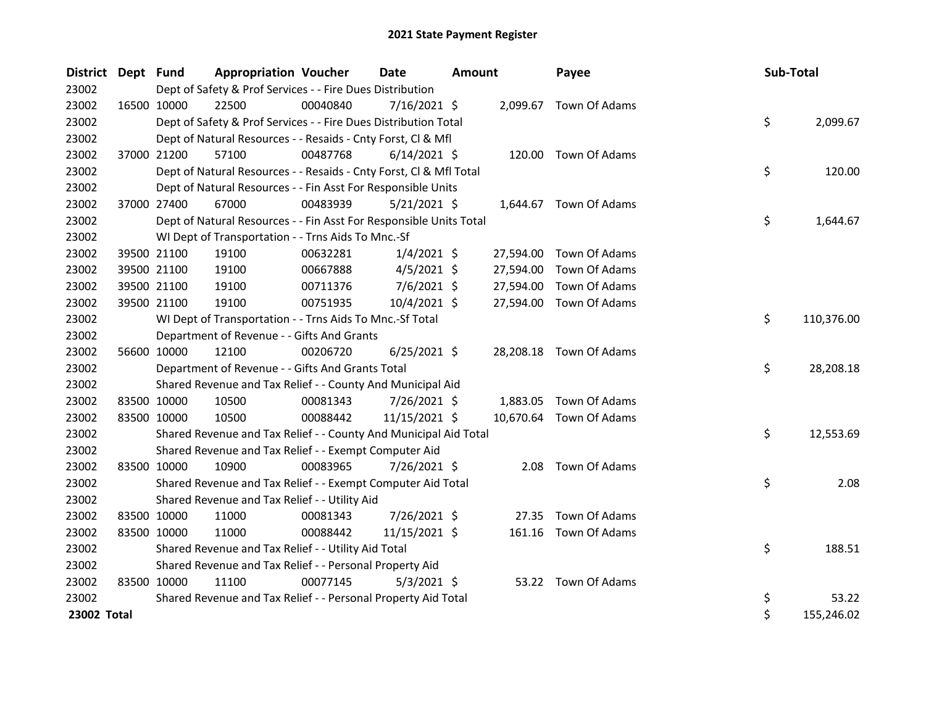| <b>District</b> | Dept Fund   |             | <b>Appropriation Voucher</b>                                       |          | <b>Date</b>    | <b>Amount</b> |           | Payee                   | Sub-Total |            |
|-----------------|-------------|-------------|--------------------------------------------------------------------|----------|----------------|---------------|-----------|-------------------------|-----------|------------|
| 23002           |             |             | Dept of Safety & Prof Services - - Fire Dues Distribution          |          |                |               |           |                         |           |            |
| 23002           | 16500 10000 |             | 22500                                                              | 00040840 | $7/16/2021$ \$ |               |           | 2,099.67 Town Of Adams  |           |            |
| 23002           |             |             | Dept of Safety & Prof Services - - Fire Dues Distribution Total    |          |                |               |           |                         | \$        | 2,099.67   |
| 23002           |             |             | Dept of Natural Resources - - Resaids - Cnty Forst, Cl & Mfl       |          |                |               |           |                         |           |            |
| 23002           |             | 37000 21200 | 57100                                                              | 00487768 | $6/14/2021$ \$ |               |           | 120.00 Town Of Adams    |           |            |
| 23002           |             |             | Dept of Natural Resources - - Resaids - Cnty Forst, CI & Mfl Total |          |                |               |           |                         | \$        | 120.00     |
| 23002           |             |             | Dept of Natural Resources - - Fin Asst For Responsible Units       |          |                |               |           |                         |           |            |
| 23002           |             | 37000 27400 | 67000                                                              | 00483939 | $5/21/2021$ \$ |               |           | 1,644.67 Town Of Adams  |           |            |
| 23002           |             |             | Dept of Natural Resources - - Fin Asst For Responsible Units Total |          |                |               |           |                         | \$        | 1,644.67   |
| 23002           |             |             | WI Dept of Transportation - - Trns Aids To Mnc.-Sf                 |          |                |               |           |                         |           |            |
| 23002           |             | 39500 21100 | 19100                                                              | 00632281 | $1/4/2021$ \$  |               | 27,594.00 | Town Of Adams           |           |            |
| 23002           |             | 39500 21100 | 19100                                                              | 00667888 | $4/5/2021$ \$  |               | 27,594.00 | Town Of Adams           |           |            |
| 23002           |             | 39500 21100 | 19100                                                              | 00711376 | $7/6/2021$ \$  |               | 27,594.00 | Town Of Adams           |           |            |
| 23002           | 39500 21100 |             | 19100                                                              | 00751935 | 10/4/2021 \$   |               |           | 27,594.00 Town Of Adams |           |            |
| 23002           |             |             | WI Dept of Transportation - - Trns Aids To Mnc.-Sf Total           |          |                |               |           |                         | \$        | 110,376.00 |
| 23002           |             |             | Department of Revenue - - Gifts And Grants                         |          |                |               |           |                         |           |            |
| 23002           |             | 56600 10000 | 12100                                                              | 00206720 | $6/25/2021$ \$ |               |           | 28,208.18 Town Of Adams |           |            |
| 23002           |             |             | Department of Revenue - - Gifts And Grants Total                   |          |                |               |           |                         | \$        | 28,208.18  |
| 23002           |             |             | Shared Revenue and Tax Relief - - County And Municipal Aid         |          |                |               |           |                         |           |            |
| 23002           |             | 83500 10000 | 10500                                                              | 00081343 | 7/26/2021 \$   |               | 1,883.05  | Town Of Adams           |           |            |
| 23002           |             | 83500 10000 | 10500                                                              | 00088442 | 11/15/2021 \$  |               | 10,670.64 | Town Of Adams           |           |            |
| 23002           |             |             | Shared Revenue and Tax Relief - - County And Municipal Aid Total   |          |                |               |           |                         | \$        | 12,553.69  |
| 23002           |             |             | Shared Revenue and Tax Relief - - Exempt Computer Aid              |          |                |               |           |                         |           |            |
| 23002           |             | 83500 10000 | 10900                                                              | 00083965 | 7/26/2021 \$   |               | 2.08      | Town Of Adams           |           |            |
| 23002           |             |             | Shared Revenue and Tax Relief - - Exempt Computer Aid Total        |          |                |               |           |                         | \$        | 2.08       |
| 23002           |             |             | Shared Revenue and Tax Relief - - Utility Aid                      |          |                |               |           |                         |           |            |
| 23002           | 83500 10000 |             | 11000                                                              | 00081343 | 7/26/2021 \$   |               | 27.35     | Town Of Adams           |           |            |
| 23002           |             | 83500 10000 | 11000                                                              | 00088442 | 11/15/2021 \$  |               |           | 161.16 Town Of Adams    |           |            |
| 23002           |             |             | Shared Revenue and Tax Relief - - Utility Aid Total                |          |                |               |           |                         | \$        | 188.51     |
| 23002           |             |             | Shared Revenue and Tax Relief - - Personal Property Aid            |          |                |               |           |                         |           |            |
| 23002           | 83500 10000 |             | 11100                                                              | 00077145 | $5/3/2021$ \$  |               |           | 53.22 Town Of Adams     |           |            |
| 23002           |             |             | Shared Revenue and Tax Relief - - Personal Property Aid Total      |          |                |               |           |                         | \$        | 53.22      |
| 23002 Total     |             |             |                                                                    |          |                |               |           |                         | \$        | 155,246.02 |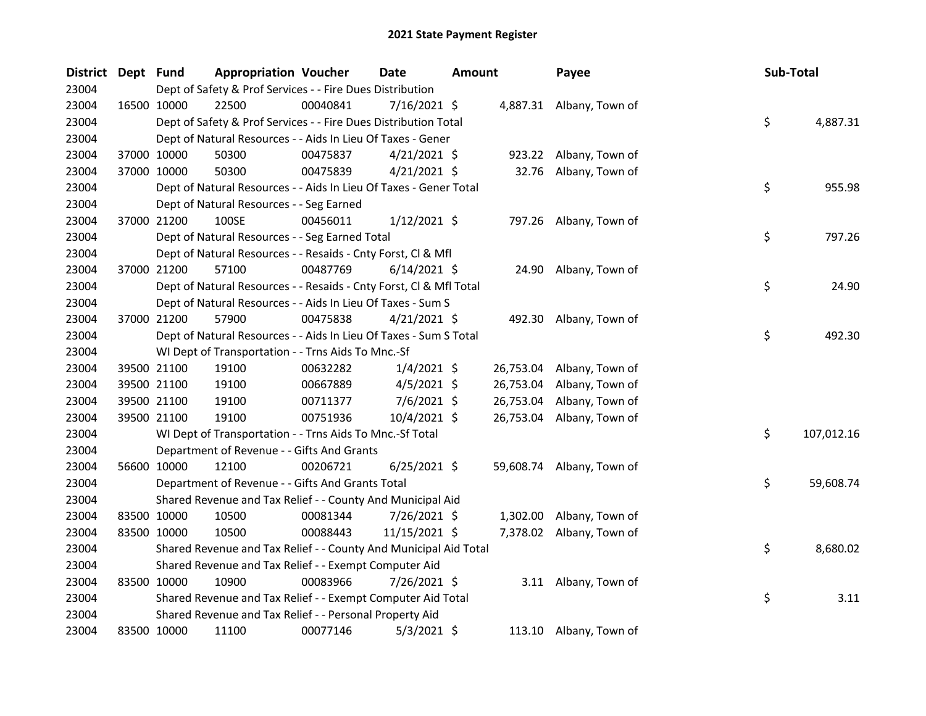| <b>District</b> | Dept Fund   |             | <b>Appropriation Voucher</b>                                       |          | <b>Date</b>    | <b>Amount</b> |          | Payee                     | Sub-Total |            |
|-----------------|-------------|-------------|--------------------------------------------------------------------|----------|----------------|---------------|----------|---------------------------|-----------|------------|
| 23004           |             |             | Dept of Safety & Prof Services - - Fire Dues Distribution          |          |                |               |          |                           |           |            |
| 23004           | 16500 10000 |             | 22500                                                              | 00040841 | $7/16/2021$ \$ |               |          | 4,887.31 Albany, Town of  |           |            |
| 23004           |             |             | Dept of Safety & Prof Services - - Fire Dues Distribution Total    |          |                |               |          |                           | \$        | 4,887.31   |
| 23004           |             |             | Dept of Natural Resources - - Aids In Lieu Of Taxes - Gener        |          |                |               |          |                           |           |            |
| 23004           |             | 37000 10000 | 50300                                                              | 00475837 | $4/21/2021$ \$ |               |          | 923.22 Albany, Town of    |           |            |
| 23004           |             | 37000 10000 | 50300                                                              | 00475839 | $4/21/2021$ \$ |               |          | 32.76 Albany, Town of     |           |            |
| 23004           |             |             | Dept of Natural Resources - - Aids In Lieu Of Taxes - Gener Total  |          |                |               |          |                           | \$        | 955.98     |
| 23004           |             |             | Dept of Natural Resources - - Seg Earned                           |          |                |               |          |                           |           |            |
| 23004           |             | 37000 21200 | 100SE                                                              | 00456011 | $1/12/2021$ \$ |               |          | 797.26 Albany, Town of    |           |            |
| 23004           |             |             | Dept of Natural Resources - - Seg Earned Total                     |          |                |               |          |                           | \$        | 797.26     |
| 23004           |             |             | Dept of Natural Resources - - Resaids - Cnty Forst, Cl & Mfl       |          |                |               |          |                           |           |            |
| 23004           |             | 37000 21200 | 57100                                                              | 00487769 | 6/14/2021 \$   |               |          | 24.90 Albany, Town of     |           |            |
| 23004           |             |             | Dept of Natural Resources - - Resaids - Cnty Forst, Cl & Mfl Total |          |                |               |          |                           | \$        | 24.90      |
| 23004           |             |             | Dept of Natural Resources - - Aids In Lieu Of Taxes - Sum S        |          |                |               |          |                           |           |            |
| 23004           | 37000 21200 |             | 57900                                                              | 00475838 | $4/21/2021$ \$ |               |          | 492.30 Albany, Town of    |           |            |
| 23004           |             |             | Dept of Natural Resources - - Aids In Lieu Of Taxes - Sum S Total  |          |                |               |          |                           | \$        | 492.30     |
| 23004           |             |             | WI Dept of Transportation - - Trns Aids To Mnc.-Sf                 |          |                |               |          |                           |           |            |
| 23004           |             | 39500 21100 | 19100                                                              | 00632282 | $1/4/2021$ \$  |               |          | 26,753.04 Albany, Town of |           |            |
| 23004           |             | 39500 21100 | 19100                                                              | 00667889 | $4/5/2021$ \$  |               |          | 26,753.04 Albany, Town of |           |            |
| 23004           |             | 39500 21100 | 19100                                                              | 00711377 | $7/6/2021$ \$  |               |          | 26,753.04 Albany, Town of |           |            |
| 23004           |             | 39500 21100 | 19100                                                              | 00751936 | 10/4/2021 \$   |               |          | 26,753.04 Albany, Town of |           |            |
| 23004           |             |             | WI Dept of Transportation - - Trns Aids To Mnc.-Sf Total           |          |                |               |          |                           | \$        | 107,012.16 |
| 23004           |             |             | Department of Revenue - - Gifts And Grants                         |          |                |               |          |                           |           |            |
| 23004           |             | 56600 10000 | 12100                                                              | 00206721 | $6/25/2021$ \$ |               |          | 59,608.74 Albany, Town of |           |            |
| 23004           |             |             | Department of Revenue - - Gifts And Grants Total                   |          |                |               |          |                           | \$        | 59,608.74  |
| 23004           |             |             | Shared Revenue and Tax Relief - - County And Municipal Aid         |          |                |               |          |                           |           |            |
| 23004           |             | 83500 10000 | 10500                                                              | 00081344 | 7/26/2021 \$   |               | 1,302.00 | Albany, Town of           |           |            |
| 23004           |             | 83500 10000 | 10500                                                              | 00088443 | 11/15/2021 \$  |               | 7,378.02 | Albany, Town of           |           |            |
| 23004           |             |             | Shared Revenue and Tax Relief - - County And Municipal Aid Total   |          |                |               |          |                           | \$        | 8,680.02   |
| 23004           |             |             | Shared Revenue and Tax Relief - - Exempt Computer Aid              |          |                |               |          |                           |           |            |
| 23004           | 83500 10000 |             | 10900                                                              | 00083966 | 7/26/2021 \$   |               |          | 3.11 Albany, Town of      |           |            |
| 23004           |             |             | Shared Revenue and Tax Relief - - Exempt Computer Aid Total        |          |                |               |          |                           | \$        | 3.11       |
| 23004           |             |             | Shared Revenue and Tax Relief - - Personal Property Aid            |          |                |               |          |                           |           |            |
| 23004           | 83500 10000 |             | 11100                                                              | 00077146 | $5/3/2021$ \$  |               |          | 113.10 Albany, Town of    |           |            |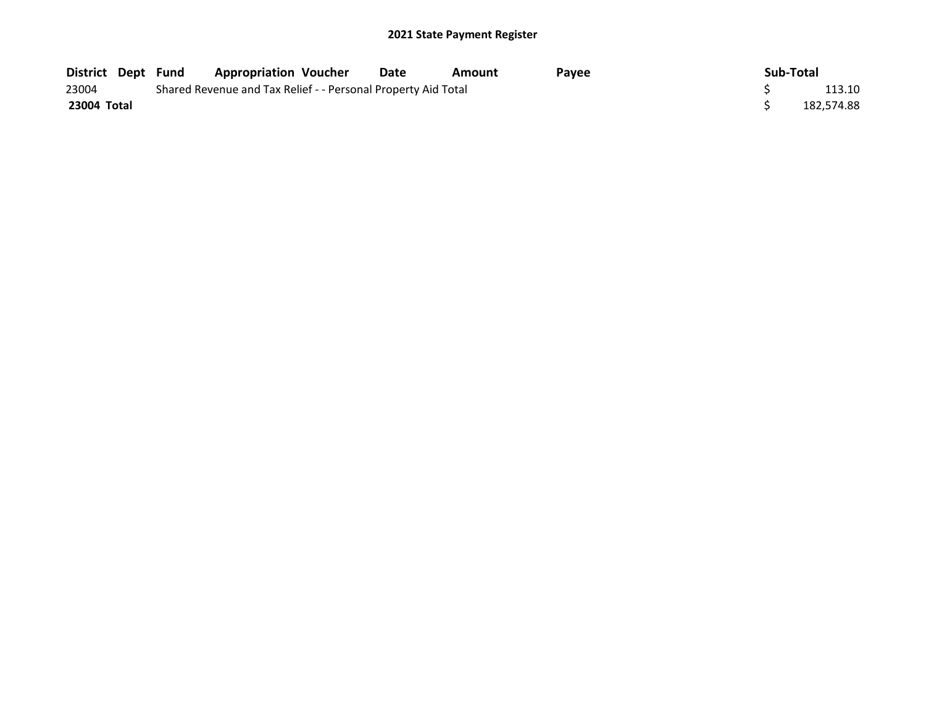| <b>District Dept Fund</b> |  | <b>Appropriation Voucher</b>                                  | Date | Amount | Pavee | Sub-Total  |
|---------------------------|--|---------------------------------------------------------------|------|--------|-------|------------|
| 23004                     |  | Shared Revenue and Tax Relief - - Personal Property Aid Total |      |        |       | 113.10     |
| 23004 Total               |  |                                                               |      |        |       | 182.574.88 |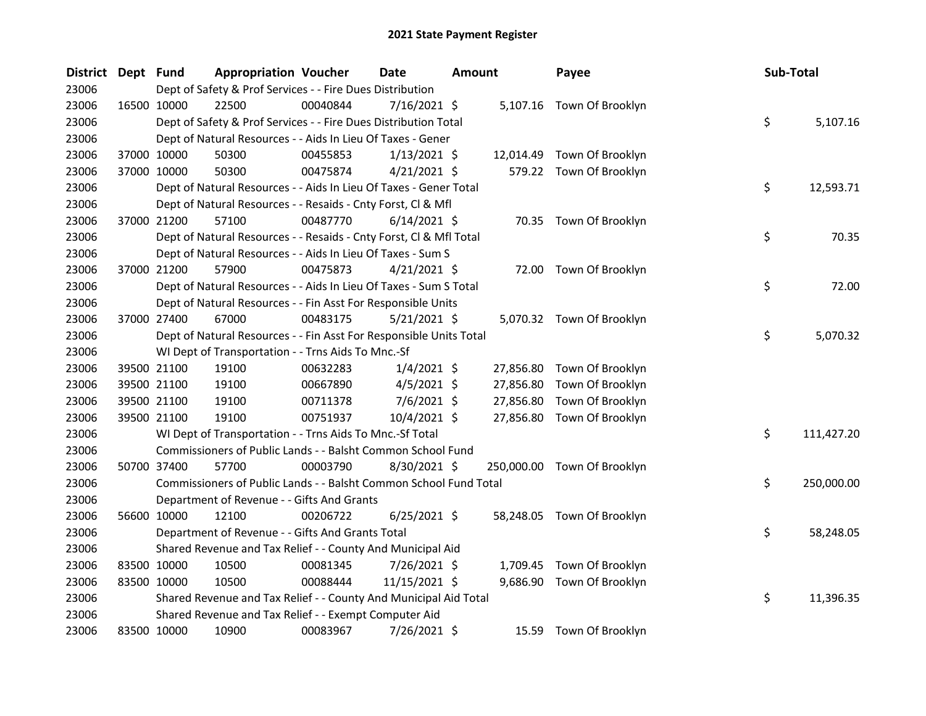| District Dept Fund |             |             | <b>Appropriation Voucher</b>                                       |          | Date           | <b>Amount</b> |           | Payee                       | Sub-Total |            |
|--------------------|-------------|-------------|--------------------------------------------------------------------|----------|----------------|---------------|-----------|-----------------------------|-----------|------------|
| 23006              |             |             | Dept of Safety & Prof Services - - Fire Dues Distribution          |          |                |               |           |                             |           |            |
| 23006              |             | 16500 10000 | 22500                                                              | 00040844 | $7/16/2021$ \$ |               |           | 5,107.16 Town Of Brooklyn   |           |            |
| 23006              |             |             | Dept of Safety & Prof Services - - Fire Dues Distribution Total    |          |                |               |           |                             | \$        | 5,107.16   |
| 23006              |             |             | Dept of Natural Resources - - Aids In Lieu Of Taxes - Gener        |          |                |               |           |                             |           |            |
| 23006              |             | 37000 10000 | 50300                                                              | 00455853 | $1/13/2021$ \$ |               | 12,014.49 | Town Of Brooklyn            |           |            |
| 23006              |             | 37000 10000 | 50300                                                              | 00475874 | $4/21/2021$ \$ |               |           | 579.22 Town Of Brooklyn     |           |            |
| 23006              |             |             | Dept of Natural Resources - - Aids In Lieu Of Taxes - Gener Total  |          |                |               |           |                             | \$        | 12,593.71  |
| 23006              |             |             | Dept of Natural Resources - - Resaids - Cnty Forst, Cl & Mfl       |          |                |               |           |                             |           |            |
| 23006              |             | 37000 21200 | 57100                                                              | 00487770 | $6/14/2021$ \$ |               |           | 70.35 Town Of Brooklyn      |           |            |
| 23006              |             |             | Dept of Natural Resources - - Resaids - Cnty Forst, CI & Mfl Total |          |                |               |           |                             | \$        | 70.35      |
| 23006              |             |             | Dept of Natural Resources - - Aids In Lieu Of Taxes - Sum S        |          |                |               |           |                             |           |            |
| 23006              |             | 37000 21200 | 57900                                                              | 00475873 | $4/21/2021$ \$ |               |           | 72.00 Town Of Brooklyn      |           |            |
| 23006              |             |             | Dept of Natural Resources - - Aids In Lieu Of Taxes - Sum S Total  |          |                |               |           |                             | \$        | 72.00      |
| 23006              |             |             | Dept of Natural Resources - - Fin Asst For Responsible Units       |          |                |               |           |                             |           |            |
| 23006              |             | 37000 27400 | 67000                                                              | 00483175 | 5/21/2021 \$   |               |           | 5,070.32 Town Of Brooklyn   |           |            |
| 23006              |             |             | Dept of Natural Resources - - Fin Asst For Responsible Units Total |          |                |               |           |                             | \$        | 5,070.32   |
| 23006              |             |             | WI Dept of Transportation - - Trns Aids To Mnc.-Sf                 |          |                |               |           |                             |           |            |
| 23006              |             | 39500 21100 | 19100                                                              | 00632283 | $1/4/2021$ \$  |               | 27,856.80 | Town Of Brooklyn            |           |            |
| 23006              |             | 39500 21100 | 19100                                                              | 00667890 | $4/5/2021$ \$  |               | 27,856.80 | Town Of Brooklyn            |           |            |
| 23006              |             | 39500 21100 | 19100                                                              | 00711378 | $7/6/2021$ \$  |               | 27,856.80 | Town Of Brooklyn            |           |            |
| 23006              |             | 39500 21100 | 19100                                                              | 00751937 | 10/4/2021 \$   |               | 27,856.80 | Town Of Brooklyn            |           |            |
| 23006              |             |             | WI Dept of Transportation - - Trns Aids To Mnc.-Sf Total           |          |                |               |           |                             | \$        | 111,427.20 |
| 23006              |             |             | Commissioners of Public Lands - - Balsht Common School Fund        |          |                |               |           |                             |           |            |
| 23006              |             | 50700 37400 | 57700                                                              | 00003790 | 8/30/2021 \$   |               |           | 250,000.00 Town Of Brooklyn |           |            |
| 23006              |             |             | Commissioners of Public Lands - - Balsht Common School Fund Total  |          |                |               |           |                             | \$        | 250,000.00 |
| 23006              |             |             | Department of Revenue - - Gifts And Grants                         |          |                |               |           |                             |           |            |
| 23006              |             | 56600 10000 | 12100                                                              | 00206722 | $6/25/2021$ \$ |               |           | 58,248.05 Town Of Brooklyn  |           |            |
| 23006              |             |             | Department of Revenue - - Gifts And Grants Total                   |          |                |               |           |                             | \$        | 58,248.05  |
| 23006              |             |             | Shared Revenue and Tax Relief - - County And Municipal Aid         |          |                |               |           |                             |           |            |
| 23006              |             | 83500 10000 | 10500                                                              | 00081345 | 7/26/2021 \$   |               |           | 1,709.45 Town Of Brooklyn   |           |            |
| 23006              |             | 83500 10000 | 10500                                                              | 00088444 | 11/15/2021 \$  |               | 9,686.90  | Town Of Brooklyn            |           |            |
| 23006              |             |             | Shared Revenue and Tax Relief - - County And Municipal Aid Total   |          |                |               |           |                             | \$        | 11,396.35  |
| 23006              |             |             | Shared Revenue and Tax Relief - - Exempt Computer Aid              |          |                |               |           |                             |           |            |
| 23006              | 83500 10000 |             | 10900                                                              | 00083967 | 7/26/2021 \$   |               |           | 15.59 Town Of Brooklyn      |           |            |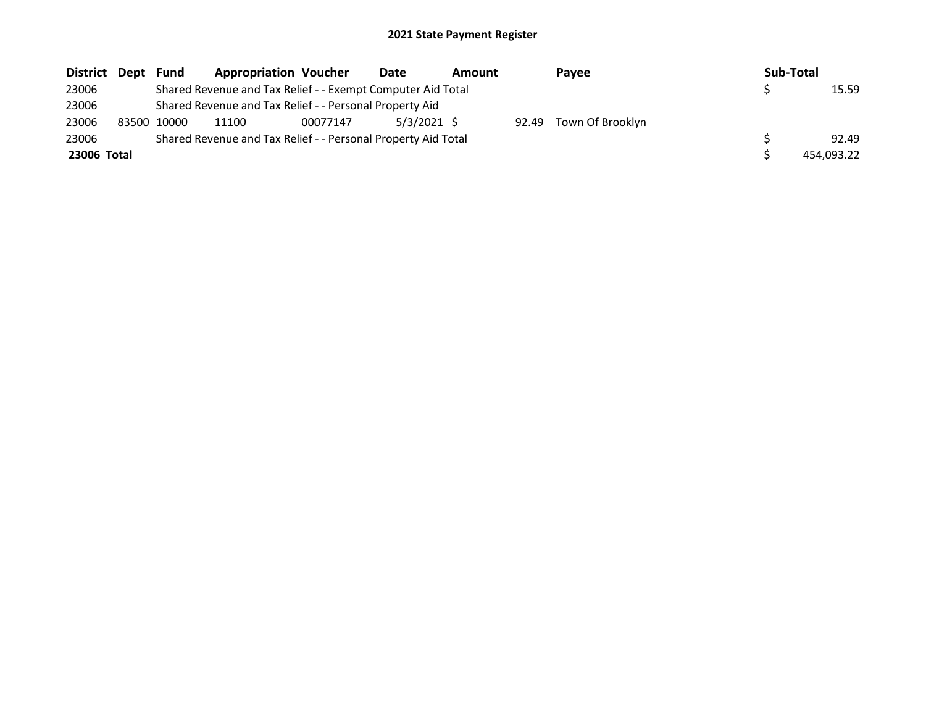| District Dept | Fund        | <b>Appropriation Voucher</b>                                  |          | Date          | Amount |       | Payee            | Sub-Total |            |
|---------------|-------------|---------------------------------------------------------------|----------|---------------|--------|-------|------------------|-----------|------------|
| 23006         |             | Shared Revenue and Tax Relief - - Exempt Computer Aid Total   |          |               |        |       |                  |           | 15.59      |
| 23006         |             | Shared Revenue and Tax Relief - - Personal Property Aid       |          |               |        |       |                  |           |            |
| 23006         | 83500 10000 | 11100                                                         | 00077147 | $5/3/2021$ \$ |        | 92.49 | Town Of Brooklyn |           |            |
| 23006         |             | Shared Revenue and Tax Relief - - Personal Property Aid Total |          |               |        |       |                  |           | 92.49      |
| 23006 Total   |             |                                                               |          |               |        |       |                  |           | 454.093.22 |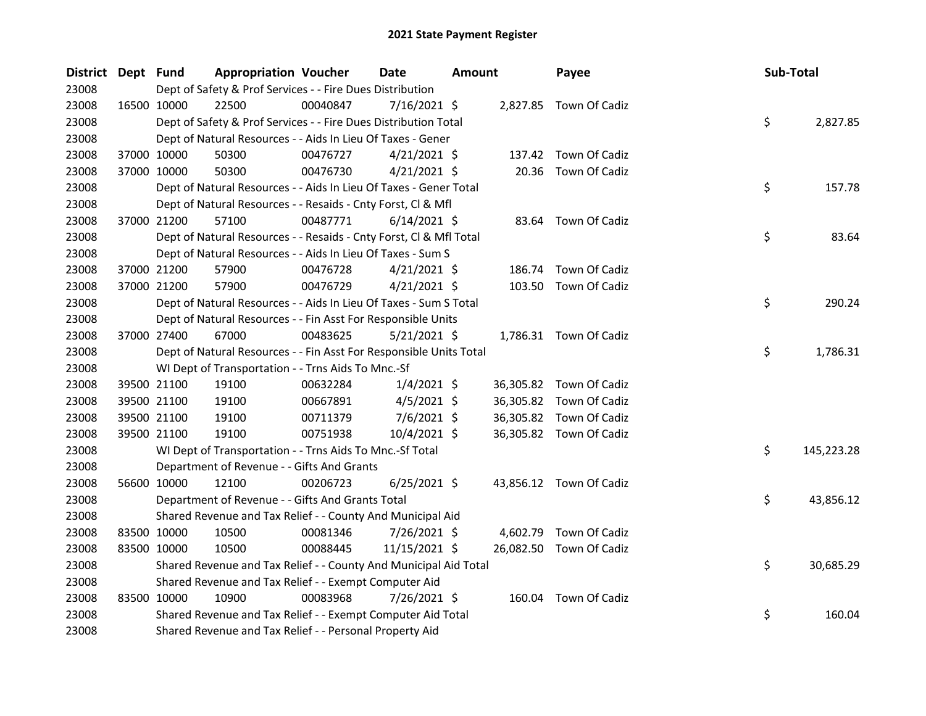| District Dept Fund |             |             | <b>Appropriation Voucher</b>                                       |          | <b>Date</b>    | <b>Amount</b> |           | Payee                   | Sub-Total |            |
|--------------------|-------------|-------------|--------------------------------------------------------------------|----------|----------------|---------------|-----------|-------------------------|-----------|------------|
| 23008              |             |             | Dept of Safety & Prof Services - - Fire Dues Distribution          |          |                |               |           |                         |           |            |
| 23008              |             | 16500 10000 | 22500                                                              | 00040847 | $7/16/2021$ \$ |               |           | 2,827.85 Town Of Cadiz  |           |            |
| 23008              |             |             | Dept of Safety & Prof Services - - Fire Dues Distribution Total    |          |                |               |           |                         | \$        | 2,827.85   |
| 23008              |             |             | Dept of Natural Resources - - Aids In Lieu Of Taxes - Gener        |          |                |               |           |                         |           |            |
| 23008              |             | 37000 10000 | 50300                                                              | 00476727 | $4/21/2021$ \$ |               | 137.42    | Town Of Cadiz           |           |            |
| 23008              |             | 37000 10000 | 50300                                                              | 00476730 | $4/21/2021$ \$ |               | 20.36     | Town Of Cadiz           |           |            |
| 23008              |             |             | Dept of Natural Resources - - Aids In Lieu Of Taxes - Gener Total  |          |                |               |           |                         | \$        | 157.78     |
| 23008              |             |             | Dept of Natural Resources - - Resaids - Cnty Forst, Cl & Mfl       |          |                |               |           |                         |           |            |
| 23008              |             | 37000 21200 | 57100                                                              | 00487771 | $6/14/2021$ \$ |               |           | 83.64 Town Of Cadiz     |           |            |
| 23008              |             |             | Dept of Natural Resources - - Resaids - Cnty Forst, Cl & Mfl Total |          |                |               |           |                         | \$        | 83.64      |
| 23008              |             |             | Dept of Natural Resources - - Aids In Lieu Of Taxes - Sum S        |          |                |               |           |                         |           |            |
| 23008              |             | 37000 21200 | 57900                                                              | 00476728 | $4/21/2021$ \$ |               | 186.74    | Town Of Cadiz           |           |            |
| 23008              | 37000 21200 |             | 57900                                                              | 00476729 | $4/21/2021$ \$ |               |           | 103.50 Town Of Cadiz    |           |            |
| 23008              |             |             | Dept of Natural Resources - - Aids In Lieu Of Taxes - Sum S Total  |          |                |               |           |                         | \$        | 290.24     |
| 23008              |             |             | Dept of Natural Resources - - Fin Asst For Responsible Units       |          |                |               |           |                         |           |            |
| 23008              |             | 37000 27400 | 67000                                                              | 00483625 | $5/21/2021$ \$ |               |           | 1,786.31 Town Of Cadiz  |           |            |
| 23008              |             |             | Dept of Natural Resources - - Fin Asst For Responsible Units Total |          |                |               |           |                         | \$        | 1,786.31   |
| 23008              |             |             | WI Dept of Transportation - - Trns Aids To Mnc.-Sf                 |          |                |               |           |                         |           |            |
| 23008              |             | 39500 21100 | 19100                                                              | 00632284 | $1/4/2021$ \$  |               |           | 36,305.82 Town Of Cadiz |           |            |
| 23008              |             | 39500 21100 | 19100                                                              | 00667891 | $4/5/2021$ \$  |               | 36,305.82 | Town Of Cadiz           |           |            |
| 23008              |             | 39500 21100 | 19100                                                              | 00711379 | $7/6/2021$ \$  |               | 36,305.82 | Town Of Cadiz           |           |            |
| 23008              |             | 39500 21100 | 19100                                                              | 00751938 | 10/4/2021 \$   |               |           | 36,305.82 Town Of Cadiz |           |            |
| 23008              |             |             | WI Dept of Transportation - - Trns Aids To Mnc.-Sf Total           |          |                |               |           |                         | \$        | 145,223.28 |
| 23008              |             |             | Department of Revenue - - Gifts And Grants                         |          |                |               |           |                         |           |            |
| 23008              |             | 56600 10000 | 12100                                                              | 00206723 | $6/25/2021$ \$ |               |           | 43,856.12 Town Of Cadiz |           |            |
| 23008              |             |             | Department of Revenue - - Gifts And Grants Total                   |          |                |               |           |                         | \$        | 43,856.12  |
| 23008              |             |             | Shared Revenue and Tax Relief - - County And Municipal Aid         |          |                |               |           |                         |           |            |
| 23008              |             | 83500 10000 | 10500                                                              | 00081346 | $7/26/2021$ \$ |               | 4,602.79  | Town Of Cadiz           |           |            |
| 23008              |             | 83500 10000 | 10500                                                              | 00088445 | 11/15/2021 \$  |               |           | 26,082.50 Town Of Cadiz |           |            |
| 23008              |             |             | Shared Revenue and Tax Relief - - County And Municipal Aid Total   |          |                |               |           |                         | \$        | 30,685.29  |
| 23008              |             |             | Shared Revenue and Tax Relief - - Exempt Computer Aid              |          |                |               |           |                         |           |            |
| 23008              |             | 83500 10000 | 10900                                                              | 00083968 | 7/26/2021 \$   |               |           | 160.04 Town Of Cadiz    |           |            |
| 23008              |             |             | Shared Revenue and Tax Relief - - Exempt Computer Aid Total        |          |                |               |           |                         | \$        | 160.04     |
| 23008              |             |             | Shared Revenue and Tax Relief - - Personal Property Aid            |          |                |               |           |                         |           |            |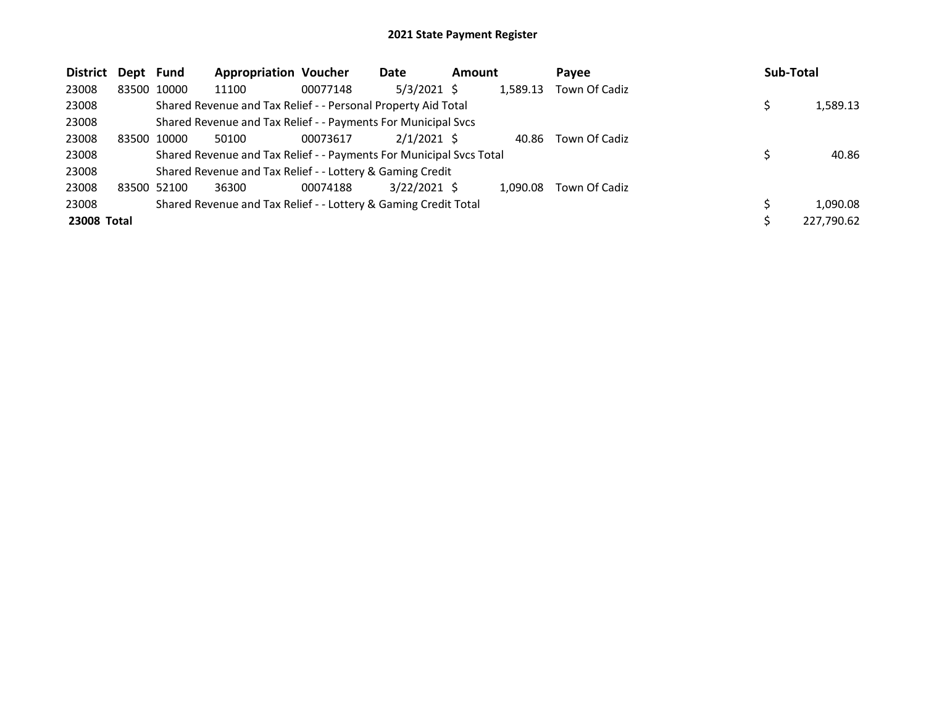| <b>District</b> | Dept Fund |             | <b>Appropriation Voucher</b>                                        |          | Date           | <b>Amount</b> |          | Payee         | Sub-Total  |
|-----------------|-----------|-------------|---------------------------------------------------------------------|----------|----------------|---------------|----------|---------------|------------|
| 23008           |           | 83500 10000 | 11100                                                               | 00077148 | $5/3/2021$ \$  |               | 1,589.13 | Town Of Cadiz |            |
| 23008           |           |             | Shared Revenue and Tax Relief - - Personal Property Aid Total       |          |                |               |          |               | 1,589.13   |
| 23008           |           |             | Shared Revenue and Tax Relief - - Payments For Municipal Svcs       |          |                |               |          |               |            |
| 23008           |           | 83500 10000 | 50100                                                               | 00073617 | $2/1/2021$ \$  |               | 40.86    | Town Of Cadiz |            |
| 23008           |           |             | Shared Revenue and Tax Relief - - Payments For Municipal Svcs Total |          |                |               |          |               | 40.86      |
| 23008           |           |             | Shared Revenue and Tax Relief - - Lottery & Gaming Credit           |          |                |               |          |               |            |
| 23008           |           | 83500 52100 | 36300                                                               | 00074188 | $3/22/2021$ \$ |               | 1.090.08 | Town Of Cadiz |            |
| 23008           |           |             | Shared Revenue and Tax Relief - - Lottery & Gaming Credit Total     |          |                |               |          |               | 1,090.08   |
| 23008 Total     |           |             |                                                                     |          |                |               |          |               | 227,790.62 |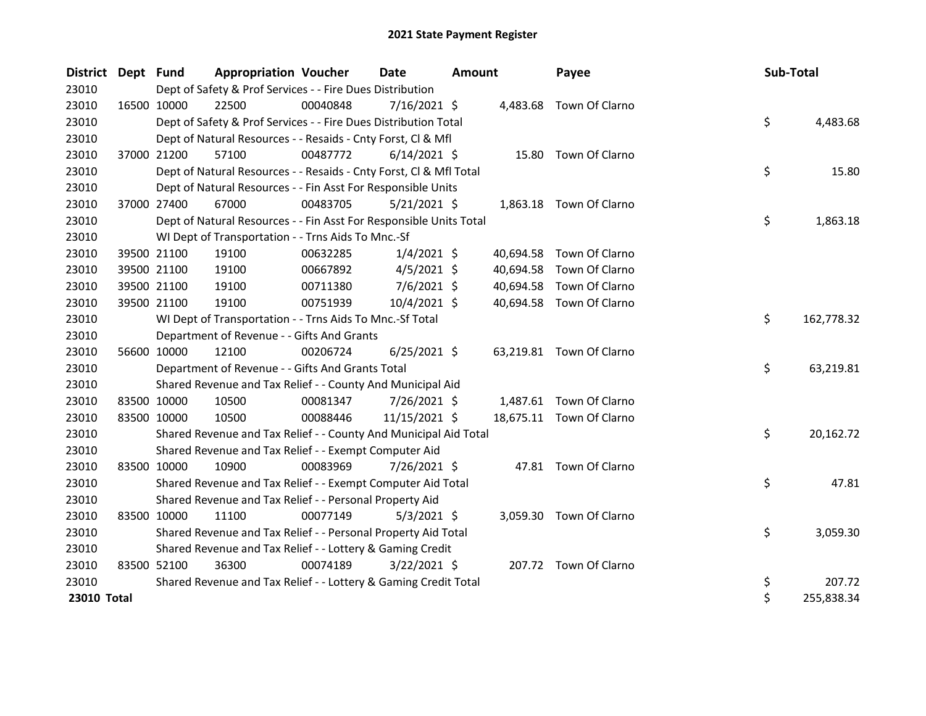| <b>District</b> | Dept Fund   |             | <b>Appropriation Voucher</b>                                       |          | <b>Date</b>    | <b>Amount</b> |           | Payee                    |  | Sub-Total |            |
|-----------------|-------------|-------------|--------------------------------------------------------------------|----------|----------------|---------------|-----------|--------------------------|--|-----------|------------|
| 23010           |             |             | Dept of Safety & Prof Services - - Fire Dues Distribution          |          |                |               |           |                          |  |           |            |
| 23010           |             | 16500 10000 | 22500                                                              | 00040848 | $7/16/2021$ \$ |               |           | 4,483.68 Town Of Clarno  |  |           |            |
| 23010           |             |             | Dept of Safety & Prof Services - - Fire Dues Distribution Total    |          |                |               |           |                          |  | \$        | 4,483.68   |
| 23010           |             |             | Dept of Natural Resources - - Resaids - Cnty Forst, Cl & Mfl       |          |                |               |           |                          |  |           |            |
| 23010           |             | 37000 21200 | 57100                                                              | 00487772 | $6/14/2021$ \$ |               | 15.80     | Town Of Clarno           |  |           |            |
| 23010           |             |             | Dept of Natural Resources - - Resaids - Cnty Forst, Cl & Mfl Total |          |                |               |           |                          |  | \$        | 15.80      |
| 23010           |             |             | Dept of Natural Resources - - Fin Asst For Responsible Units       |          |                |               |           |                          |  |           |            |
| 23010           | 37000 27400 |             | 67000                                                              | 00483705 | $5/21/2021$ \$ |               |           | 1,863.18 Town Of Clarno  |  |           |            |
| 23010           |             |             | Dept of Natural Resources - - Fin Asst For Responsible Units Total |          |                |               |           |                          |  | \$        | 1,863.18   |
| 23010           |             |             | WI Dept of Transportation - - Trns Aids To Mnc.-Sf                 |          |                |               |           |                          |  |           |            |
| 23010           |             | 39500 21100 | 19100                                                              | 00632285 | $1/4/2021$ \$  |               | 40,694.58 | Town Of Clarno           |  |           |            |
| 23010           |             | 39500 21100 | 19100                                                              | 00667892 | $4/5/2021$ \$  |               | 40,694.58 | Town Of Clarno           |  |           |            |
| 23010           |             | 39500 21100 | 19100                                                              | 00711380 | 7/6/2021 \$    |               | 40,694.58 | Town Of Clarno           |  |           |            |
| 23010           | 39500 21100 |             | 19100                                                              | 00751939 | 10/4/2021 \$   |               |           | 40,694.58 Town Of Clarno |  |           |            |
| 23010           |             |             | WI Dept of Transportation - - Trns Aids To Mnc.-Sf Total           |          |                |               |           |                          |  | \$        | 162,778.32 |
| 23010           |             |             | Department of Revenue - - Gifts And Grants                         |          |                |               |           |                          |  |           |            |
| 23010           |             | 56600 10000 | 12100                                                              | 00206724 | $6/25/2021$ \$ |               |           | 63,219.81 Town Of Clarno |  |           |            |
| 23010           |             |             | Department of Revenue - - Gifts And Grants Total                   |          |                |               |           |                          |  | \$        | 63,219.81  |
| 23010           |             |             | Shared Revenue and Tax Relief - - County And Municipal Aid         |          |                |               |           |                          |  |           |            |
| 23010           | 83500 10000 |             | 10500                                                              | 00081347 | 7/26/2021 \$   |               |           | 1,487.61 Town Of Clarno  |  |           |            |
| 23010           | 83500 10000 |             | 10500                                                              | 00088446 | 11/15/2021 \$  |               |           | 18,675.11 Town Of Clarno |  |           |            |
| 23010           |             |             | Shared Revenue and Tax Relief - - County And Municipal Aid Total   |          |                |               |           |                          |  | \$        | 20,162.72  |
| 23010           |             |             | Shared Revenue and Tax Relief - - Exempt Computer Aid              |          |                |               |           |                          |  |           |            |
| 23010           | 83500 10000 |             | 10900                                                              | 00083969 | 7/26/2021 \$   |               |           | 47.81 Town Of Clarno     |  |           |            |
| 23010           |             |             | Shared Revenue and Tax Relief - - Exempt Computer Aid Total        |          |                |               |           |                          |  | \$        | 47.81      |
| 23010           |             |             | Shared Revenue and Tax Relief - - Personal Property Aid            |          |                |               |           |                          |  |           |            |
| 23010           | 83500 10000 |             | 11100                                                              | 00077149 | $5/3/2021$ \$  |               |           | 3,059.30 Town Of Clarno  |  |           |            |
| 23010           |             |             | Shared Revenue and Tax Relief - - Personal Property Aid Total      |          |                |               |           |                          |  | \$        | 3,059.30   |
| 23010           |             |             | Shared Revenue and Tax Relief - - Lottery & Gaming Credit          |          |                |               |           |                          |  |           |            |
| 23010           | 83500 52100 |             | 36300                                                              | 00074189 | $3/22/2021$ \$ |               |           | 207.72 Town Of Clarno    |  |           |            |
| 23010           |             |             | Shared Revenue and Tax Relief - - Lottery & Gaming Credit Total    |          |                |               |           |                          |  | \$        | 207.72     |
| 23010 Total     |             |             |                                                                    |          |                |               |           |                          |  | \$        | 255,838.34 |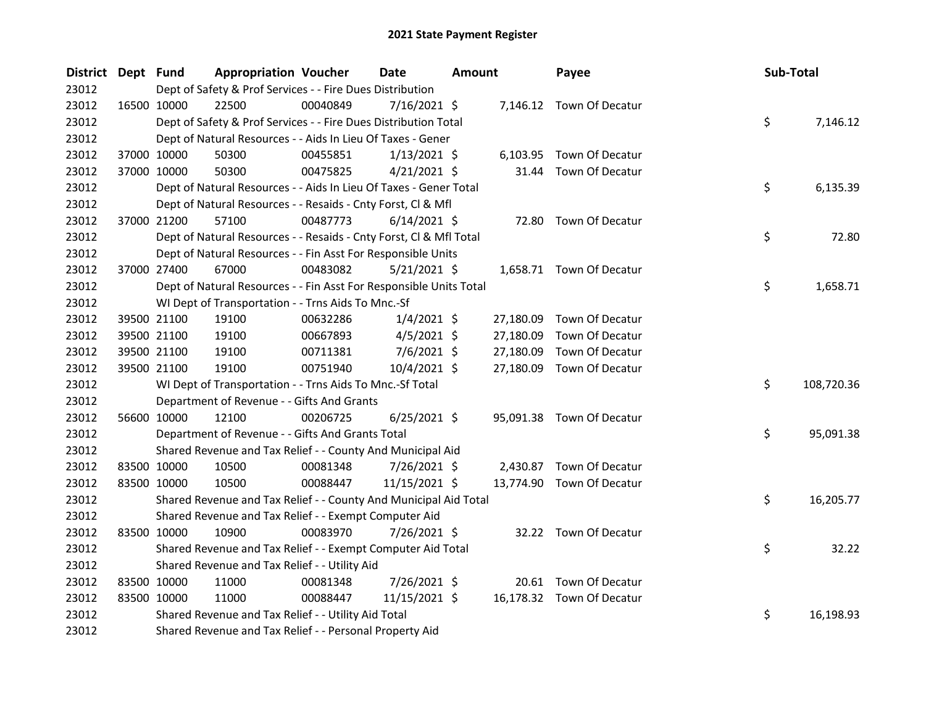| <b>District</b> | Dept Fund |             | <b>Appropriation Voucher</b>                                       |          | Date           | <b>Amount</b> |           | Payee                     | Sub-Total |            |
|-----------------|-----------|-------------|--------------------------------------------------------------------|----------|----------------|---------------|-----------|---------------------------|-----------|------------|
| 23012           |           |             | Dept of Safety & Prof Services - - Fire Dues Distribution          |          |                |               |           |                           |           |            |
| 23012           |           | 16500 10000 | 22500                                                              | 00040849 | 7/16/2021 \$   |               |           | 7,146.12 Town Of Decatur  |           |            |
| 23012           |           |             | Dept of Safety & Prof Services - - Fire Dues Distribution Total    |          |                |               |           |                           | \$        | 7,146.12   |
| 23012           |           |             | Dept of Natural Resources - - Aids In Lieu Of Taxes - Gener        |          |                |               |           |                           |           |            |
| 23012           |           | 37000 10000 | 50300                                                              | 00455851 | $1/13/2021$ \$ |               |           | 6,103.95 Town Of Decatur  |           |            |
| 23012           |           | 37000 10000 | 50300                                                              | 00475825 | $4/21/2021$ \$ |               | 31.44     | Town Of Decatur           |           |            |
| 23012           |           |             | Dept of Natural Resources - - Aids In Lieu Of Taxes - Gener Total  |          |                |               |           |                           | \$        | 6,135.39   |
| 23012           |           |             | Dept of Natural Resources - - Resaids - Cnty Forst, Cl & Mfl       |          |                |               |           |                           |           |            |
| 23012           |           | 37000 21200 | 57100                                                              | 00487773 | $6/14/2021$ \$ |               |           | 72.80 Town Of Decatur     |           |            |
| 23012           |           |             | Dept of Natural Resources - - Resaids - Cnty Forst, Cl & Mfl Total |          |                |               |           |                           | \$        | 72.80      |
| 23012           |           |             | Dept of Natural Resources - - Fin Asst For Responsible Units       |          |                |               |           |                           |           |            |
| 23012           |           | 37000 27400 | 67000                                                              | 00483082 | $5/21/2021$ \$ |               |           | 1,658.71 Town Of Decatur  |           |            |
| 23012           |           |             | Dept of Natural Resources - - Fin Asst For Responsible Units Total |          |                |               |           |                           | \$        | 1,658.71   |
| 23012           |           |             | WI Dept of Transportation - - Trns Aids To Mnc.-Sf                 |          |                |               |           |                           |           |            |
| 23012           |           | 39500 21100 | 19100                                                              | 00632286 | $1/4/2021$ \$  |               | 27,180.09 | Town Of Decatur           |           |            |
| 23012           |           | 39500 21100 | 19100                                                              | 00667893 | $4/5/2021$ \$  |               | 27,180.09 | Town Of Decatur           |           |            |
| 23012           |           | 39500 21100 | 19100                                                              | 00711381 | $7/6/2021$ \$  |               | 27,180.09 | Town Of Decatur           |           |            |
| 23012           |           | 39500 21100 | 19100                                                              | 00751940 | 10/4/2021 \$   |               | 27,180.09 | Town Of Decatur           |           |            |
| 23012           |           |             | WI Dept of Transportation - - Trns Aids To Mnc.-Sf Total           |          |                |               |           |                           | \$        | 108,720.36 |
| 23012           |           |             | Department of Revenue - - Gifts And Grants                         |          |                |               |           |                           |           |            |
| 23012           |           | 56600 10000 | 12100                                                              | 00206725 | $6/25/2021$ \$ |               |           | 95,091.38 Town Of Decatur |           |            |
| 23012           |           |             | Department of Revenue - - Gifts And Grants Total                   |          |                |               |           |                           | \$.       | 95,091.38  |
| 23012           |           |             | Shared Revenue and Tax Relief - - County And Municipal Aid         |          |                |               |           |                           |           |            |
| 23012           |           | 83500 10000 | 10500                                                              | 00081348 | 7/26/2021 \$   |               |           | 2,430.87 Town Of Decatur  |           |            |
| 23012           |           | 83500 10000 | 10500                                                              | 00088447 | 11/15/2021 \$  |               |           | 13,774.90 Town Of Decatur |           |            |
| 23012           |           |             | Shared Revenue and Tax Relief - - County And Municipal Aid Total   |          |                |               |           |                           | \$        | 16,205.77  |
| 23012           |           |             | Shared Revenue and Tax Relief - - Exempt Computer Aid              |          |                |               |           |                           |           |            |
| 23012           |           | 83500 10000 | 10900                                                              | 00083970 | 7/26/2021 \$   |               |           | 32.22 Town Of Decatur     |           |            |
| 23012           |           |             | Shared Revenue and Tax Relief - - Exempt Computer Aid Total        |          |                |               |           |                           | \$        | 32.22      |
| 23012           |           |             | Shared Revenue and Tax Relief - - Utility Aid                      |          |                |               |           |                           |           |            |
| 23012           |           | 83500 10000 | 11000                                                              | 00081348 | 7/26/2021 \$   |               |           | 20.61 Town Of Decatur     |           |            |
| 23012           |           | 83500 10000 | 11000                                                              | 00088447 | 11/15/2021 \$  |               |           | 16,178.32 Town Of Decatur |           |            |
| 23012           |           |             | Shared Revenue and Tax Relief - - Utility Aid Total                |          |                |               |           |                           | \$        | 16,198.93  |
| 23012           |           |             | Shared Revenue and Tax Relief - - Personal Property Aid            |          |                |               |           |                           |           |            |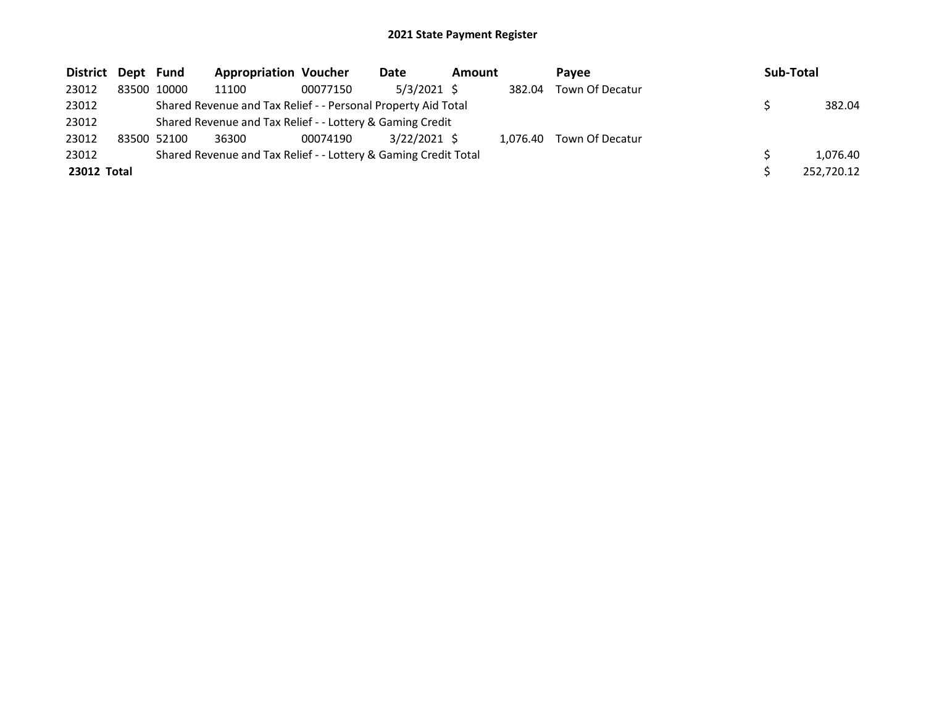| District Dept Fund |             | <b>Appropriation Voucher</b>                                    |          | Date           | Amount |          | Pavee           | Sub-Total  |
|--------------------|-------------|-----------------------------------------------------------------|----------|----------------|--------|----------|-----------------|------------|
| 23012              | 83500 10000 | 11100                                                           | 00077150 | $5/3/2021$ \$  |        | 382.04   | Town Of Decatur |            |
| 23012              |             | Shared Revenue and Tax Relief - - Personal Property Aid Total   |          |                |        |          |                 | 382.04     |
| 23012              |             | Shared Revenue and Tax Relief - - Lottery & Gaming Credit       |          |                |        |          |                 |            |
| 23012              | 83500 52100 | 36300                                                           | 00074190 | $3/22/2021$ \$ |        | 1.076.40 | Town Of Decatur |            |
| 23012              |             | Shared Revenue and Tax Relief - - Lottery & Gaming Credit Total |          |                |        |          |                 | 1.076.40   |
| 23012 Total        |             |                                                                 |          |                |        |          |                 | 252,720.12 |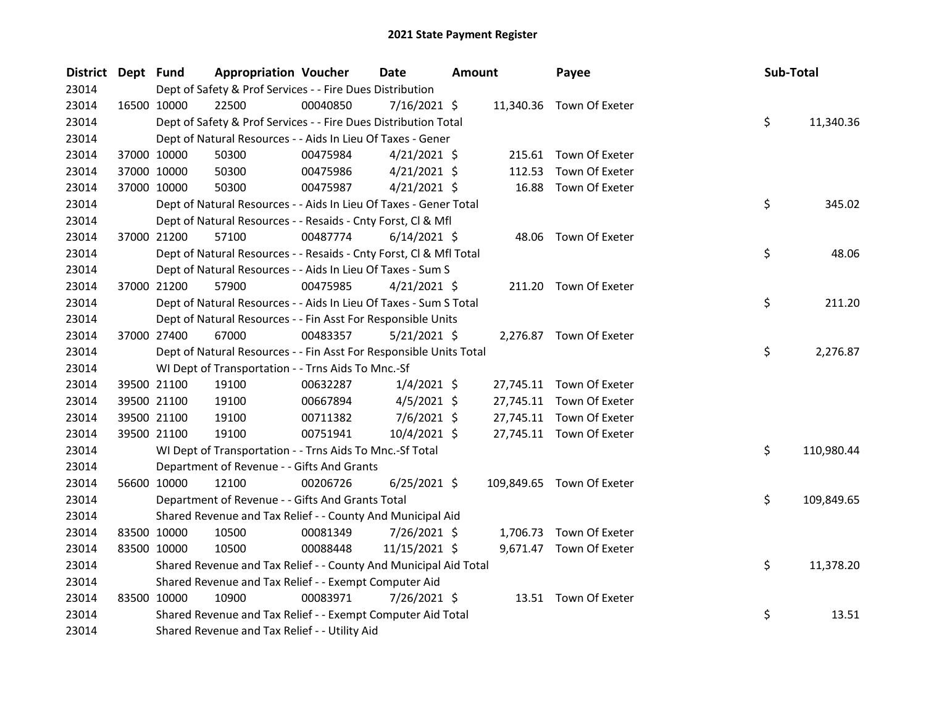| District Dept Fund |             | <b>Appropriation Voucher</b>                                       |          | <b>Date</b>    | <b>Amount</b> |           | Payee                     | Sub-Total |            |
|--------------------|-------------|--------------------------------------------------------------------|----------|----------------|---------------|-----------|---------------------------|-----------|------------|
| 23014              |             | Dept of Safety & Prof Services - - Fire Dues Distribution          |          |                |               |           |                           |           |            |
| 23014              | 16500 10000 | 22500                                                              | 00040850 | $7/16/2021$ \$ |               |           | 11,340.36 Town Of Exeter  |           |            |
| 23014              |             | Dept of Safety & Prof Services - - Fire Dues Distribution Total    |          |                |               |           |                           | \$        | 11,340.36  |
| 23014              |             | Dept of Natural Resources - - Aids In Lieu Of Taxes - Gener        |          |                |               |           |                           |           |            |
| 23014              | 37000 10000 | 50300                                                              | 00475984 | $4/21/2021$ \$ |               |           | 215.61 Town Of Exeter     |           |            |
| 23014              | 37000 10000 | 50300                                                              | 00475986 | $4/21/2021$ \$ |               | 112.53    | Town Of Exeter            |           |            |
| 23014              | 37000 10000 | 50300                                                              | 00475987 | $4/21/2021$ \$ |               | 16.88     | Town Of Exeter            |           |            |
| 23014              |             | Dept of Natural Resources - - Aids In Lieu Of Taxes - Gener Total  |          |                |               |           |                           | \$        | 345.02     |
| 23014              |             | Dept of Natural Resources - - Resaids - Cnty Forst, Cl & Mfl       |          |                |               |           |                           |           |            |
| 23014              | 37000 21200 | 57100                                                              | 00487774 | $6/14/2021$ \$ |               |           | 48.06 Town Of Exeter      |           |            |
| 23014              |             | Dept of Natural Resources - - Resaids - Cnty Forst, CI & Mfl Total |          |                |               |           |                           | \$        | 48.06      |
| 23014              |             | Dept of Natural Resources - - Aids In Lieu Of Taxes - Sum S        |          |                |               |           |                           |           |            |
| 23014              | 37000 21200 | 57900                                                              | 00475985 | $4/21/2021$ \$ |               |           | 211.20 Town Of Exeter     |           |            |
| 23014              |             | Dept of Natural Resources - - Aids In Lieu Of Taxes - Sum S Total  |          |                |               |           |                           | \$        | 211.20     |
| 23014              |             | Dept of Natural Resources - - Fin Asst For Responsible Units       |          |                |               |           |                           |           |            |
| 23014              | 37000 27400 | 67000                                                              | 00483357 | $5/21/2021$ \$ |               |           | 2,276.87 Town Of Exeter   |           |            |
| 23014              |             | Dept of Natural Resources - - Fin Asst For Responsible Units Total |          |                |               |           |                           | \$        | 2,276.87   |
| 23014              |             | WI Dept of Transportation - - Trns Aids To Mnc.-Sf                 |          |                |               |           |                           |           |            |
| 23014              | 39500 21100 | 19100                                                              | 00632287 | $1/4/2021$ \$  |               |           | 27,745.11 Town Of Exeter  |           |            |
| 23014              | 39500 21100 | 19100                                                              | 00667894 | $4/5/2021$ \$  |               |           | 27,745.11 Town Of Exeter  |           |            |
| 23014              | 39500 21100 | 19100                                                              | 00711382 | $7/6/2021$ \$  |               | 27,745.11 | Town Of Exeter            |           |            |
| 23014              | 39500 21100 | 19100                                                              | 00751941 | 10/4/2021 \$   |               |           | 27,745.11 Town Of Exeter  |           |            |
| 23014              |             | WI Dept of Transportation - - Trns Aids To Mnc.-Sf Total           |          |                |               |           |                           | \$        | 110,980.44 |
| 23014              |             | Department of Revenue - - Gifts And Grants                         |          |                |               |           |                           |           |            |
| 23014              | 56600 10000 | 12100                                                              | 00206726 | $6/25/2021$ \$ |               |           | 109,849.65 Town Of Exeter |           |            |
| 23014              |             | Department of Revenue - - Gifts And Grants Total                   |          |                |               |           |                           | \$        | 109,849.65 |
| 23014              |             | Shared Revenue and Tax Relief - - County And Municipal Aid         |          |                |               |           |                           |           |            |
| 23014              | 83500 10000 | 10500                                                              | 00081349 | 7/26/2021 \$   |               |           | 1,706.73 Town Of Exeter   |           |            |
| 23014              | 83500 10000 | 10500                                                              | 00088448 | 11/15/2021 \$  |               |           | 9,671.47 Town Of Exeter   |           |            |
| 23014              |             | Shared Revenue and Tax Relief - - County And Municipal Aid Total   |          |                |               |           |                           | \$        | 11,378.20  |
| 23014              |             | Shared Revenue and Tax Relief - - Exempt Computer Aid              |          |                |               |           |                           |           |            |
| 23014              | 83500 10000 | 10900                                                              | 00083971 | 7/26/2021 \$   |               |           | 13.51 Town Of Exeter      |           |            |
| 23014              |             | Shared Revenue and Tax Relief - - Exempt Computer Aid Total        |          |                |               |           |                           | \$        | 13.51      |
| 23014              |             | Shared Revenue and Tax Relief - - Utility Aid                      |          |                |               |           |                           |           |            |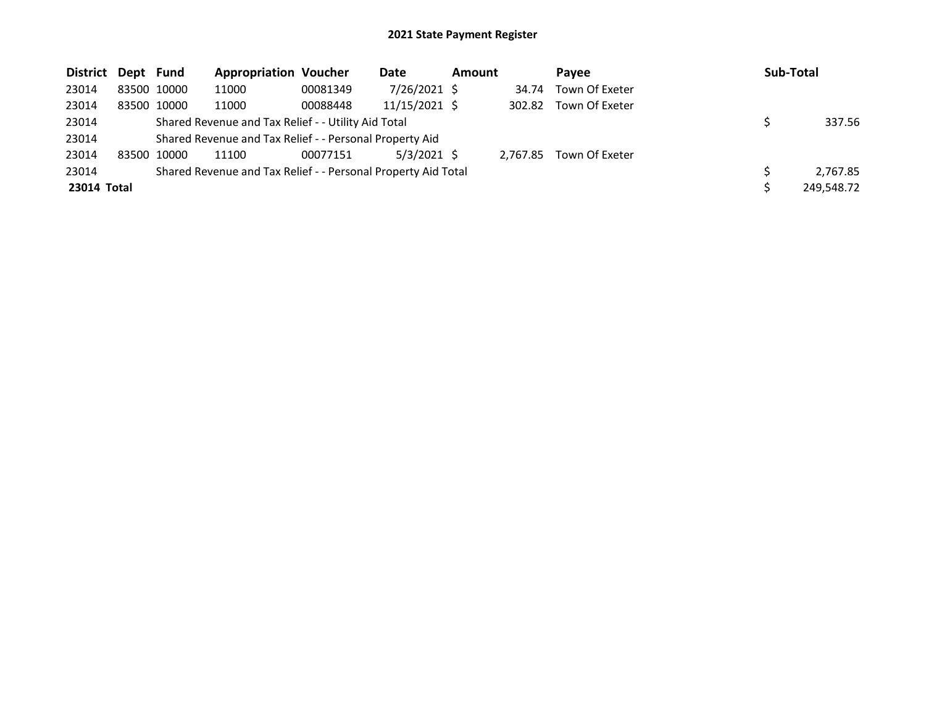| District Dept Fund |             | <b>Appropriation Voucher</b>                                  |          | <b>Date</b>     | <b>Amount</b> |          | Pavee          | Sub-Total  |
|--------------------|-------------|---------------------------------------------------------------|----------|-----------------|---------------|----------|----------------|------------|
| 23014              | 83500 10000 | 11000                                                         | 00081349 | 7/26/2021 \$    |               | 34.74    | Town Of Exeter |            |
| 23014              | 83500 10000 | 11000                                                         | 00088448 | $11/15/2021$ \$ |               | 302.82   | Town Of Exeter |            |
| 23014              |             | Shared Revenue and Tax Relief - - Utility Aid Total           |          |                 |               |          |                | 337.56     |
| 23014              |             | Shared Revenue and Tax Relief - - Personal Property Aid       |          |                 |               |          |                |            |
| 23014              | 83500 10000 | 11100                                                         | 00077151 | $5/3/2021$ \$   |               | 2.767.85 | Town Of Exeter |            |
| 23014              |             | Shared Revenue and Tax Relief - - Personal Property Aid Total |          |                 |               |          |                | 2,767.85   |
| 23014 Total        |             |                                                               |          |                 |               |          |                | 249,548.72 |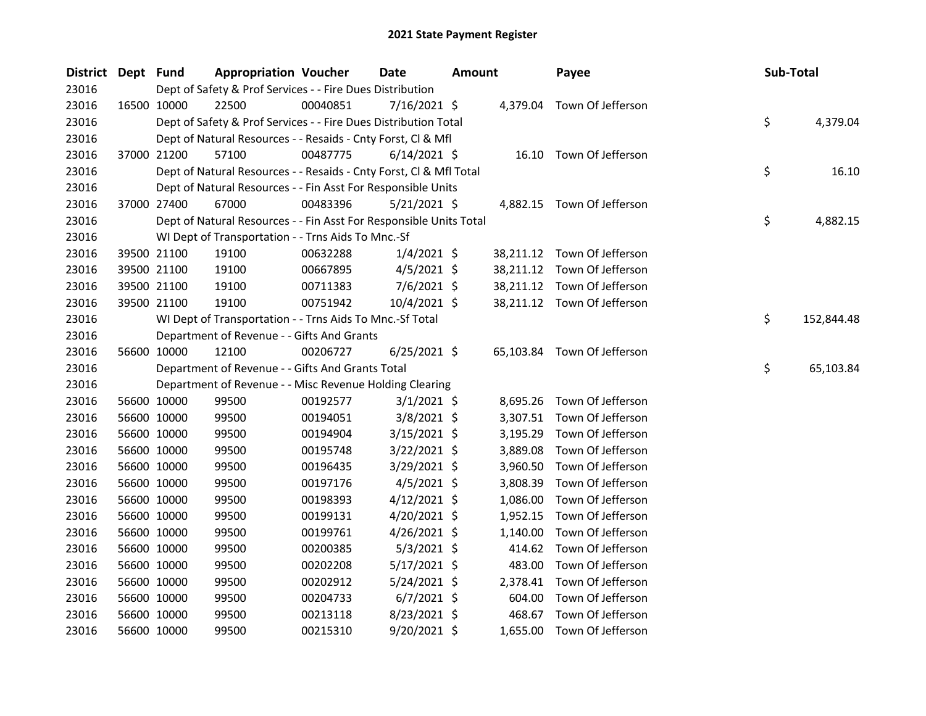| District Dept Fund |             | <b>Appropriation Voucher</b>                                       |          | <b>Date</b>    | <b>Amount</b> |           | Payee                       | Sub-Total |            |
|--------------------|-------------|--------------------------------------------------------------------|----------|----------------|---------------|-----------|-----------------------------|-----------|------------|
| 23016              |             | Dept of Safety & Prof Services - - Fire Dues Distribution          |          |                |               |           |                             |           |            |
| 23016              | 16500 10000 | 22500                                                              | 00040851 | 7/16/2021 \$   |               |           | 4,379.04 Town Of Jefferson  |           |            |
| 23016              |             | Dept of Safety & Prof Services - - Fire Dues Distribution Total    |          |                |               |           |                             | \$        | 4,379.04   |
| 23016              |             | Dept of Natural Resources - - Resaids - Cnty Forst, Cl & Mfl       |          |                |               |           |                             |           |            |
| 23016              | 37000 21200 | 57100                                                              | 00487775 | $6/14/2021$ \$ |               |           | 16.10 Town Of Jefferson     |           |            |
| 23016              |             | Dept of Natural Resources - - Resaids - Cnty Forst, Cl & Mfl Total |          |                |               |           |                             | \$        | 16.10      |
| 23016              |             | Dept of Natural Resources - - Fin Asst For Responsible Units       |          |                |               |           |                             |           |            |
| 23016              | 37000 27400 | 67000                                                              | 00483396 | $5/21/2021$ \$ |               |           | 4,882.15 Town Of Jefferson  |           |            |
| 23016              |             | Dept of Natural Resources - - Fin Asst For Responsible Units Total |          |                |               |           |                             | \$        | 4,882.15   |
| 23016              |             | WI Dept of Transportation - - Trns Aids To Mnc.-Sf                 |          |                |               |           |                             |           |            |
| 23016              | 39500 21100 | 19100                                                              | 00632288 | $1/4/2021$ \$  |               | 38,211.12 | Town Of Jefferson           |           |            |
| 23016              | 39500 21100 | 19100                                                              | 00667895 | $4/5/2021$ \$  |               |           | 38,211.12 Town Of Jefferson |           |            |
| 23016              | 39500 21100 | 19100                                                              | 00711383 | $7/6/2021$ \$  |               |           | 38,211.12 Town Of Jefferson |           |            |
| 23016              | 39500 21100 | 19100                                                              | 00751942 | $10/4/2021$ \$ |               |           | 38,211.12 Town Of Jefferson |           |            |
| 23016              |             | WI Dept of Transportation - - Trns Aids To Mnc.-Sf Total           |          |                |               |           |                             | \$        | 152,844.48 |
| 23016              |             | Department of Revenue - - Gifts And Grants                         |          |                |               |           |                             |           |            |
| 23016              | 56600 10000 | 12100                                                              | 00206727 | $6/25/2021$ \$ |               |           | 65,103.84 Town Of Jefferson |           |            |
| 23016              |             | Department of Revenue - - Gifts And Grants Total                   |          |                |               |           |                             | \$        | 65,103.84  |
| 23016              |             | Department of Revenue - - Misc Revenue Holding Clearing            |          |                |               |           |                             |           |            |
| 23016              | 56600 10000 | 99500                                                              | 00192577 | $3/1/2021$ \$  |               |           | 8,695.26 Town Of Jefferson  |           |            |
| 23016              | 56600 10000 | 99500                                                              | 00194051 | $3/8/2021$ \$  |               | 3,307.51  | Town Of Jefferson           |           |            |
| 23016              | 56600 10000 | 99500                                                              | 00194904 | $3/15/2021$ \$ |               | 3,195.29  | Town Of Jefferson           |           |            |
| 23016              | 56600 10000 | 99500                                                              | 00195748 | 3/22/2021 \$   |               | 3,889.08  | Town Of Jefferson           |           |            |
| 23016              | 56600 10000 | 99500                                                              | 00196435 | 3/29/2021 \$   |               | 3,960.50  | Town Of Jefferson           |           |            |
| 23016              | 56600 10000 | 99500                                                              | 00197176 | $4/5/2021$ \$  |               | 3,808.39  | Town Of Jefferson           |           |            |
| 23016              | 56600 10000 | 99500                                                              | 00198393 | $4/12/2021$ \$ |               | 1,086.00  | Town Of Jefferson           |           |            |
| 23016              | 56600 10000 | 99500                                                              | 00199131 | $4/20/2021$ \$ |               | 1,952.15  | Town Of Jefferson           |           |            |
| 23016              | 56600 10000 | 99500                                                              | 00199761 | $4/26/2021$ \$ |               | 1,140.00  | Town Of Jefferson           |           |            |
| 23016              | 56600 10000 | 99500                                                              | 00200385 | $5/3/2021$ \$  |               | 414.62    | Town Of Jefferson           |           |            |
| 23016              | 56600 10000 | 99500                                                              | 00202208 | $5/17/2021$ \$ |               | 483.00    | Town Of Jefferson           |           |            |
| 23016              | 56600 10000 | 99500                                                              | 00202912 | 5/24/2021 \$   |               | 2,378.41  | Town Of Jefferson           |           |            |
| 23016              | 56600 10000 | 99500                                                              | 00204733 | $6/7/2021$ \$  |               | 604.00    | Town Of Jefferson           |           |            |
| 23016              | 56600 10000 | 99500                                                              | 00213118 | 8/23/2021 \$   |               | 468.67    | Town Of Jefferson           |           |            |
| 23016              | 56600 10000 | 99500                                                              | 00215310 | 9/20/2021 \$   |               |           | 1,655.00 Town Of Jefferson  |           |            |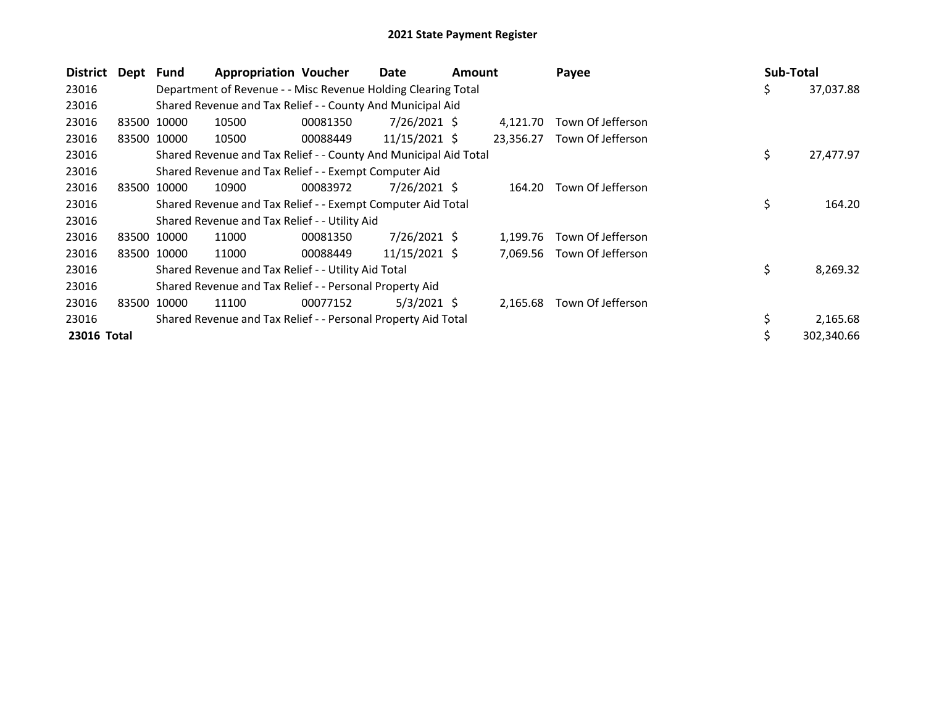| District    | Dept Fund |             | <b>Appropriation Voucher</b>                                     |          | Date            | Amount |           | Payee             | Sub-Total |            |
|-------------|-----------|-------------|------------------------------------------------------------------|----------|-----------------|--------|-----------|-------------------|-----------|------------|
| 23016       |           |             | Department of Revenue - - Misc Revenue Holding Clearing Total    |          |                 |        |           |                   | \$        | 37,037.88  |
| 23016       |           |             | Shared Revenue and Tax Relief - - County And Municipal Aid       |          |                 |        |           |                   |           |            |
| 23016       | 83500     | 10000       | 10500                                                            | 00081350 | $7/26/2021$ \$  |        | 4.121.70  | Town Of Jefferson |           |            |
| 23016       |           | 83500 10000 | 10500                                                            | 00088449 | $11/15/2021$ \$ |        | 23,356.27 | Town Of Jefferson |           |            |
| 23016       |           |             | Shared Revenue and Tax Relief - - County And Municipal Aid Total |          |                 |        |           |                   | \$        | 27,477.97  |
| 23016       |           |             | Shared Revenue and Tax Relief - - Exempt Computer Aid            |          |                 |        |           |                   |           |            |
| 23016       | 83500     | 10000       | 10900                                                            | 00083972 | 7/26/2021 \$    |        | 164.20    | Town Of Jefferson |           |            |
| 23016       |           |             | Shared Revenue and Tax Relief - - Exempt Computer Aid Total      |          |                 |        |           |                   | \$        | 164.20     |
| 23016       |           |             | Shared Revenue and Tax Relief - - Utility Aid                    |          |                 |        |           |                   |           |            |
| 23016       | 83500     | 10000       | 11000                                                            | 00081350 | $7/26/2021$ \$  |        | 1,199.76  | Town Of Jefferson |           |            |
| 23016       |           | 83500 10000 | 11000                                                            | 00088449 | 11/15/2021 \$   |        | 7,069.56  | Town Of Jefferson |           |            |
| 23016       |           |             | Shared Revenue and Tax Relief - - Utility Aid Total              |          |                 |        |           |                   | \$        | 8,269.32   |
| 23016       |           |             | Shared Revenue and Tax Relief - - Personal Property Aid          |          |                 |        |           |                   |           |            |
| 23016       | 83500     | 10000       | 11100                                                            | 00077152 | $5/3/2021$ \$   |        | 2,165.68  | Town Of Jefferson |           |            |
| 23016       |           |             | Shared Revenue and Tax Relief - - Personal Property Aid Total    |          |                 |        |           |                   | \$        | 2,165.68   |
| 23016 Total |           |             |                                                                  |          |                 |        |           |                   |           | 302,340.66 |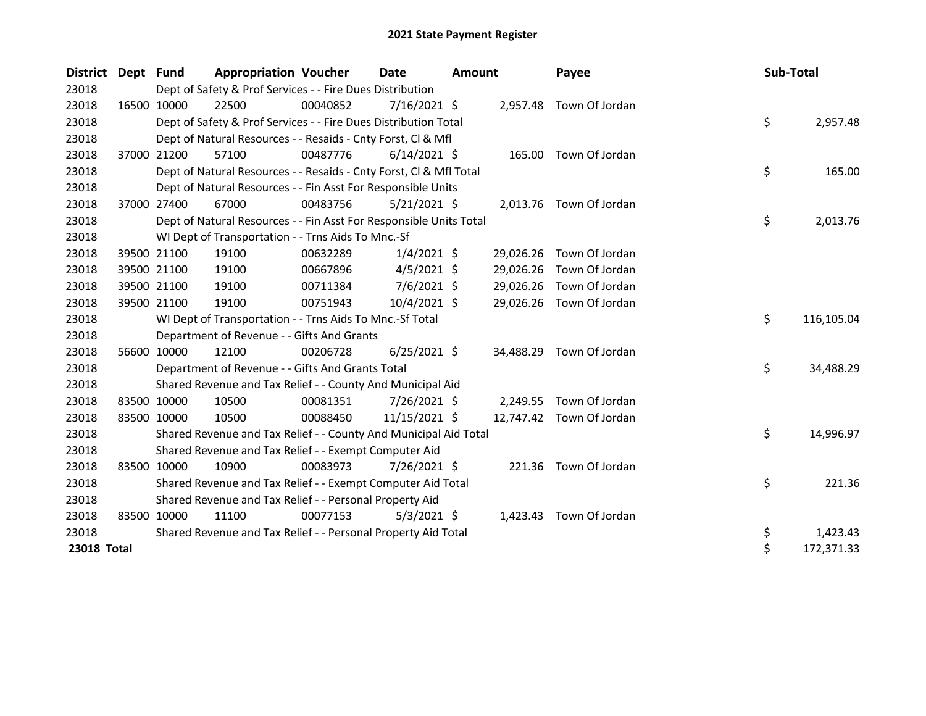| District Dept Fund |             | <b>Appropriation Voucher</b>                                       |          | Date           | <b>Amount</b> |           | Payee                   | Sub-Total |    |            |
|--------------------|-------------|--------------------------------------------------------------------|----------|----------------|---------------|-----------|-------------------------|-----------|----|------------|
| 23018              |             | Dept of Safety & Prof Services - - Fire Dues Distribution          |          |                |               |           |                         |           |    |            |
| 23018              | 16500 10000 | 22500                                                              | 00040852 | 7/16/2021 \$   |               |           | 2,957.48 Town Of Jordan |           |    |            |
| 23018              |             | Dept of Safety & Prof Services - - Fire Dues Distribution Total    |          |                |               |           |                         |           | \$ | 2,957.48   |
| 23018              |             | Dept of Natural Resources - - Resaids - Cnty Forst, CI & Mfl       |          |                |               |           |                         |           |    |            |
| 23018              | 37000 21200 | 57100                                                              | 00487776 | $6/14/2021$ \$ |               |           | 165.00 Town Of Jordan   |           |    |            |
| 23018              |             | Dept of Natural Resources - - Resaids - Cnty Forst, CI & Mfl Total |          |                |               |           |                         |           | \$ | 165.00     |
| 23018              |             | Dept of Natural Resources - - Fin Asst For Responsible Units       |          |                |               |           |                         |           |    |            |
| 23018              | 37000 27400 | 67000                                                              | 00483756 | $5/21/2021$ \$ |               |           | 2,013.76 Town Of Jordan |           |    |            |
| 23018              |             | Dept of Natural Resources - - Fin Asst For Responsible Units Total |          |                |               |           |                         |           | \$ | 2,013.76   |
| 23018              |             | WI Dept of Transportation - - Trns Aids To Mnc.-Sf                 |          |                |               |           |                         |           |    |            |
| 23018              | 39500 21100 | 19100                                                              | 00632289 | $1/4/2021$ \$  |               | 29,026.26 | Town Of Jordan          |           |    |            |
| 23018              | 39500 21100 | 19100                                                              | 00667896 | $4/5/2021$ \$  |               | 29,026.26 | Town Of Jordan          |           |    |            |
| 23018              | 39500 21100 | 19100                                                              | 00711384 | $7/6/2021$ \$  |               | 29,026.26 | Town Of Jordan          |           |    |            |
| 23018              | 39500 21100 | 19100                                                              | 00751943 | 10/4/2021 \$   |               | 29,026.26 | Town Of Jordan          |           |    |            |
| 23018              |             | WI Dept of Transportation - - Trns Aids To Mnc.-Sf Total           |          |                |               |           |                         |           | \$ | 116,105.04 |
| 23018              |             | Department of Revenue - - Gifts And Grants                         |          |                |               |           |                         |           |    |            |
| 23018              | 56600 10000 | 12100                                                              | 00206728 | $6/25/2021$ \$ |               | 34,488.29 | Town Of Jordan          |           |    |            |
| 23018              |             | Department of Revenue - - Gifts And Grants Total                   |          |                |               |           |                         |           | \$ | 34,488.29  |
| 23018              |             | Shared Revenue and Tax Relief - - County And Municipal Aid         |          |                |               |           |                         |           |    |            |
| 23018              | 83500 10000 | 10500                                                              | 00081351 | 7/26/2021 \$   |               |           | 2,249.55 Town Of Jordan |           |    |            |
| 23018              | 83500 10000 | 10500                                                              | 00088450 | 11/15/2021 \$  |               | 12,747.42 | Town Of Jordan          |           |    |            |
| 23018              |             | Shared Revenue and Tax Relief - - County And Municipal Aid Total   |          |                |               |           |                         |           | \$ | 14,996.97  |
| 23018              |             | Shared Revenue and Tax Relief - - Exempt Computer Aid              |          |                |               |           |                         |           |    |            |
| 23018              | 83500 10000 | 10900                                                              | 00083973 | 7/26/2021 \$   |               |           | 221.36 Town Of Jordan   |           |    |            |
| 23018              |             | Shared Revenue and Tax Relief - - Exempt Computer Aid Total        |          |                |               |           |                         |           | \$ | 221.36     |
| 23018              |             | Shared Revenue and Tax Relief - - Personal Property Aid            |          |                |               |           |                         |           |    |            |
| 23018              | 83500 10000 | 11100                                                              | 00077153 | $5/3/2021$ \$  |               | 1,423.43  | Town Of Jordan          |           |    |            |
| 23018              |             | Shared Revenue and Tax Relief - - Personal Property Aid Total      |          |                |               |           |                         |           | \$ | 1,423.43   |
| 23018 Total        |             |                                                                    |          |                |               |           |                         |           | \$ | 172,371.33 |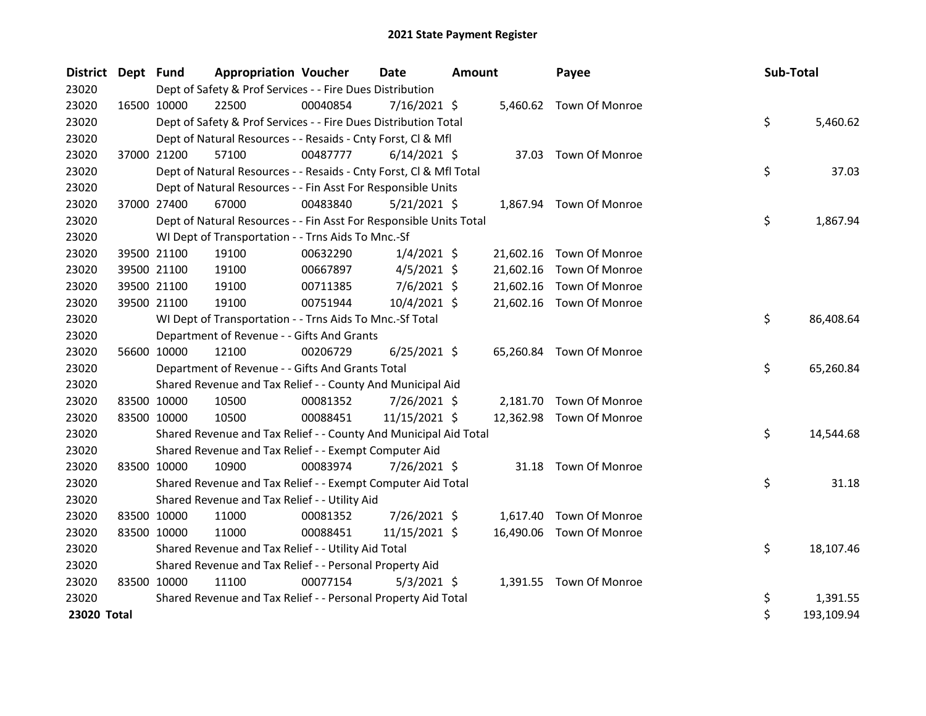| <b>District</b> | Dept Fund   |             | <b>Appropriation Voucher</b>                                       |          | <b>Date</b>    | <b>Amount</b> |           | Payee                    | Sub-Total |            |
|-----------------|-------------|-------------|--------------------------------------------------------------------|----------|----------------|---------------|-----------|--------------------------|-----------|------------|
| 23020           |             |             | Dept of Safety & Prof Services - - Fire Dues Distribution          |          |                |               |           |                          |           |            |
| 23020           |             | 16500 10000 | 22500                                                              | 00040854 | $7/16/2021$ \$ |               |           | 5,460.62 Town Of Monroe  |           |            |
| 23020           |             |             | Dept of Safety & Prof Services - - Fire Dues Distribution Total    |          |                |               |           |                          | \$        | 5,460.62   |
| 23020           |             |             | Dept of Natural Resources - - Resaids - Cnty Forst, Cl & Mfl       |          |                |               |           |                          |           |            |
| 23020           |             | 37000 21200 | 57100                                                              | 00487777 | $6/14/2021$ \$ |               | 37.03     | Town Of Monroe           |           |            |
| 23020           |             |             | Dept of Natural Resources - - Resaids - Cnty Forst, CI & Mfl Total |          |                |               |           |                          | \$        | 37.03      |
| 23020           |             |             | Dept of Natural Resources - - Fin Asst For Responsible Units       |          |                |               |           |                          |           |            |
| 23020           |             | 37000 27400 | 67000                                                              | 00483840 | 5/21/2021 \$   |               |           | 1,867.94 Town Of Monroe  |           |            |
| 23020           |             |             | Dept of Natural Resources - - Fin Asst For Responsible Units Total |          |                |               |           |                          | \$        | 1,867.94   |
| 23020           |             |             | WI Dept of Transportation - - Trns Aids To Mnc.-Sf                 |          |                |               |           |                          |           |            |
| 23020           |             | 39500 21100 | 19100                                                              | 00632290 | $1/4/2021$ \$  |               |           | 21,602.16 Town Of Monroe |           |            |
| 23020           |             | 39500 21100 | 19100                                                              | 00667897 | $4/5/2021$ \$  |               | 21,602.16 | Town Of Monroe           |           |            |
| 23020           |             | 39500 21100 | 19100                                                              | 00711385 | $7/6/2021$ \$  |               | 21,602.16 | Town Of Monroe           |           |            |
| 23020           |             | 39500 21100 | 19100                                                              | 00751944 | 10/4/2021 \$   |               |           | 21,602.16 Town Of Monroe |           |            |
| 23020           |             |             | WI Dept of Transportation - - Trns Aids To Mnc.-Sf Total           |          |                |               |           |                          | \$        | 86,408.64  |
| 23020           |             |             | Department of Revenue - - Gifts And Grants                         |          |                |               |           |                          |           |            |
| 23020           |             | 56600 10000 | 12100                                                              | 00206729 | $6/25/2021$ \$ |               | 65,260.84 | Town Of Monroe           |           |            |
| 23020           |             |             | Department of Revenue - - Gifts And Grants Total                   |          |                |               |           |                          | \$        | 65,260.84  |
| 23020           |             |             | Shared Revenue and Tax Relief - - County And Municipal Aid         |          |                |               |           |                          |           |            |
| 23020           |             | 83500 10000 | 10500                                                              | 00081352 | 7/26/2021 \$   |               |           | 2,181.70 Town Of Monroe  |           |            |
| 23020           | 83500 10000 |             | 10500                                                              | 00088451 | 11/15/2021 \$  |               |           | 12,362.98 Town Of Monroe |           |            |
| 23020           |             |             | Shared Revenue and Tax Relief - - County And Municipal Aid Total   |          |                |               |           |                          | \$        | 14,544.68  |
| 23020           |             |             | Shared Revenue and Tax Relief - - Exempt Computer Aid              |          |                |               |           |                          |           |            |
| 23020           |             | 83500 10000 | 10900                                                              | 00083974 | 7/26/2021 \$   |               | 31.18     | Town Of Monroe           |           |            |
| 23020           |             |             | Shared Revenue and Tax Relief - - Exempt Computer Aid Total        |          |                |               |           |                          | \$        | 31.18      |
| 23020           |             |             | Shared Revenue and Tax Relief - - Utility Aid                      |          |                |               |           |                          |           |            |
| 23020           | 83500 10000 |             | 11000                                                              | 00081352 | 7/26/2021 \$   |               | 1,617.40  | Town Of Monroe           |           |            |
| 23020           |             | 83500 10000 | 11000                                                              | 00088451 | 11/15/2021 \$  |               | 16,490.06 | Town Of Monroe           |           |            |
| 23020           |             |             | Shared Revenue and Tax Relief - - Utility Aid Total                |          |                |               |           |                          | \$        | 18,107.46  |
| 23020           |             |             | Shared Revenue and Tax Relief - - Personal Property Aid            |          |                |               |           |                          |           |            |
| 23020           | 83500 10000 |             | 11100                                                              | 00077154 | $5/3/2021$ \$  |               |           | 1,391.55 Town Of Monroe  |           |            |
| 23020           |             |             | Shared Revenue and Tax Relief - - Personal Property Aid Total      |          |                |               |           |                          | \$        | 1,391.55   |
| 23020 Total     |             |             |                                                                    |          |                |               |           |                          | \$        | 193,109.94 |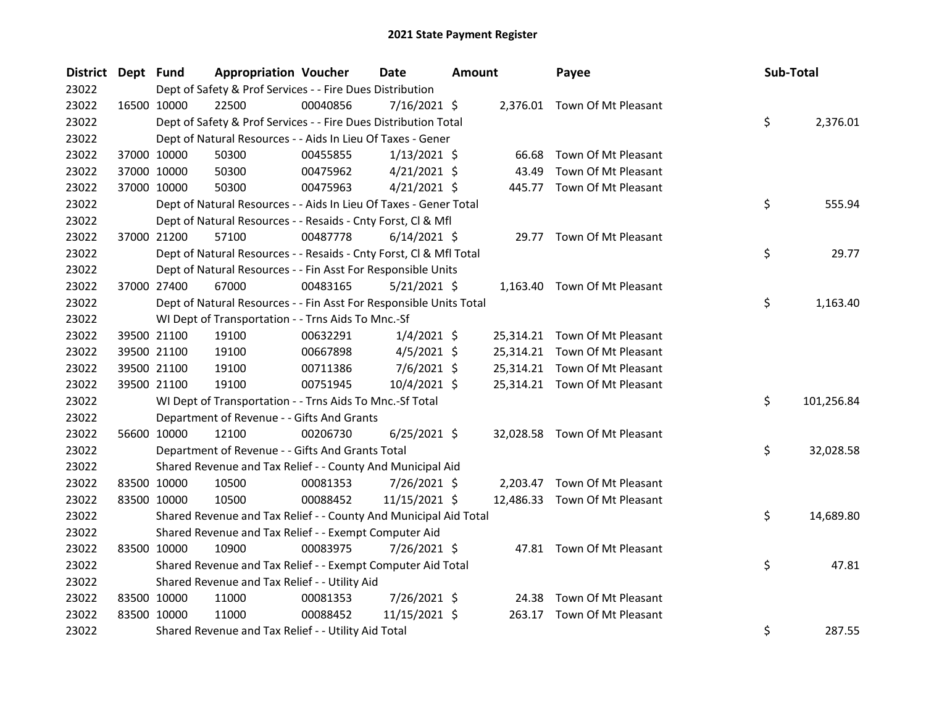| <b>District</b> | Dept Fund   |             | <b>Appropriation Voucher</b>                                       |          | Date           | <b>Amount</b> |        | Payee                         | Sub-Total |            |
|-----------------|-------------|-------------|--------------------------------------------------------------------|----------|----------------|---------------|--------|-------------------------------|-----------|------------|
| 23022           |             |             | Dept of Safety & Prof Services - - Fire Dues Distribution          |          |                |               |        |                               |           |            |
| 23022           |             | 16500 10000 | 22500                                                              | 00040856 | 7/16/2021 \$   |               |        | 2,376.01 Town Of Mt Pleasant  |           |            |
| 23022           |             |             | Dept of Safety & Prof Services - - Fire Dues Distribution Total    |          |                |               |        |                               | \$        | 2,376.01   |
| 23022           |             |             | Dept of Natural Resources - - Aids In Lieu Of Taxes - Gener        |          |                |               |        |                               |           |            |
| 23022           |             | 37000 10000 | 50300                                                              | 00455855 | $1/13/2021$ \$ |               | 66.68  | Town Of Mt Pleasant           |           |            |
| 23022           |             | 37000 10000 | 50300                                                              | 00475962 | $4/21/2021$ \$ |               | 43.49  | Town Of Mt Pleasant           |           |            |
| 23022           |             | 37000 10000 | 50300                                                              | 00475963 | $4/21/2021$ \$ |               |        | 445.77 Town Of Mt Pleasant    |           |            |
| 23022           |             |             | Dept of Natural Resources - - Aids In Lieu Of Taxes - Gener Total  |          |                |               |        |                               | \$        | 555.94     |
| 23022           |             |             | Dept of Natural Resources - - Resaids - Cnty Forst, Cl & Mfl       |          |                |               |        |                               |           |            |
| 23022           |             | 37000 21200 | 57100                                                              | 00487778 | $6/14/2021$ \$ |               |        | 29.77 Town Of Mt Pleasant     |           |            |
| 23022           |             |             | Dept of Natural Resources - - Resaids - Cnty Forst, Cl & Mfl Total |          |                |               |        |                               | \$        | 29.77      |
| 23022           |             |             | Dept of Natural Resources - - Fin Asst For Responsible Units       |          |                |               |        |                               |           |            |
| 23022           |             | 37000 27400 | 67000                                                              | 00483165 | $5/21/2021$ \$ |               |        | 1,163.40 Town Of Mt Pleasant  |           |            |
| 23022           |             |             | Dept of Natural Resources - - Fin Asst For Responsible Units Total |          |                |               |        |                               | \$        | 1,163.40   |
| 23022           |             |             | WI Dept of Transportation - - Trns Aids To Mnc.-Sf                 |          |                |               |        |                               |           |            |
| 23022           |             | 39500 21100 | 19100                                                              | 00632291 | $1/4/2021$ \$  |               |        | 25,314.21 Town Of Mt Pleasant |           |            |
| 23022           |             | 39500 21100 | 19100                                                              | 00667898 | $4/5/2021$ \$  |               |        | 25,314.21 Town Of Mt Pleasant |           |            |
| 23022           |             | 39500 21100 | 19100                                                              | 00711386 | $7/6/2021$ \$  |               |        | 25,314.21 Town Of Mt Pleasant |           |            |
| 23022           |             | 39500 21100 | 19100                                                              | 00751945 | 10/4/2021 \$   |               |        | 25,314.21 Town Of Mt Pleasant |           |            |
| 23022           |             |             | WI Dept of Transportation - - Trns Aids To Mnc.-Sf Total           |          |                |               |        |                               | \$.       | 101,256.84 |
| 23022           |             |             | Department of Revenue - - Gifts And Grants                         |          |                |               |        |                               |           |            |
| 23022           |             | 56600 10000 | 12100                                                              | 00206730 | $6/25/2021$ \$ |               |        | 32,028.58 Town Of Mt Pleasant |           |            |
| 23022           |             |             | Department of Revenue - - Gifts And Grants Total                   |          |                |               |        |                               | \$.       | 32,028.58  |
| 23022           |             |             | Shared Revenue and Tax Relief - - County And Municipal Aid         |          |                |               |        |                               |           |            |
| 23022           | 83500 10000 |             | 10500                                                              | 00081353 | 7/26/2021 \$   |               |        | 2,203.47 Town Of Mt Pleasant  |           |            |
| 23022           | 83500 10000 |             | 10500                                                              | 00088452 | 11/15/2021 \$  |               |        | 12,486.33 Town Of Mt Pleasant |           |            |
| 23022           |             |             | Shared Revenue and Tax Relief - - County And Municipal Aid Total   |          |                |               |        |                               | \$        | 14,689.80  |
| 23022           |             |             | Shared Revenue and Tax Relief - - Exempt Computer Aid              |          |                |               |        |                               |           |            |
| 23022           |             | 83500 10000 | 10900                                                              | 00083975 | 7/26/2021 \$   |               |        | 47.81 Town Of Mt Pleasant     |           |            |
| 23022           |             |             | Shared Revenue and Tax Relief - - Exempt Computer Aid Total        |          |                |               |        |                               | \$        | 47.81      |
| 23022           |             |             | Shared Revenue and Tax Relief - - Utility Aid                      |          |                |               |        |                               |           |            |
| 23022           | 83500 10000 |             | 11000                                                              | 00081353 | 7/26/2021 \$   |               | 24.38  | Town Of Mt Pleasant           |           |            |
| 23022           | 83500 10000 |             | 11000                                                              | 00088452 | 11/15/2021 \$  |               | 263.17 | Town Of Mt Pleasant           |           |            |
| 23022           |             |             | Shared Revenue and Tax Relief - - Utility Aid Total                |          |                |               |        |                               | \$        | 287.55     |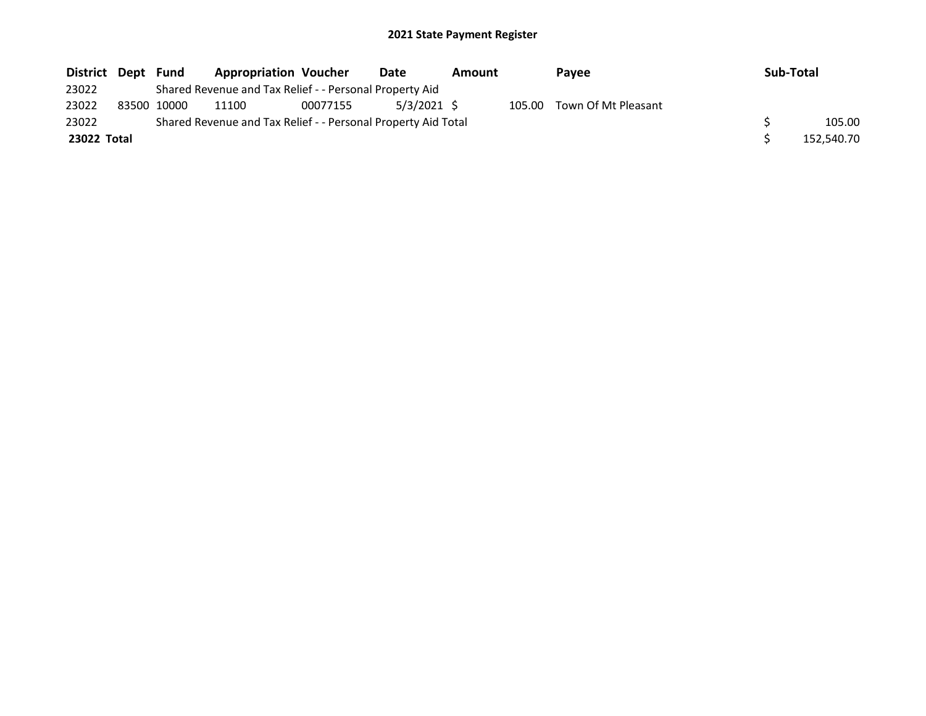| District Dept Fund |             | <b>Appropriation Voucher</b>                                  |          | Date          | Amount |        | Payee               | <b>Sub-Total</b> |            |
|--------------------|-------------|---------------------------------------------------------------|----------|---------------|--------|--------|---------------------|------------------|------------|
| 23022              |             | Shared Revenue and Tax Relief - - Personal Property Aid       |          |               |        |        |                     |                  |            |
| 23022              | 83500 10000 | 11100                                                         | 00077155 | $5/3/2021$ \$ |        | 105.00 | Town Of Mt Pleasant |                  |            |
| 23022              |             | Shared Revenue and Tax Relief - - Personal Property Aid Total |          |               |        |        |                     |                  | 105.00     |
| 23022 Total        |             |                                                               |          |               |        |        |                     |                  | 152,540.70 |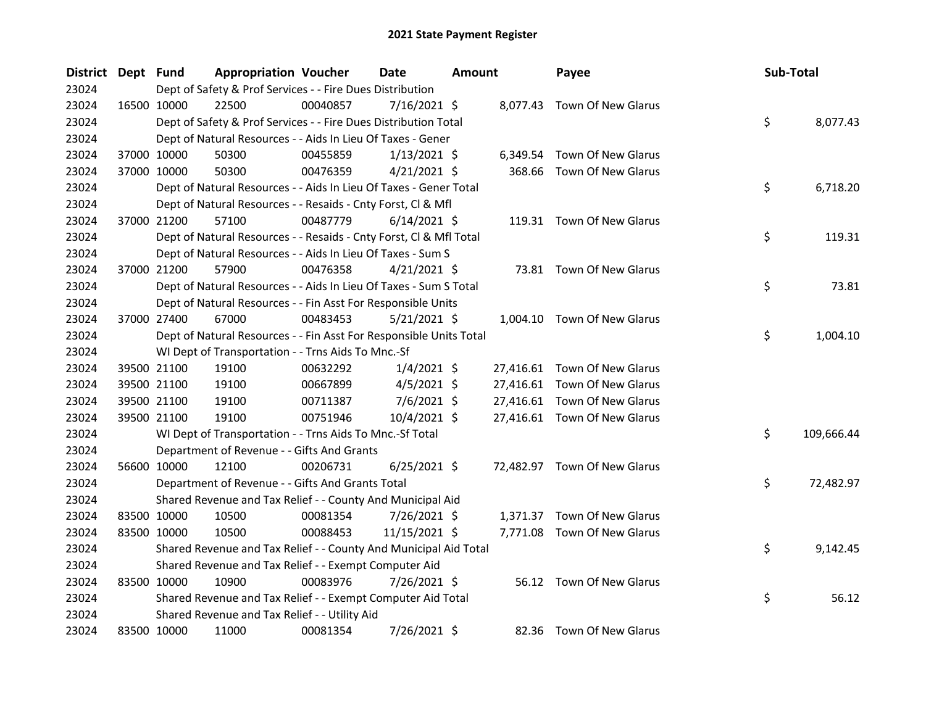| District Dept Fund |             | <b>Appropriation Voucher</b>                                       |          | <b>Date</b>    | <b>Amount</b> |          | Payee                        | Sub-Total |            |
|--------------------|-------------|--------------------------------------------------------------------|----------|----------------|---------------|----------|------------------------------|-----------|------------|
| 23024              |             | Dept of Safety & Prof Services - - Fire Dues Distribution          |          |                |               |          |                              |           |            |
| 23024              | 16500 10000 | 22500                                                              | 00040857 | $7/16/2021$ \$ |               |          | 8,077.43 Town Of New Glarus  |           |            |
| 23024              |             | Dept of Safety & Prof Services - - Fire Dues Distribution Total    |          |                |               |          |                              | \$        | 8,077.43   |
| 23024              |             | Dept of Natural Resources - - Aids In Lieu Of Taxes - Gener        |          |                |               |          |                              |           |            |
| 23024              | 37000 10000 | 50300                                                              | 00455859 | $1/13/2021$ \$ |               | 6,349.54 | Town Of New Glarus           |           |            |
| 23024              | 37000 10000 | 50300                                                              | 00476359 | $4/21/2021$ \$ |               | 368.66   | Town Of New Glarus           |           |            |
| 23024              |             | Dept of Natural Resources - - Aids In Lieu Of Taxes - Gener Total  |          |                |               |          |                              | \$        | 6,718.20   |
| 23024              |             | Dept of Natural Resources - - Resaids - Cnty Forst, Cl & Mfl       |          |                |               |          |                              |           |            |
| 23024              | 37000 21200 | 57100                                                              | 00487779 | $6/14/2021$ \$ |               |          | 119.31 Town Of New Glarus    |           |            |
| 23024              |             | Dept of Natural Resources - - Resaids - Cnty Forst, Cl & Mfl Total |          |                |               |          |                              | \$        | 119.31     |
| 23024              |             | Dept of Natural Resources - - Aids In Lieu Of Taxes - Sum S        |          |                |               |          |                              |           |            |
| 23024              | 37000 21200 | 57900                                                              | 00476358 | $4/21/2021$ \$ |               |          | 73.81 Town Of New Glarus     |           |            |
| 23024              |             | Dept of Natural Resources - - Aids In Lieu Of Taxes - Sum S Total  |          |                |               |          |                              | \$        | 73.81      |
| 23024              |             | Dept of Natural Resources - - Fin Asst For Responsible Units       |          |                |               |          |                              |           |            |
| 23024              | 37000 27400 | 67000                                                              | 00483453 | $5/21/2021$ \$ |               |          | 1,004.10 Town Of New Glarus  |           |            |
| 23024              |             | Dept of Natural Resources - - Fin Asst For Responsible Units Total |          |                |               |          |                              | \$        | 1,004.10   |
| 23024              |             | WI Dept of Transportation - - Trns Aids To Mnc.-Sf                 |          |                |               |          |                              |           |            |
| 23024              | 39500 21100 | 19100                                                              | 00632292 | $1/4/2021$ \$  |               |          | 27,416.61 Town Of New Glarus |           |            |
| 23024              | 39500 21100 | 19100                                                              | 00667899 | $4/5/2021$ \$  |               |          | 27,416.61 Town Of New Glarus |           |            |
| 23024              | 39500 21100 | 19100                                                              | 00711387 | $7/6/2021$ \$  |               |          | 27,416.61 Town Of New Glarus |           |            |
| 23024              | 39500 21100 | 19100                                                              | 00751946 | $10/4/2021$ \$ |               |          | 27,416.61 Town Of New Glarus |           |            |
| 23024              |             | WI Dept of Transportation - - Trns Aids To Mnc.-Sf Total           |          |                |               |          |                              | \$        | 109,666.44 |
| 23024              |             | Department of Revenue - - Gifts And Grants                         |          |                |               |          |                              |           |            |
| 23024              | 56600 10000 | 12100                                                              | 00206731 | $6/25/2021$ \$ |               |          | 72,482.97 Town Of New Glarus |           |            |
| 23024              |             | Department of Revenue - - Gifts And Grants Total                   |          |                |               |          |                              | \$        | 72,482.97  |
| 23024              |             | Shared Revenue and Tax Relief - - County And Municipal Aid         |          |                |               |          |                              |           |            |
| 23024              | 83500 10000 | 10500                                                              | 00081354 | 7/26/2021 \$   |               | 1,371.37 | Town Of New Glarus           |           |            |
| 23024              | 83500 10000 | 10500                                                              | 00088453 | 11/15/2021 \$  |               |          | 7,771.08 Town Of New Glarus  |           |            |
| 23024              |             | Shared Revenue and Tax Relief - - County And Municipal Aid Total   |          |                |               |          |                              | \$        | 9,142.45   |
| 23024              |             | Shared Revenue and Tax Relief - - Exempt Computer Aid              |          |                |               |          |                              |           |            |
| 23024              | 83500 10000 | 10900                                                              | 00083976 | 7/26/2021 \$   |               |          | 56.12 Town Of New Glarus     |           |            |
| 23024              |             | Shared Revenue and Tax Relief - - Exempt Computer Aid Total        |          |                |               |          |                              | \$        | 56.12      |
| 23024              |             | Shared Revenue and Tax Relief - - Utility Aid                      |          |                |               |          |                              |           |            |
| 23024              | 83500 10000 | 11000                                                              | 00081354 | 7/26/2021 \$   |               |          | 82.36 Town Of New Glarus     |           |            |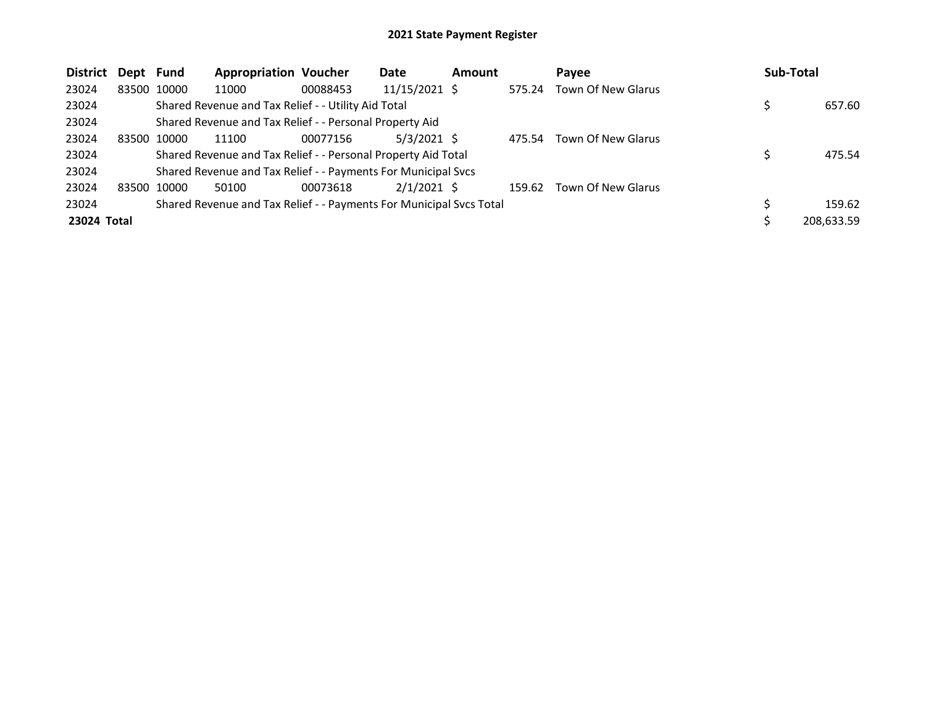| <b>District</b> | Dept Fund |             | <b>Appropriation Voucher</b>                                        |          | Date          | <b>Amount</b> |        | Pavee              | <b>Sub-Total</b> |
|-----------------|-----------|-------------|---------------------------------------------------------------------|----------|---------------|---------------|--------|--------------------|------------------|
| 23024           |           | 83500 10000 | 11000                                                               | 00088453 | 11/15/2021 \$ |               | 575.24 | Town Of New Glarus |                  |
| 23024           |           |             | Shared Revenue and Tax Relief - - Utility Aid Total                 |          |               |               |        |                    | 657.60           |
| 23024           |           |             | Shared Revenue and Tax Relief - - Personal Property Aid             |          |               |               |        |                    |                  |
| 23024           |           | 83500 10000 | 11100                                                               | 00077156 | $5/3/2021$ \$ |               | 475.54 | Town Of New Glarus |                  |
| 23024           |           |             | Shared Revenue and Tax Relief - - Personal Property Aid Total       |          |               |               |        |                    | 475.54           |
| 23024           |           |             | Shared Revenue and Tax Relief - - Payments For Municipal Svcs       |          |               |               |        |                    |                  |
| 23024           |           | 83500 10000 | 50100                                                               | 00073618 | $2/1/2021$ \$ |               | 159.62 | Town Of New Glarus |                  |
| 23024           |           |             | Shared Revenue and Tax Relief - - Payments For Municipal Svcs Total |          |               |               |        |                    | 159.62           |
| 23024 Total     |           |             |                                                                     |          |               |               |        |                    | 208,633.59       |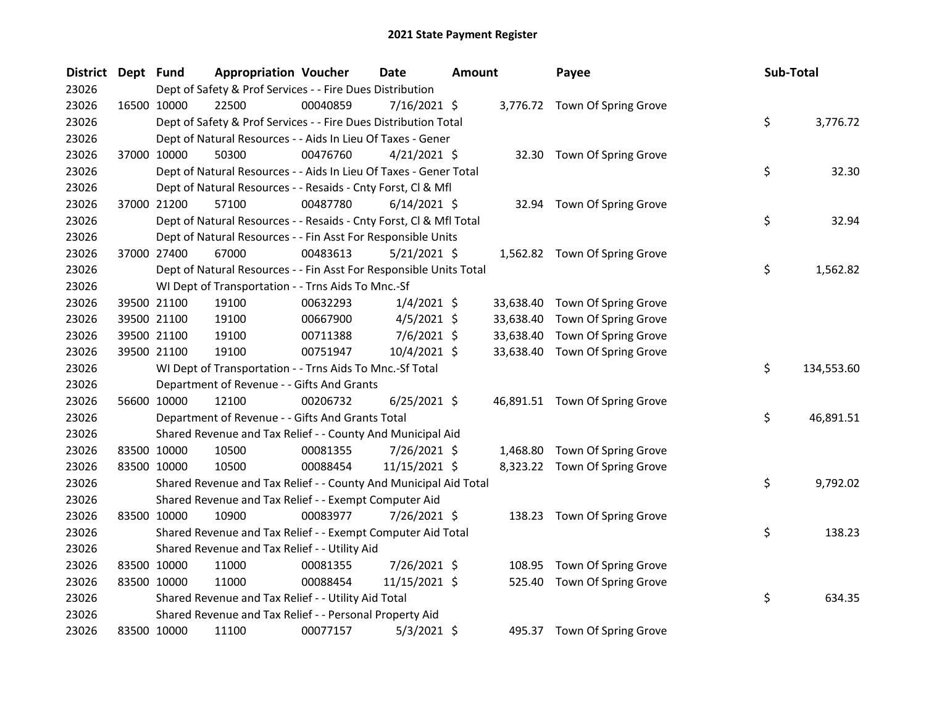| <b>District</b> | Dept Fund |                                                                    | <b>Appropriation Voucher</b> |          | <b>Date</b>    | <b>Amount</b> |           | Payee                          | Sub-Total |            |
|-----------------|-----------|--------------------------------------------------------------------|------------------------------|----------|----------------|---------------|-----------|--------------------------------|-----------|------------|
| 23026           |           | Dept of Safety & Prof Services - - Fire Dues Distribution          |                              |          |                |               |           |                                |           |            |
| 23026           |           | 22500<br>16500 10000                                               |                              | 00040859 | 7/16/2021 \$   |               |           | 3,776.72 Town Of Spring Grove  |           |            |
| 23026           |           | Dept of Safety & Prof Services - - Fire Dues Distribution Total    |                              |          |                |               |           |                                | \$        | 3,776.72   |
| 23026           |           | Dept of Natural Resources - - Aids In Lieu Of Taxes - Gener        |                              |          |                |               |           |                                |           |            |
| 23026           |           | 50300<br>37000 10000                                               |                              | 00476760 | $4/21/2021$ \$ |               |           | 32.30 Town Of Spring Grove     |           |            |
| 23026           |           | Dept of Natural Resources - - Aids In Lieu Of Taxes - Gener Total  |                              |          |                |               |           |                                | \$        | 32.30      |
| 23026           |           | Dept of Natural Resources - - Resaids - Cnty Forst, Cl & Mfl       |                              |          |                |               |           |                                |           |            |
| 23026           |           | 37000 21200<br>57100                                               |                              | 00487780 | $6/14/2021$ \$ |               | 32.94     | Town Of Spring Grove           |           |            |
| 23026           |           | Dept of Natural Resources - - Resaids - Cnty Forst, CI & Mfl Total |                              |          |                |               |           |                                | \$        | 32.94      |
| 23026           |           | Dept of Natural Resources - - Fin Asst For Responsible Units       |                              |          |                |               |           |                                |           |            |
| 23026           |           | 37000 27400<br>67000                                               |                              | 00483613 | $5/21/2021$ \$ |               |           | 1,562.82 Town Of Spring Grove  |           |            |
| 23026           |           | Dept of Natural Resources - - Fin Asst For Responsible Units Total |                              |          |                |               |           |                                | \$        | 1,562.82   |
| 23026           |           | WI Dept of Transportation - - Trns Aids To Mnc.-Sf                 |                              |          |                |               |           |                                |           |            |
| 23026           |           | 39500 21100<br>19100                                               |                              | 00632293 | $1/4/2021$ \$  |               | 33,638.40 | Town Of Spring Grove           |           |            |
| 23026           |           | 39500 21100<br>19100                                               |                              | 00667900 | $4/5/2021$ \$  |               | 33,638.40 | Town Of Spring Grove           |           |            |
| 23026           |           | 39500 21100<br>19100                                               |                              | 00711388 | 7/6/2021 \$    |               | 33,638.40 | Town Of Spring Grove           |           |            |
| 23026           |           | 39500 21100<br>19100                                               |                              | 00751947 | 10/4/2021 \$   |               | 33,638.40 | Town Of Spring Grove           |           |            |
| 23026           |           | WI Dept of Transportation - - Trns Aids To Mnc.-Sf Total           |                              |          |                |               |           |                                | \$        | 134,553.60 |
| 23026           |           | Department of Revenue - - Gifts And Grants                         |                              |          |                |               |           |                                |           |            |
| 23026           |           | 56600 10000<br>12100                                               |                              | 00206732 | $6/25/2021$ \$ |               |           | 46,891.51 Town Of Spring Grove |           |            |
| 23026           |           | Department of Revenue - - Gifts And Grants Total                   |                              |          |                |               |           |                                | \$        | 46,891.51  |
| 23026           |           | Shared Revenue and Tax Relief - - County And Municipal Aid         |                              |          |                |               |           |                                |           |            |
| 23026           |           | 83500 10000<br>10500                                               |                              | 00081355 | 7/26/2021 \$   |               |           | 1,468.80 Town Of Spring Grove  |           |            |
| 23026           |           | 83500 10000<br>10500                                               |                              | 00088454 | 11/15/2021 \$  |               |           | 8,323.22 Town Of Spring Grove  |           |            |
| 23026           |           | Shared Revenue and Tax Relief - - County And Municipal Aid Total   |                              |          |                |               |           |                                | \$        | 9,792.02   |
| 23026           |           | Shared Revenue and Tax Relief - - Exempt Computer Aid              |                              |          |                |               |           |                                |           |            |
| 23026           |           | 83500 10000<br>10900                                               |                              | 00083977 | 7/26/2021 \$   |               |           | 138.23 Town Of Spring Grove    |           |            |
| 23026           |           | Shared Revenue and Tax Relief - - Exempt Computer Aid Total        |                              |          |                |               |           |                                | \$        | 138.23     |
| 23026           |           | Shared Revenue and Tax Relief - - Utility Aid                      |                              |          |                |               |           |                                |           |            |
| 23026           |           | 83500 10000<br>11000                                               |                              | 00081355 | 7/26/2021 \$   |               | 108.95    | Town Of Spring Grove           |           |            |
| 23026           |           | 83500 10000<br>11000                                               |                              | 00088454 | 11/15/2021 \$  |               | 525.40    | Town Of Spring Grove           |           |            |
| 23026           |           | Shared Revenue and Tax Relief - - Utility Aid Total                |                              |          |                |               |           |                                | \$        | 634.35     |
| 23026           |           | Shared Revenue and Tax Relief - - Personal Property Aid            |                              |          |                |               |           |                                |           |            |
| 23026           |           | 83500 10000<br>11100                                               |                              | 00077157 | $5/3/2021$ \$  |               | 495.37    | Town Of Spring Grove           |           |            |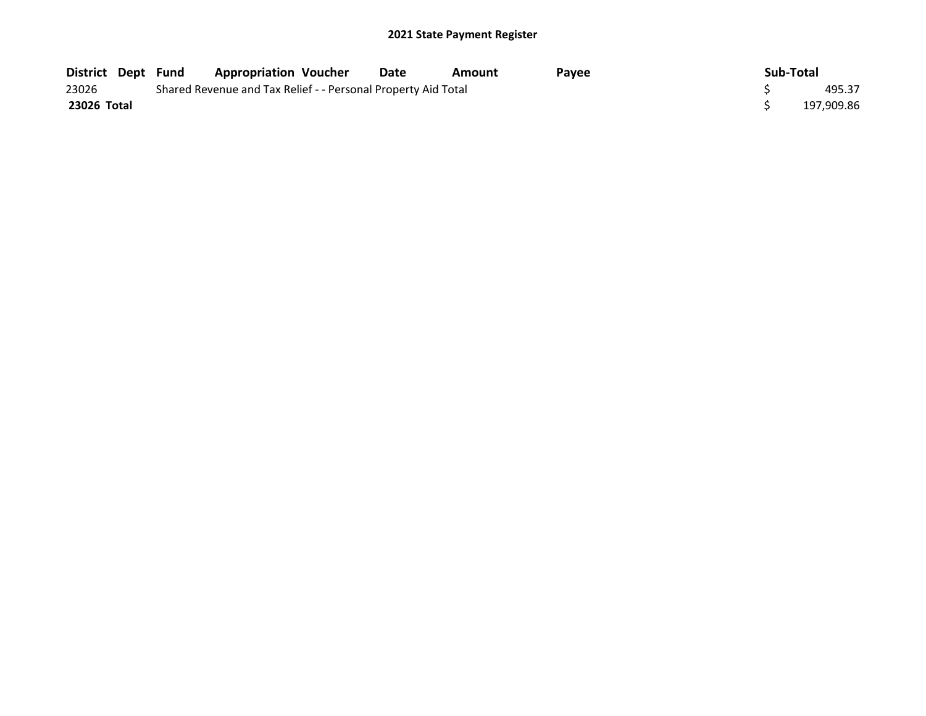| <b>District Dept Fund</b> |  | <b>Appropriation Voucher</b>                                  | Date | Amount | Pavee | Sub-Total |            |
|---------------------------|--|---------------------------------------------------------------|------|--------|-------|-----------|------------|
| 23026                     |  | Shared Revenue and Tax Relief - - Personal Property Aid Total |      | 495.37 |       |           |            |
| 23026 Total               |  |                                                               |      |        |       |           | 197,909.86 |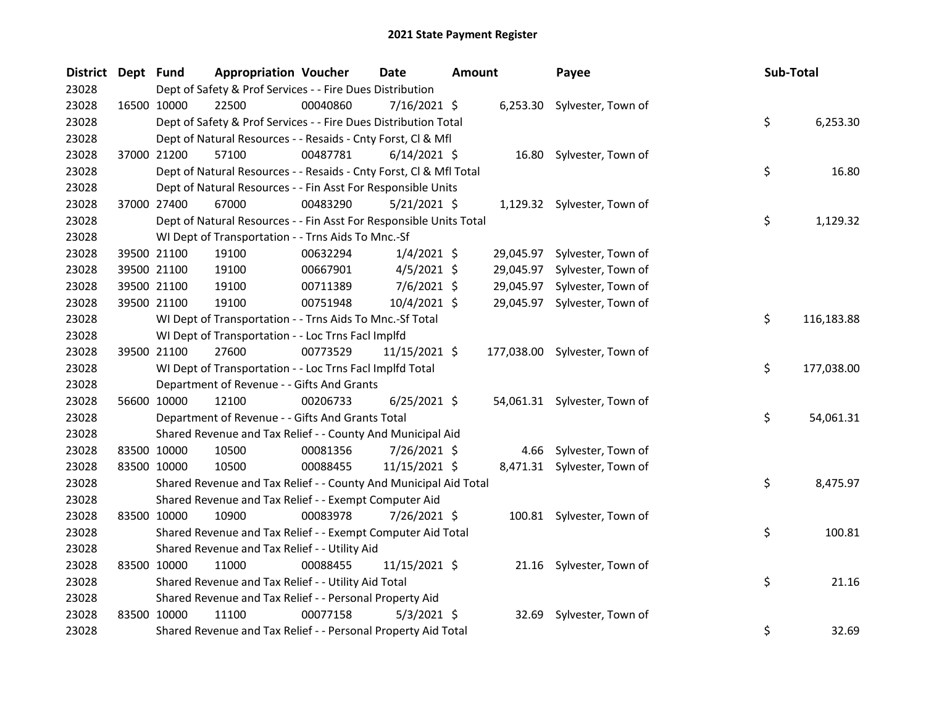| District Dept Fund |             |                                                                  | <b>Appropriation Voucher</b> |                                                                    | Date           | <b>Amount</b> |           | Payee                         | Sub-Total |            |
|--------------------|-------------|------------------------------------------------------------------|------------------------------|--------------------------------------------------------------------|----------------|---------------|-----------|-------------------------------|-----------|------------|
| 23028              |             |                                                                  |                              | Dept of Safety & Prof Services - - Fire Dues Distribution          |                |               |           |                               |           |            |
| 23028              |             | 16500 10000                                                      | 22500                        | 00040860                                                           | 7/16/2021 \$   |               |           | 6,253.30 Sylvester, Town of   |           |            |
| 23028              |             |                                                                  |                              | Dept of Safety & Prof Services - - Fire Dues Distribution Total    |                |               |           |                               | \$        | 6,253.30   |
| 23028              |             | Dept of Natural Resources - - Resaids - Cnty Forst, Cl & Mfl     |                              |                                                                    |                |               |           |                               |           |            |
| 23028              |             | 37000 21200                                                      | 57100                        | 00487781                                                           | $6/14/2021$ \$ |               |           | 16.80 Sylvester, Town of      |           |            |
| 23028              |             |                                                                  |                              | Dept of Natural Resources - - Resaids - Cnty Forst, CI & Mfl Total |                |               |           |                               | \$        | 16.80      |
| 23028              |             |                                                                  |                              | Dept of Natural Resources - - Fin Asst For Responsible Units       |                |               |           |                               |           |            |
| 23028              |             | 67000<br>37000 27400                                             |                              | 00483290                                                           | $5/21/2021$ \$ |               |           | 1,129.32 Sylvester, Town of   |           |            |
| 23028              |             |                                                                  |                              | Dept of Natural Resources - - Fin Asst For Responsible Units Total |                |               |           |                               | \$        | 1,129.32   |
| 23028              |             | WI Dept of Transportation - - Trns Aids To Mnc.-Sf               |                              |                                                                    |                |               |           |                               |           |            |
| 23028              |             | 39500 21100<br>19100                                             |                              | 00632294                                                           | $1/4/2021$ \$  |               | 29,045.97 | Sylvester, Town of            |           |            |
| 23028              |             | 39500 21100<br>19100                                             |                              | 00667901                                                           | $4/5/2021$ \$  |               |           | 29,045.97 Sylvester, Town of  |           |            |
| 23028              |             | 39500 21100<br>19100                                             |                              | 00711389                                                           | $7/6/2021$ \$  |               |           | 29,045.97 Sylvester, Town of  |           |            |
| 23028              |             | 39500 21100<br>19100                                             |                              | 00751948                                                           | 10/4/2021 \$   |               |           | 29,045.97 Sylvester, Town of  |           |            |
| 23028              |             | WI Dept of Transportation - - Trns Aids To Mnc.-Sf Total         |                              |                                                                    |                |               |           |                               | \$        | 116,183.88 |
| 23028              |             | WI Dept of Transportation - - Loc Trns Facl Implfd               |                              |                                                                    |                |               |           |                               |           |            |
| 23028              |             | 39500 21100<br>27600                                             |                              | 00773529                                                           | 11/15/2021 \$  |               |           | 177,038.00 Sylvester, Town of |           |            |
| 23028              |             | WI Dept of Transportation - - Loc Trns Facl Implfd Total         |                              |                                                                    |                |               |           |                               | \$        | 177,038.00 |
| 23028              |             | Department of Revenue - - Gifts And Grants                       |                              |                                                                    |                |               |           |                               |           |            |
| 23028              |             | 12100<br>56600 10000                                             |                              | 00206733                                                           | $6/25/2021$ \$ |               |           | 54,061.31 Sylvester, Town of  |           |            |
| 23028              |             |                                                                  |                              | Department of Revenue - - Gifts And Grants Total                   |                |               |           |                               | \$        | 54,061.31  |
| 23028              |             | Shared Revenue and Tax Relief - - County And Municipal Aid       |                              |                                                                    |                |               |           |                               |           |            |
| 23028              |             | 83500 10000<br>10500                                             |                              | 00081356                                                           | 7/26/2021 \$   |               | 4.66      | Sylvester, Town of            |           |            |
| 23028              |             | 83500 10000<br>10500                                             |                              | 00088455                                                           | 11/15/2021 \$  |               |           | 8,471.31 Sylvester, Town of   |           |            |
| 23028              |             | Shared Revenue and Tax Relief - - County And Municipal Aid Total |                              |                                                                    |                |               |           |                               | \$        | 8,475.97   |
| 23028              |             | Shared Revenue and Tax Relief - - Exempt Computer Aid            |                              |                                                                    |                |               |           |                               |           |            |
| 23028              |             | 83500 10000<br>10900                                             |                              | 00083978                                                           | 7/26/2021 \$   |               |           | 100.81 Sylvester, Town of     |           |            |
| 23028              |             | Shared Revenue and Tax Relief - - Exempt Computer Aid Total      |                              |                                                                    |                |               |           |                               | \$        | 100.81     |
| 23028              |             | Shared Revenue and Tax Relief - - Utility Aid                    |                              |                                                                    |                |               |           |                               |           |            |
| 23028              | 83500 10000 | 11000                                                            |                              | 00088455                                                           | 11/15/2021 \$  |               |           | 21.16 Sylvester, Town of      |           |            |
| 23028              |             | Shared Revenue and Tax Relief - - Utility Aid Total              |                              |                                                                    |                |               |           |                               | \$        | 21.16      |
| 23028              |             | Shared Revenue and Tax Relief - - Personal Property Aid          |                              |                                                                    |                |               |           |                               |           |            |
| 23028              |             | 83500 10000<br>11100                                             |                              | 00077158                                                           | $5/3/2021$ \$  |               | 32.69     | Sylvester, Town of            |           |            |
| 23028              |             |                                                                  |                              | Shared Revenue and Tax Relief - - Personal Property Aid Total      |                |               |           |                               | \$        | 32.69      |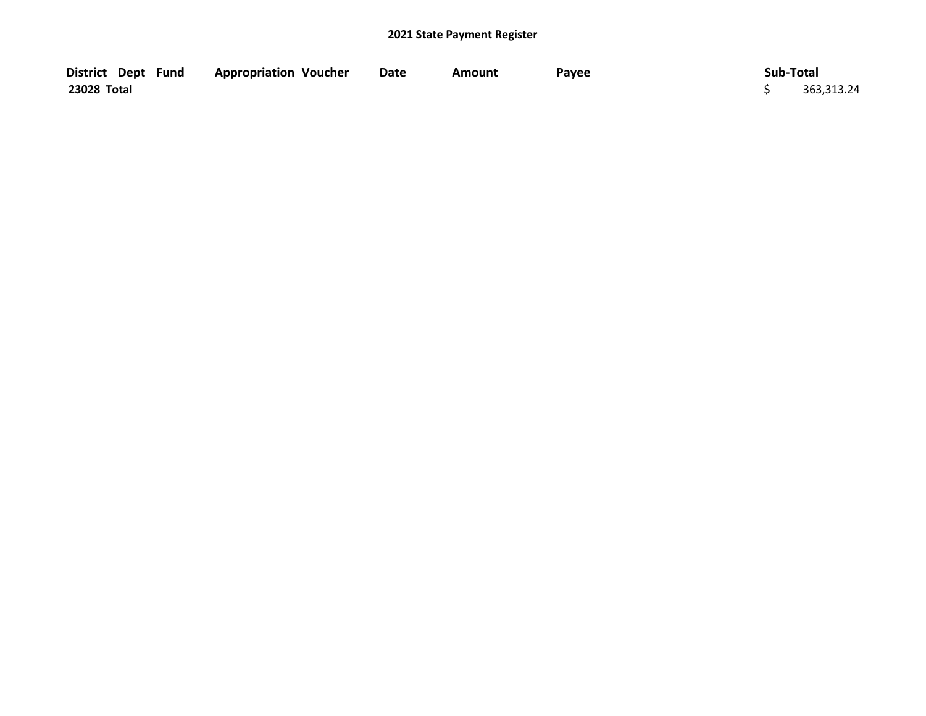| District Dept Fund | <b>Appropriation Voucher</b> | <b>Date</b> | Amount | Payee | Sub-Total  |  |
|--------------------|------------------------------|-------------|--------|-------|------------|--|
| 23028 Total        |                              |             |        |       | 363,313.24 |  |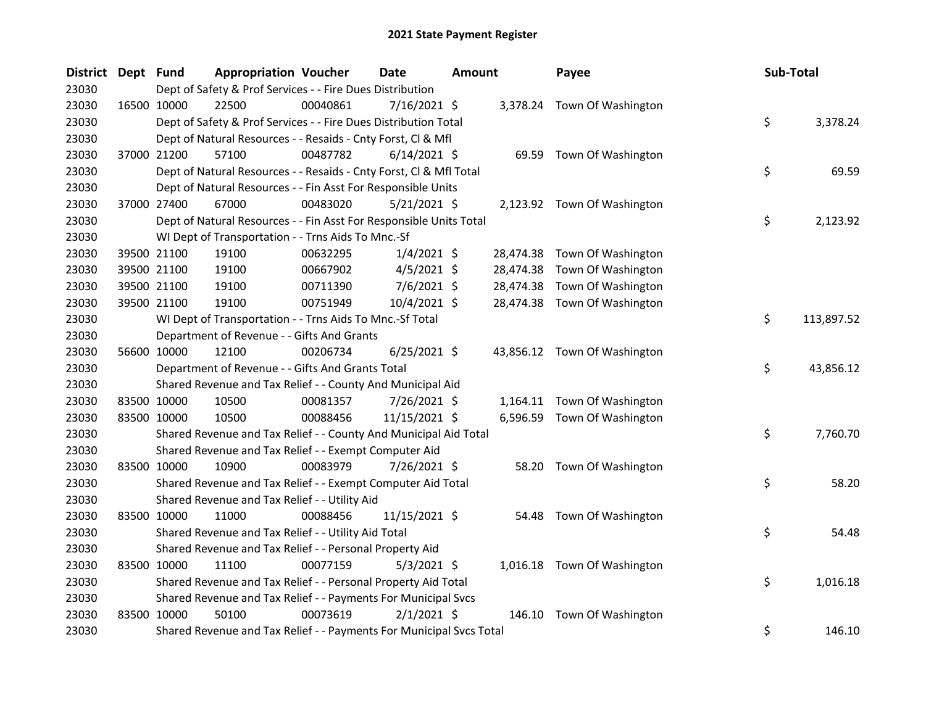| <b>District</b> | Dept Fund | <b>Appropriation Voucher</b>                                        |          | Date           | <b>Amount</b> | Payee  |                              | Sub-Total |            |
|-----------------|-----------|---------------------------------------------------------------------|----------|----------------|---------------|--------|------------------------------|-----------|------------|
| 23030           |           | Dept of Safety & Prof Services - - Fire Dues Distribution           |          |                |               |        |                              |           |            |
| 23030           |           | 16500 10000<br>22500                                                | 00040861 | 7/16/2021 \$   |               |        | 3,378.24 Town Of Washington  |           |            |
| 23030           |           | Dept of Safety & Prof Services - - Fire Dues Distribution Total     |          |                |               |        |                              | \$        | 3,378.24   |
| 23030           |           | Dept of Natural Resources - - Resaids - Cnty Forst, Cl & Mfl        |          |                |               |        |                              |           |            |
| 23030           |           | 37000 21200<br>57100                                                | 00487782 | $6/14/2021$ \$ |               |        | 69.59 Town Of Washington     |           |            |
| 23030           |           | Dept of Natural Resources - - Resaids - Cnty Forst, Cl & Mfl Total  |          |                |               |        |                              | \$        | 69.59      |
| 23030           |           | Dept of Natural Resources - - Fin Asst For Responsible Units        |          |                |               |        |                              |           |            |
| 23030           |           | 37000 27400<br>67000                                                | 00483020 | $5/21/2021$ \$ |               |        | 2,123.92 Town Of Washington  |           |            |
| 23030           |           | Dept of Natural Resources - - Fin Asst For Responsible Units Total  |          |                |               |        |                              | \$        | 2,123.92   |
| 23030           |           | WI Dept of Transportation - - Trns Aids To Mnc.-Sf                  |          |                |               |        |                              |           |            |
| 23030           |           | 39500 21100<br>19100                                                | 00632295 | $1/4/2021$ \$  | 28,474.38     |        | Town Of Washington           |           |            |
| 23030           |           | 39500 21100<br>19100                                                | 00667902 | $4/5/2021$ \$  | 28,474.38     |        | Town Of Washington           |           |            |
| 23030           |           | 39500 21100<br>19100                                                | 00711390 | 7/6/2021 \$    | 28,474.38     |        | Town Of Washington           |           |            |
| 23030           |           | 39500 21100<br>19100                                                | 00751949 | 10/4/2021 \$   |               |        | 28,474.38 Town Of Washington |           |            |
| 23030           |           | WI Dept of Transportation - - Trns Aids To Mnc.-Sf Total            |          |                |               |        |                              | \$        | 113,897.52 |
| 23030           |           | Department of Revenue - - Gifts And Grants                          |          |                |               |        |                              |           |            |
| 23030           |           | 56600 10000<br>12100                                                | 00206734 | $6/25/2021$ \$ |               |        | 43,856.12 Town Of Washington |           |            |
| 23030           |           | Department of Revenue - - Gifts And Grants Total                    |          |                |               |        |                              | \$        | 43,856.12  |
| 23030           |           | Shared Revenue and Tax Relief - - County And Municipal Aid          |          |                |               |        |                              |           |            |
| 23030           |           | 83500 10000<br>10500                                                | 00081357 | 7/26/2021 \$   |               |        | 1,164.11 Town Of Washington  |           |            |
| 23030           |           | 83500 10000<br>10500                                                | 00088456 | 11/15/2021 \$  |               |        | 6,596.59 Town Of Washington  |           |            |
| 23030           |           | Shared Revenue and Tax Relief - - County And Municipal Aid Total    |          |                |               |        |                              | \$        | 7,760.70   |
| 23030           |           | Shared Revenue and Tax Relief - - Exempt Computer Aid               |          |                |               |        |                              |           |            |
| 23030           |           | 83500 10000<br>10900                                                | 00083979 | 7/26/2021 \$   |               |        | 58.20 Town Of Washington     |           |            |
| 23030           |           | Shared Revenue and Tax Relief - - Exempt Computer Aid Total         |          |                |               |        |                              | \$        | 58.20      |
| 23030           |           | Shared Revenue and Tax Relief - - Utility Aid                       |          |                |               |        |                              |           |            |
| 23030           |           | 83500 10000<br>11000                                                | 00088456 | 11/15/2021 \$  |               |        | 54.48 Town Of Washington     |           |            |
| 23030           |           | Shared Revenue and Tax Relief - - Utility Aid Total                 |          |                |               |        |                              | \$        | 54.48      |
| 23030           |           | Shared Revenue and Tax Relief - - Personal Property Aid             |          |                |               |        |                              |           |            |
| 23030           |           | 83500 10000<br>11100                                                | 00077159 | $5/3/2021$ \$  |               |        | 1,016.18 Town Of Washington  |           |            |
| 23030           |           | Shared Revenue and Tax Relief - - Personal Property Aid Total       |          |                |               |        |                              | \$        | 1,016.18   |
| 23030           |           | Shared Revenue and Tax Relief - - Payments For Municipal Svcs       |          |                |               |        |                              |           |            |
| 23030           |           | 83500 10000<br>50100                                                | 00073619 | $2/1/2021$ \$  |               | 146.10 | Town Of Washington           |           |            |
| 23030           |           | Shared Revenue and Tax Relief - - Payments For Municipal Svcs Total |          |                |               |        |                              | \$        | 146.10     |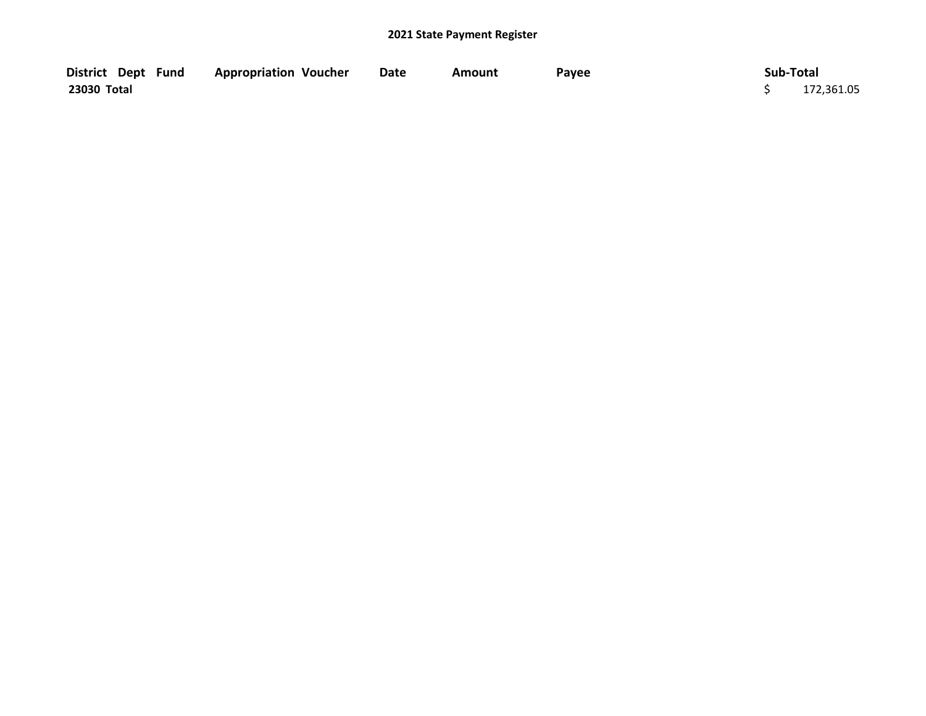| District Dept Fund | <b>Appropriation Voucher</b> | Date | Amount | Payee | Sub-Total  |
|--------------------|------------------------------|------|--------|-------|------------|
| 23030 Total        |                              |      |        |       | 172,361.05 |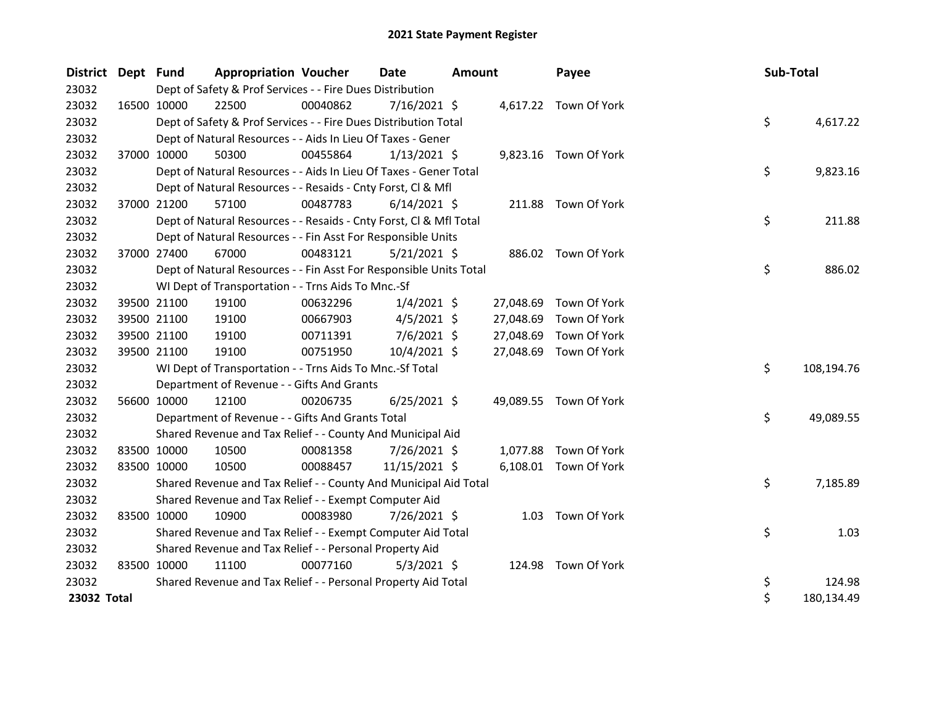| District Dept Fund |             | <b>Appropriation Voucher</b>                                       |          | <b>Date</b>    | <b>Amount</b> |           | Payee                  | Sub-Total |            |
|--------------------|-------------|--------------------------------------------------------------------|----------|----------------|---------------|-----------|------------------------|-----------|------------|
| 23032              |             | Dept of Safety & Prof Services - - Fire Dues Distribution          |          |                |               |           |                        |           |            |
| 23032              | 16500 10000 | 22500                                                              | 00040862 | $7/16/2021$ \$ |               |           | 4,617.22 Town Of York  |           |            |
| 23032              |             | Dept of Safety & Prof Services - - Fire Dues Distribution Total    |          |                |               |           |                        | \$        | 4,617.22   |
| 23032              |             | Dept of Natural Resources - - Aids In Lieu Of Taxes - Gener        |          |                |               |           |                        |           |            |
| 23032              | 37000 10000 | 50300                                                              | 00455864 | $1/13/2021$ \$ |               |           | 9,823.16 Town Of York  |           |            |
| 23032              |             | Dept of Natural Resources - - Aids In Lieu Of Taxes - Gener Total  |          |                |               |           |                        | \$        | 9,823.16   |
| 23032              |             | Dept of Natural Resources - - Resaids - Cnty Forst, CI & MfI       |          |                |               |           |                        |           |            |
| 23032              | 37000 21200 | 57100                                                              | 00487783 | $6/14/2021$ \$ |               |           | 211.88 Town Of York    |           |            |
| 23032              |             | Dept of Natural Resources - - Resaids - Cnty Forst, Cl & Mfl Total |          |                |               |           |                        | \$        | 211.88     |
| 23032              |             | Dept of Natural Resources - - Fin Asst For Responsible Units       |          |                |               |           |                        |           |            |
| 23032              | 37000 27400 | 67000                                                              | 00483121 | $5/21/2021$ \$ |               |           | 886.02 Town Of York    |           |            |
| 23032              |             | Dept of Natural Resources - - Fin Asst For Responsible Units Total |          |                |               |           |                        | \$        | 886.02     |
| 23032              |             | WI Dept of Transportation - - Trns Aids To Mnc.-Sf                 |          |                |               |           |                        |           |            |
| 23032              | 39500 21100 | 19100                                                              | 00632296 | $1/4/2021$ \$  |               | 27,048.69 | Town Of York           |           |            |
| 23032              | 39500 21100 | 19100                                                              | 00667903 | $4/5/2021$ \$  |               | 27,048.69 | Town Of York           |           |            |
| 23032              | 39500 21100 | 19100                                                              | 00711391 | $7/6/2021$ \$  |               | 27,048.69 | Town Of York           |           |            |
| 23032              | 39500 21100 | 19100                                                              | 00751950 | 10/4/2021 \$   |               | 27,048.69 | Town Of York           |           |            |
| 23032              |             | WI Dept of Transportation - - Trns Aids To Mnc.-Sf Total           |          |                |               |           |                        | \$        | 108,194.76 |
| 23032              |             | Department of Revenue - - Gifts And Grants                         |          |                |               |           |                        |           |            |
| 23032              | 56600 10000 | 12100                                                              | 00206735 | $6/25/2021$ \$ |               |           | 49,089.55 Town Of York |           |            |
| 23032              |             | Department of Revenue - - Gifts And Grants Total                   |          |                |               |           |                        | \$        | 49,089.55  |
| 23032              |             | Shared Revenue and Tax Relief - - County And Municipal Aid         |          |                |               |           |                        |           |            |
| 23032              | 83500 10000 | 10500                                                              | 00081358 | 7/26/2021 \$   |               | 1,077.88  | Town Of York           |           |            |
| 23032              | 83500 10000 | 10500                                                              | 00088457 | 11/15/2021 \$  |               |           | 6,108.01 Town Of York  |           |            |
| 23032              |             | Shared Revenue and Tax Relief - - County And Municipal Aid Total   |          |                |               |           |                        | \$        | 7,185.89   |
| 23032              |             | Shared Revenue and Tax Relief - - Exempt Computer Aid              |          |                |               |           |                        |           |            |
| 23032              | 83500 10000 | 10900                                                              | 00083980 | 7/26/2021 \$   |               | 1.03      | Town Of York           |           |            |
| 23032              |             | Shared Revenue and Tax Relief - - Exempt Computer Aid Total        |          |                |               |           |                        | \$        | 1.03       |
| 23032              |             | Shared Revenue and Tax Relief - - Personal Property Aid            |          |                |               |           |                        |           |            |
| 23032              | 83500 10000 | 11100                                                              | 00077160 | $5/3/2021$ \$  |               | 124.98    | Town Of York           |           |            |
| 23032              |             | Shared Revenue and Tax Relief - - Personal Property Aid Total      |          |                |               |           |                        | \$        | 124.98     |
| 23032 Total        |             |                                                                    |          |                |               |           |                        | \$        | 180,134.49 |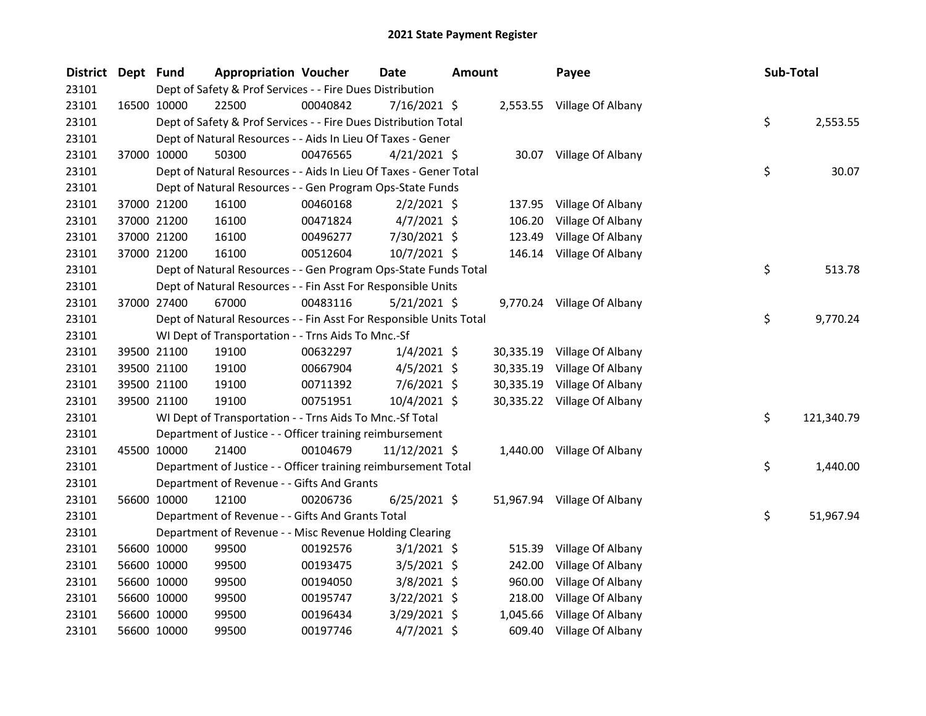| <b>District</b> | Dept Fund   |                                                                    | <b>Appropriation Voucher</b> |          | <b>Date</b>    | <b>Amount</b> |           | Payee                       | <b>Sub-Total</b> |            |
|-----------------|-------------|--------------------------------------------------------------------|------------------------------|----------|----------------|---------------|-----------|-----------------------------|------------------|------------|
| 23101           |             | Dept of Safety & Prof Services - - Fire Dues Distribution          |                              |          |                |               |           |                             |                  |            |
| 23101           | 16500 10000 | 22500                                                              |                              | 00040842 | 7/16/2021 \$   |               |           | 2,553.55 Village Of Albany  |                  |            |
| 23101           |             | Dept of Safety & Prof Services - - Fire Dues Distribution Total    |                              |          |                |               |           |                             | \$               | 2,553.55   |
| 23101           |             | Dept of Natural Resources - - Aids In Lieu Of Taxes - Gener        |                              |          |                |               |           |                             |                  |            |
| 23101           |             | 50300<br>37000 10000                                               |                              | 00476565 | $4/21/2021$ \$ |               |           | 30.07 Village Of Albany     |                  |            |
| 23101           |             | Dept of Natural Resources - - Aids In Lieu Of Taxes - Gener Total  |                              |          |                |               |           |                             | \$               | 30.07      |
| 23101           |             | Dept of Natural Resources - - Gen Program Ops-State Funds          |                              |          |                |               |           |                             |                  |            |
| 23101           |             | 37000 21200<br>16100                                               |                              | 00460168 | $2/2/2021$ \$  |               | 137.95    | Village Of Albany           |                  |            |
| 23101           |             | 37000 21200<br>16100                                               |                              | 00471824 | $4/7/2021$ \$  |               | 106.20    | Village Of Albany           |                  |            |
| 23101           |             | 37000 21200<br>16100                                               |                              | 00496277 | 7/30/2021 \$   |               | 123.49    | Village Of Albany           |                  |            |
| 23101           |             | 37000 21200<br>16100                                               |                              | 00512604 | 10/7/2021 \$   |               |           | 146.14 Village Of Albany    |                  |            |
| 23101           |             | Dept of Natural Resources - - Gen Program Ops-State Funds Total    |                              |          |                |               |           |                             | \$               | 513.78     |
| 23101           |             | Dept of Natural Resources - - Fin Asst For Responsible Units       |                              |          |                |               |           |                             |                  |            |
| 23101           |             | 37000 27400<br>67000                                               |                              | 00483116 | $5/21/2021$ \$ |               |           | 9,770.24 Village Of Albany  |                  |            |
| 23101           |             | Dept of Natural Resources - - Fin Asst For Responsible Units Total |                              |          |                |               |           |                             | \$               | 9,770.24   |
| 23101           |             | WI Dept of Transportation - - Trns Aids To Mnc.-Sf                 |                              |          |                |               |           |                             |                  |            |
| 23101           |             | 39500 21100<br>19100                                               |                              | 00632297 | $1/4/2021$ \$  |               | 30,335.19 | Village Of Albany           |                  |            |
| 23101           |             | 19100<br>39500 21100                                               |                              | 00667904 | $4/5/2021$ \$  |               | 30,335.19 | Village Of Albany           |                  |            |
| 23101           |             | 39500 21100<br>19100                                               |                              | 00711392 | 7/6/2021 \$    |               |           | 30,335.19 Village Of Albany |                  |            |
| 23101           |             | 39500 21100<br>19100                                               |                              | 00751951 | $10/4/2021$ \$ |               |           | 30,335.22 Village Of Albany |                  |            |
| 23101           |             | WI Dept of Transportation - - Trns Aids To Mnc.-Sf Total           |                              |          |                |               |           |                             | \$               | 121,340.79 |
| 23101           |             | Department of Justice - - Officer training reimbursement           |                              |          |                |               |           |                             |                  |            |
| 23101           |             | 45500 10000<br>21400                                               |                              | 00104679 | 11/12/2021 \$  |               |           | 1,440.00 Village Of Albany  |                  |            |
| 23101           |             | Department of Justice - - Officer training reimbursement Total     |                              |          |                |               |           |                             | \$               | 1,440.00   |
| 23101           |             | Department of Revenue - - Gifts And Grants                         |                              |          |                |               |           |                             |                  |            |
| 23101           |             | 56600 10000<br>12100                                               |                              | 00206736 | $6/25/2021$ \$ |               |           | 51,967.94 Village Of Albany |                  |            |
| 23101           |             | Department of Revenue - - Gifts And Grants Total                   |                              |          |                |               |           |                             | \$               | 51,967.94  |
| 23101           |             | Department of Revenue - - Misc Revenue Holding Clearing            |                              |          |                |               |           |                             |                  |            |
| 23101           |             | 56600 10000<br>99500                                               |                              | 00192576 | $3/1/2021$ \$  |               | 515.39    | Village Of Albany           |                  |            |
| 23101           |             | 56600 10000<br>99500                                               |                              | 00193475 | $3/5/2021$ \$  |               | 242.00    | Village Of Albany           |                  |            |
| 23101           |             | 56600 10000<br>99500                                               |                              | 00194050 | $3/8/2021$ \$  |               | 960.00    | Village Of Albany           |                  |            |
| 23101           |             | 56600 10000<br>99500                                               |                              | 00195747 | 3/22/2021 \$   |               | 218.00    | Village Of Albany           |                  |            |
| 23101           |             | 56600 10000<br>99500                                               |                              | 00196434 | 3/29/2021 \$   |               | 1,045.66  | Village Of Albany           |                  |            |
| 23101           |             | 56600 10000<br>99500                                               |                              | 00197746 | $4/7/2021$ \$  |               | 609.40    | Village Of Albany           |                  |            |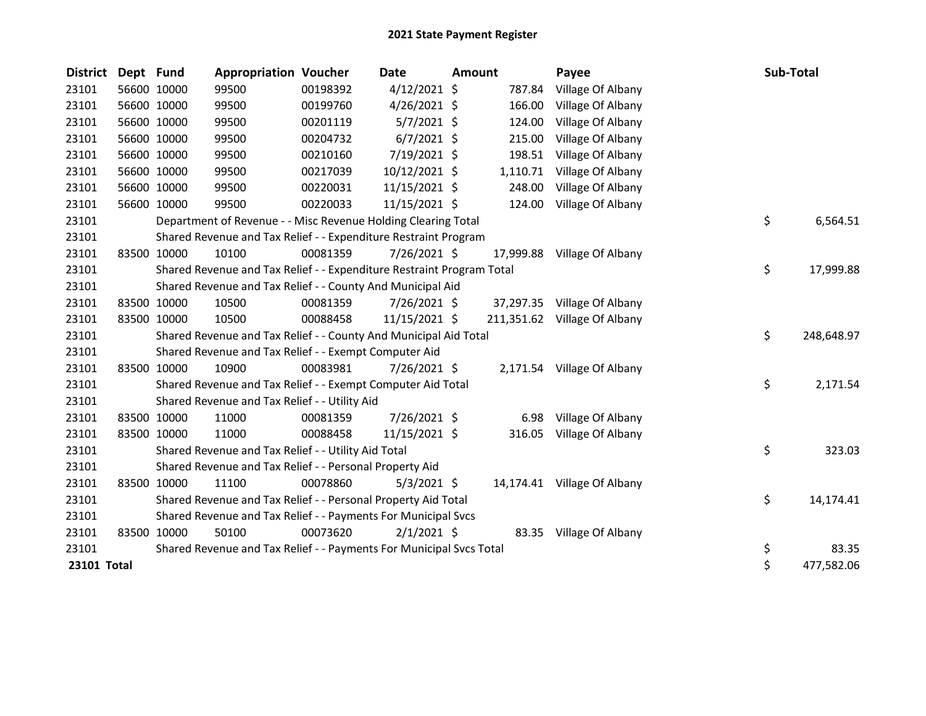| <b>District</b> | Dept Fund |             | <b>Appropriation Voucher</b>                                          |          | <b>Date</b>    | <b>Amount</b> |           | Payee                        | Sub-Total        |
|-----------------|-----------|-------------|-----------------------------------------------------------------------|----------|----------------|---------------|-----------|------------------------------|------------------|
| 23101           |           | 56600 10000 | 99500                                                                 | 00198392 | $4/12/2021$ \$ |               | 787.84    | Village Of Albany            |                  |
| 23101           |           | 56600 10000 | 99500                                                                 | 00199760 | $4/26/2021$ \$ |               | 166.00    | Village Of Albany            |                  |
| 23101           |           | 56600 10000 | 99500                                                                 | 00201119 | $5/7/2021$ \$  |               | 124.00    | Village Of Albany            |                  |
| 23101           |           | 56600 10000 | 99500                                                                 | 00204732 | $6/7/2021$ \$  |               | 215.00    | Village Of Albany            |                  |
| 23101           |           | 56600 10000 | 99500                                                                 | 00210160 | 7/19/2021 \$   |               | 198.51    | Village Of Albany            |                  |
| 23101           |           | 56600 10000 | 99500                                                                 | 00217039 | 10/12/2021 \$  |               | 1,110.71  | Village Of Albany            |                  |
| 23101           |           | 56600 10000 | 99500                                                                 | 00220031 | 11/15/2021 \$  |               | 248.00    | Village Of Albany            |                  |
| 23101           |           | 56600 10000 | 99500                                                                 | 00220033 | 11/15/2021 \$  |               | 124.00    | Village Of Albany            |                  |
| 23101           |           |             | Department of Revenue - - Misc Revenue Holding Clearing Total         |          |                |               |           |                              | \$<br>6,564.51   |
| 23101           |           |             | Shared Revenue and Tax Relief - - Expenditure Restraint Program       |          |                |               |           |                              |                  |
| 23101           |           | 83500 10000 | 10100                                                                 | 00081359 | $7/26/2021$ \$ |               | 17,999.88 | Village Of Albany            |                  |
| 23101           |           |             | Shared Revenue and Tax Relief - - Expenditure Restraint Program Total |          |                |               |           |                              | \$<br>17,999.88  |
| 23101           |           |             | Shared Revenue and Tax Relief - - County And Municipal Aid            |          |                |               |           |                              |                  |
| 23101           |           | 83500 10000 | 10500                                                                 | 00081359 | 7/26/2021 \$   |               |           | 37,297.35 Village Of Albany  |                  |
| 23101           |           | 83500 10000 | 10500                                                                 | 00088458 | 11/15/2021 \$  |               |           | 211,351.62 Village Of Albany |                  |
| 23101           |           |             | Shared Revenue and Tax Relief - - County And Municipal Aid Total      |          |                |               |           |                              | \$<br>248,648.97 |
| 23101           |           |             | Shared Revenue and Tax Relief - - Exempt Computer Aid                 |          |                |               |           |                              |                  |
| 23101           |           | 83500 10000 | 10900                                                                 | 00083981 | 7/26/2021 \$   |               |           | 2,171.54 Village Of Albany   |                  |
| 23101           |           |             | Shared Revenue and Tax Relief - - Exempt Computer Aid Total           |          |                |               |           |                              | \$<br>2,171.54   |
| 23101           |           |             | Shared Revenue and Tax Relief - - Utility Aid                         |          |                |               |           |                              |                  |
| 23101           |           | 83500 10000 | 11000                                                                 | 00081359 | $7/26/2021$ \$ |               | 6.98      | Village Of Albany            |                  |
| 23101           |           | 83500 10000 | 11000                                                                 | 00088458 | 11/15/2021 \$  |               | 316.05    | Village Of Albany            |                  |
| 23101           |           |             | Shared Revenue and Tax Relief - - Utility Aid Total                   |          |                |               |           |                              | \$<br>323.03     |
| 23101           |           |             | Shared Revenue and Tax Relief - - Personal Property Aid               |          |                |               |           |                              |                  |
| 23101           |           | 83500 10000 | 11100                                                                 | 00078860 | $5/3/2021$ \$  |               |           | 14,174.41 Village Of Albany  |                  |
| 23101           |           |             | Shared Revenue and Tax Relief - - Personal Property Aid Total         |          |                |               |           |                              | \$<br>14,174.41  |
| 23101           |           |             | Shared Revenue and Tax Relief - - Payments For Municipal Svcs         |          |                |               |           |                              |                  |
| 23101           |           | 83500 10000 | 50100                                                                 | 00073620 | $2/1/2021$ \$  |               |           | 83.35 Village Of Albany      |                  |
| 23101           |           |             | Shared Revenue and Tax Relief - - Payments For Municipal Svcs Total   |          |                |               |           |                              | \$<br>83.35      |
| 23101 Total     |           |             |                                                                       |          |                |               |           |                              | \$<br>477,582.06 |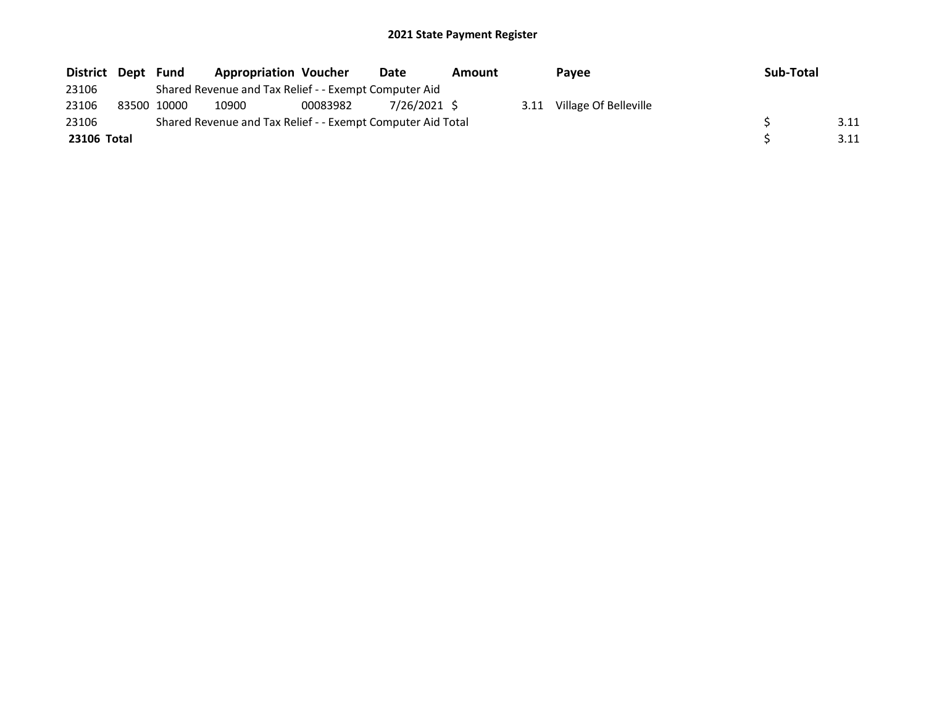| District Dept | Fund        | <b>Appropriation Voucher</b>                                |          | Date         | Amount |      | <b>Pavee</b>          | Sub-Total |      |
|---------------|-------------|-------------------------------------------------------------|----------|--------------|--------|------|-----------------------|-----------|------|
| 23106         |             | Shared Revenue and Tax Relief - - Exempt Computer Aid       |          |              |        |      |                       |           |      |
| 23106         | 83500 10000 | 10900                                                       | 00083982 | 7/26/2021 \$ |        | 3.11 | Village Of Belleville |           |      |
| 23106         |             | Shared Revenue and Tax Relief - - Exempt Computer Aid Total |          |              |        |      |                       |           | 3.11 |
| 23106 Total   |             |                                                             |          |              |        |      |                       |           | 3.11 |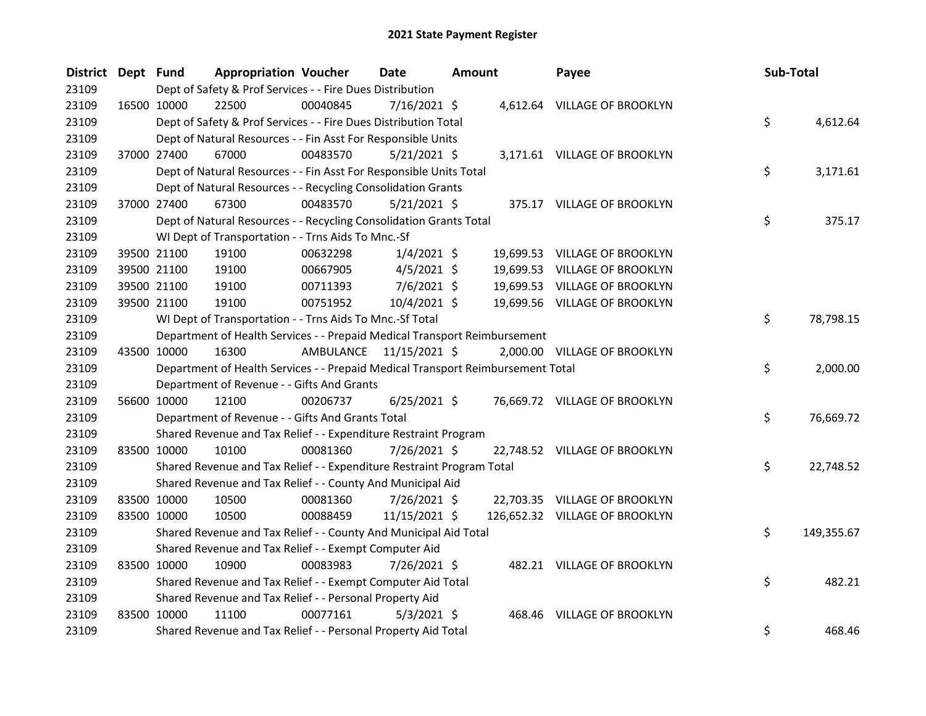| District Dept Fund |             |                                                                                 | <b>Appropriation Voucher</b> |          | Date                    | <b>Amount</b> | Payee                          | Sub-Total |            |
|--------------------|-------------|---------------------------------------------------------------------------------|------------------------------|----------|-------------------------|---------------|--------------------------------|-----------|------------|
| 23109              |             | Dept of Safety & Prof Services - - Fire Dues Distribution                       |                              |          |                         |               |                                |           |            |
| 23109              |             | 16500 10000<br>22500                                                            |                              | 00040845 | 7/16/2021 \$            |               | 4,612.64 VILLAGE OF BROOKLYN   |           |            |
| 23109              |             | Dept of Safety & Prof Services - - Fire Dues Distribution Total                 |                              |          |                         |               |                                | \$        | 4,612.64   |
| 23109              |             | Dept of Natural Resources - - Fin Asst For Responsible Units                    |                              |          |                         |               |                                |           |            |
| 23109              |             | 37000 27400<br>67000                                                            |                              | 00483570 | $5/21/2021$ \$          |               | 3,171.61 VILLAGE OF BROOKLYN   |           |            |
| 23109              |             | Dept of Natural Resources - - Fin Asst For Responsible Units Total              |                              |          |                         |               |                                | \$        | 3,171.61   |
| 23109              |             | Dept of Natural Resources - - Recycling Consolidation Grants                    |                              |          |                         |               |                                |           |            |
| 23109              |             | 37000 27400<br>67300                                                            |                              | 00483570 | $5/21/2021$ \$          |               | 375.17 VILLAGE OF BROOKLYN     |           |            |
| 23109              |             | Dept of Natural Resources - - Recycling Consolidation Grants Total              |                              |          |                         |               |                                | \$        | 375.17     |
| 23109              |             | WI Dept of Transportation - - Trns Aids To Mnc.-Sf                              |                              |          |                         |               |                                |           |            |
| 23109              |             | 39500 21100<br>19100                                                            |                              | 00632298 | $1/4/2021$ \$           |               | 19,699.53 VILLAGE OF BROOKLYN  |           |            |
| 23109              |             | 39500 21100<br>19100                                                            |                              | 00667905 | $4/5/2021$ \$           |               | 19,699.53 VILLAGE OF BROOKLYN  |           |            |
| 23109              |             | 39500 21100<br>19100                                                            |                              | 00711393 | 7/6/2021 \$             |               | 19,699.53 VILLAGE OF BROOKLYN  |           |            |
| 23109              |             | 39500 21100<br>19100                                                            |                              | 00751952 | $10/4/2021$ \$          |               | 19,699.56 VILLAGE OF BROOKLYN  |           |            |
| 23109              |             | WI Dept of Transportation - - Trns Aids To Mnc.-Sf Total                        |                              |          |                         |               |                                | \$        | 78,798.15  |
| 23109              |             | Department of Health Services - - Prepaid Medical Transport Reimbursement       |                              |          |                         |               |                                |           |            |
| 23109              | 43500 10000 | 16300                                                                           |                              |          | AMBULANCE 11/15/2021 \$ |               | 2,000.00 VILLAGE OF BROOKLYN   |           |            |
| 23109              |             | Department of Health Services - - Prepaid Medical Transport Reimbursement Total |                              |          |                         |               |                                | \$        | 2,000.00   |
| 23109              |             | Department of Revenue - - Gifts And Grants                                      |                              |          |                         |               |                                |           |            |
| 23109              |             | 56600 10000<br>12100                                                            |                              | 00206737 | $6/25/2021$ \$          |               | 76,669.72 VILLAGE OF BROOKLYN  |           |            |
| 23109              |             | Department of Revenue - - Gifts And Grants Total                                |                              |          |                         |               |                                | \$        | 76,669.72  |
| 23109              |             | Shared Revenue and Tax Relief - - Expenditure Restraint Program                 |                              |          |                         |               |                                |           |            |
| 23109              | 83500 10000 | 10100                                                                           |                              | 00081360 | 7/26/2021 \$            |               | 22,748.52 VILLAGE OF BROOKLYN  |           |            |
| 23109              |             | Shared Revenue and Tax Relief - - Expenditure Restraint Program Total           |                              |          |                         |               |                                | \$        | 22,748.52  |
| 23109              |             | Shared Revenue and Tax Relief - - County And Municipal Aid                      |                              |          |                         |               |                                |           |            |
| 23109              |             | 83500 10000<br>10500                                                            |                              | 00081360 | 7/26/2021 \$            |               | 22,703.35 VILLAGE OF BROOKLYN  |           |            |
| 23109              |             | 83500 10000<br>10500                                                            |                              | 00088459 | 11/15/2021 \$           |               | 126,652.32 VILLAGE OF BROOKLYN |           |            |
| 23109              |             | Shared Revenue and Tax Relief - - County And Municipal Aid Total                |                              |          |                         |               |                                | \$        | 149,355.67 |
| 23109              |             | Shared Revenue and Tax Relief - - Exempt Computer Aid                           |                              |          |                         |               |                                |           |            |
| 23109              | 83500 10000 | 10900                                                                           |                              | 00083983 | 7/26/2021 \$            |               | 482.21 VILLAGE OF BROOKLYN     |           |            |
| 23109              |             | Shared Revenue and Tax Relief - - Exempt Computer Aid Total                     |                              |          |                         |               |                                | \$        | 482.21     |
| 23109              |             | Shared Revenue and Tax Relief - - Personal Property Aid                         |                              |          |                         |               |                                |           |            |
| 23109              | 83500 10000 | 11100                                                                           |                              | 00077161 | $5/3/2021$ \$           |               | 468.46 VILLAGE OF BROOKLYN     |           |            |
| 23109              |             | Shared Revenue and Tax Relief - - Personal Property Aid Total                   |                              |          |                         |               |                                | \$        | 468.46     |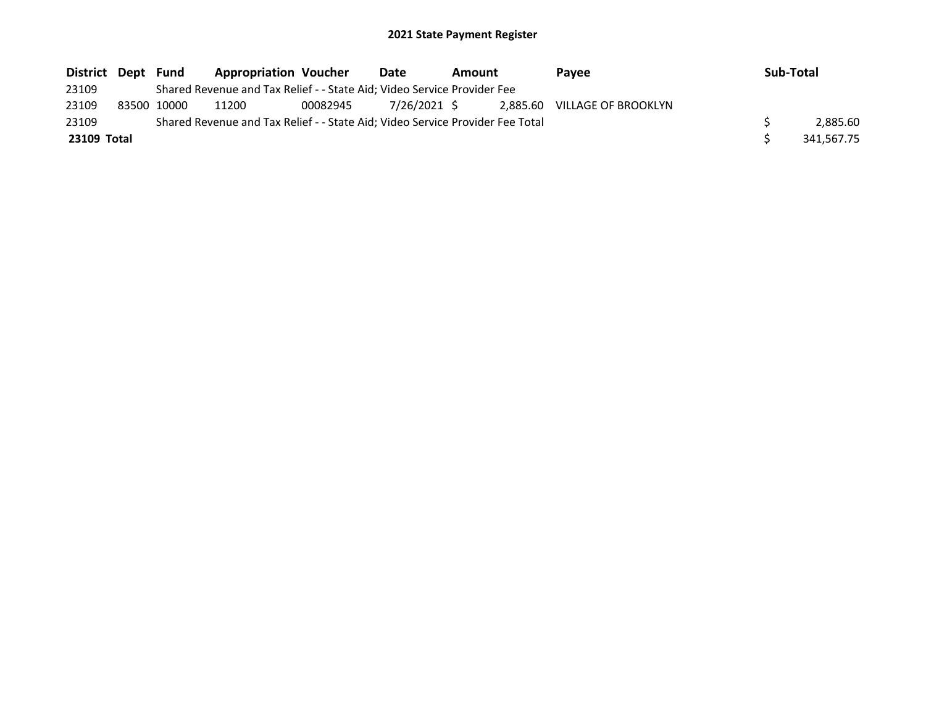| District Dept Fund |             | <b>Appropriation Voucher</b>                                                  |          | Date         | Amount |  | <b>Pavee</b>                 | Sub-Total |            |
|--------------------|-------------|-------------------------------------------------------------------------------|----------|--------------|--------|--|------------------------------|-----------|------------|
| 23109              |             | Shared Revenue and Tax Relief - - State Aid; Video Service Provider Fee       |          |              |        |  |                              |           |            |
| 23109              | 83500 10000 | 11200                                                                         | 00082945 | 7/26/2021 \$ |        |  | 2.885.60 VILLAGE OF BROOKLYN |           |            |
| 23109              |             | Shared Revenue and Tax Relief - - State Aid; Video Service Provider Fee Total |          |              |        |  |                              |           | 2.885.60   |
| 23109 Total        |             |                                                                               |          |              |        |  |                              |           | 341,567.75 |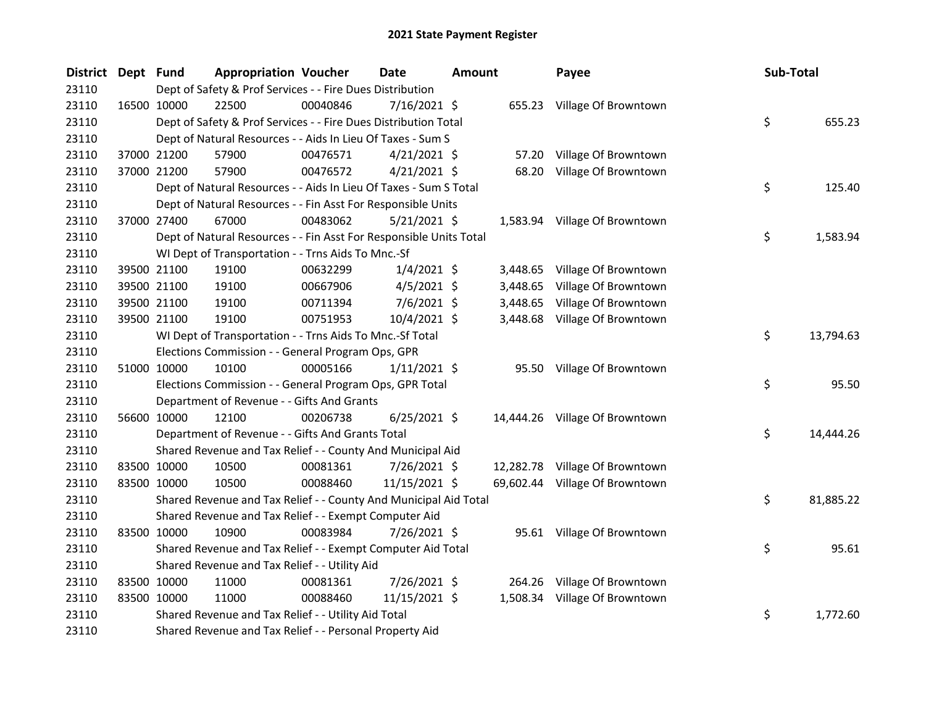| <b>District</b> | Dept Fund |             | <b>Appropriation Voucher</b>                                       |          | Date           | <b>Amount</b> |          | Payee                          | Sub-Total |           |
|-----------------|-----------|-------------|--------------------------------------------------------------------|----------|----------------|---------------|----------|--------------------------------|-----------|-----------|
| 23110           |           |             | Dept of Safety & Prof Services - - Fire Dues Distribution          |          |                |               |          |                                |           |           |
| 23110           |           | 16500 10000 | 22500                                                              | 00040846 | 7/16/2021 \$   |               |          | 655.23 Village Of Browntown    |           |           |
| 23110           |           |             | Dept of Safety & Prof Services - - Fire Dues Distribution Total    |          |                |               |          |                                | \$        | 655.23    |
| 23110           |           |             | Dept of Natural Resources - - Aids In Lieu Of Taxes - Sum S        |          |                |               |          |                                |           |           |
| 23110           |           | 37000 21200 | 57900                                                              | 00476571 | $4/21/2021$ \$ |               |          | 57.20 Village Of Browntown     |           |           |
| 23110           |           | 37000 21200 | 57900                                                              | 00476572 | $4/21/2021$ \$ |               |          | 68.20 Village Of Browntown     |           |           |
| 23110           |           |             | Dept of Natural Resources - - Aids In Lieu Of Taxes - Sum S Total  |          |                |               |          |                                | \$        | 125.40    |
| 23110           |           |             | Dept of Natural Resources - - Fin Asst For Responsible Units       |          |                |               |          |                                |           |           |
| 23110           |           | 37000 27400 | 67000                                                              | 00483062 | 5/21/2021 \$   |               |          | 1,583.94 Village Of Browntown  |           |           |
| 23110           |           |             | Dept of Natural Resources - - Fin Asst For Responsible Units Total |          |                |               |          |                                | \$        | 1,583.94  |
| 23110           |           |             | WI Dept of Transportation - - Trns Aids To Mnc.-Sf                 |          |                |               |          |                                |           |           |
| 23110           |           | 39500 21100 | 19100                                                              | 00632299 | $1/4/2021$ \$  |               |          | 3,448.65 Village Of Browntown  |           |           |
| 23110           |           | 39500 21100 | 19100                                                              | 00667906 | $4/5/2021$ \$  |               | 3,448.65 | Village Of Browntown           |           |           |
| 23110           |           | 39500 21100 | 19100                                                              | 00711394 | $7/6/2021$ \$  |               | 3,448.65 | Village Of Browntown           |           |           |
| 23110           |           | 39500 21100 | 19100                                                              | 00751953 | 10/4/2021 \$   |               |          | 3,448.68 Village Of Browntown  |           |           |
| 23110           |           |             | WI Dept of Transportation - - Trns Aids To Mnc.-Sf Total           |          |                |               |          |                                | \$.       | 13,794.63 |
| 23110           |           |             | Elections Commission - - General Program Ops, GPR                  |          |                |               |          |                                |           |           |
| 23110           |           | 51000 10000 | 10100                                                              | 00005166 | $1/11/2021$ \$ |               |          | 95.50 Village Of Browntown     |           |           |
| 23110           |           |             | Elections Commission - - General Program Ops, GPR Total            |          |                |               |          |                                | \$        | 95.50     |
| 23110           |           |             | Department of Revenue - - Gifts And Grants                         |          |                |               |          |                                |           |           |
| 23110           |           | 56600 10000 | 12100                                                              | 00206738 | $6/25/2021$ \$ |               |          | 14,444.26 Village Of Browntown |           |           |
| 23110           |           |             | Department of Revenue - - Gifts And Grants Total                   |          |                |               |          |                                | \$.       | 14,444.26 |
| 23110           |           |             | Shared Revenue and Tax Relief - - County And Municipal Aid         |          |                |               |          |                                |           |           |
| 23110           |           | 83500 10000 | 10500                                                              | 00081361 | 7/26/2021 \$   |               |          | 12,282.78 Village Of Browntown |           |           |
| 23110           |           | 83500 10000 | 10500                                                              | 00088460 | 11/15/2021 \$  |               |          | 69,602.44 Village Of Browntown |           |           |
| 23110           |           |             | Shared Revenue and Tax Relief - - County And Municipal Aid Total   |          |                |               |          |                                | \$        | 81,885.22 |
| 23110           |           |             | Shared Revenue and Tax Relief - - Exempt Computer Aid              |          |                |               |          |                                |           |           |
| 23110           |           | 83500 10000 | 10900                                                              | 00083984 | 7/26/2021 \$   |               |          | 95.61 Village Of Browntown     |           |           |
| 23110           |           |             | Shared Revenue and Tax Relief - - Exempt Computer Aid Total        |          |                |               |          |                                | \$        | 95.61     |
| 23110           |           |             | Shared Revenue and Tax Relief - - Utility Aid                      |          |                |               |          |                                |           |           |
| 23110           |           | 83500 10000 | 11000                                                              | 00081361 | 7/26/2021 \$   |               |          | 264.26 Village Of Browntown    |           |           |
| 23110           |           | 83500 10000 | 11000                                                              | 00088460 | 11/15/2021 \$  |               |          | 1,508.34 Village Of Browntown  |           |           |
| 23110           |           |             | Shared Revenue and Tax Relief - - Utility Aid Total                |          |                |               |          |                                | \$        | 1,772.60  |
| 23110           |           |             | Shared Revenue and Tax Relief - - Personal Property Aid            |          |                |               |          |                                |           |           |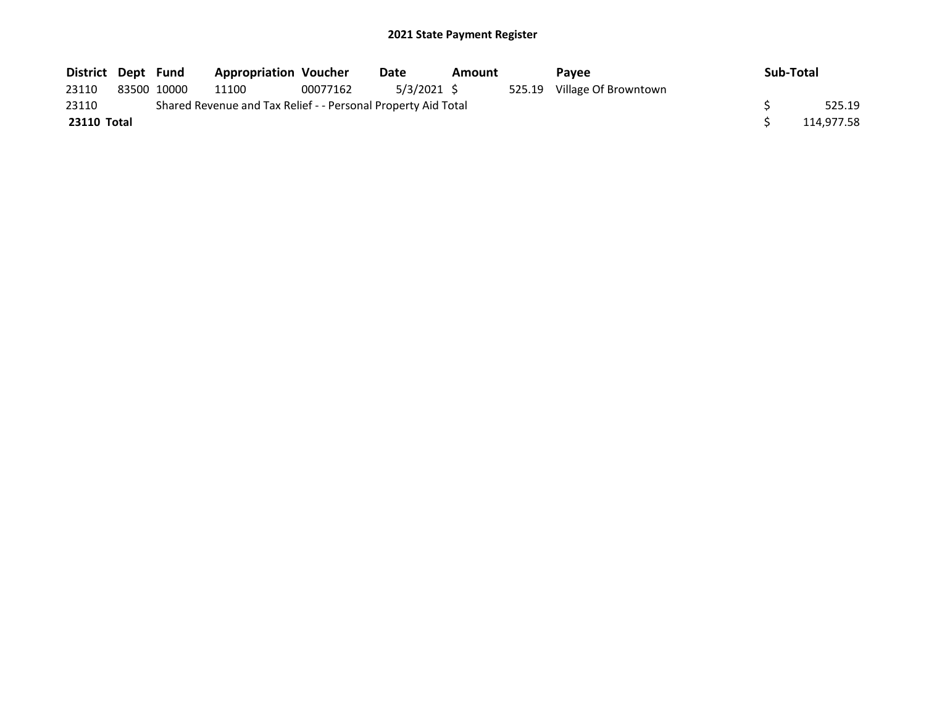| District Dept Fund |             | <b>Appropriation Voucher</b>                                  |          | Date        | Amount | Pavee                       | Sub-Total  |
|--------------------|-------------|---------------------------------------------------------------|----------|-------------|--------|-----------------------------|------------|
| 23110              | 83500 10000 | 11100                                                         | 00077162 | 5/3/2021 \$ |        | 525.19 Village Of Browntown |            |
| 23110              |             | Shared Revenue and Tax Relief - - Personal Property Aid Total |          |             |        |                             | 525.19     |
| 23110 Total        |             |                                                               |          |             |        |                             | 114,977.58 |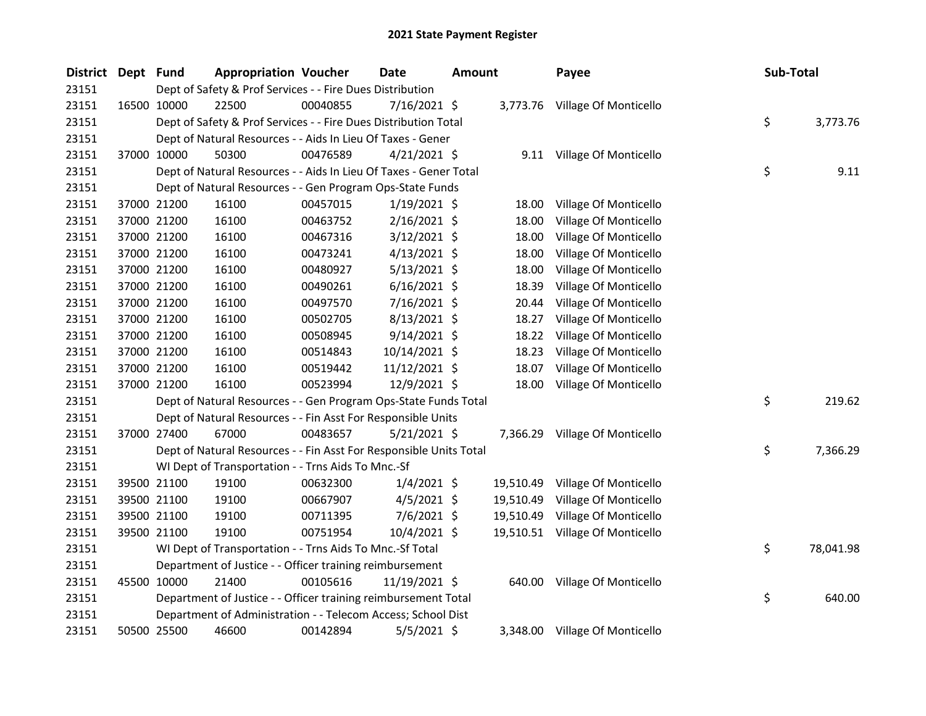| <b>District</b> | Dept Fund |             | <b>Appropriation Voucher</b>                                       |          | Date           | <b>Amount</b> |           | Payee                          |  | Sub-Total |           |  |
|-----------------|-----------|-------------|--------------------------------------------------------------------|----------|----------------|---------------|-----------|--------------------------------|--|-----------|-----------|--|
| 23151           |           |             | Dept of Safety & Prof Services - - Fire Dues Distribution          |          |                |               |           |                                |  |           |           |  |
| 23151           |           | 16500 10000 | 22500                                                              | 00040855 | 7/16/2021 \$   |               |           | 3,773.76 Village Of Monticello |  |           |           |  |
| 23151           |           |             | Dept of Safety & Prof Services - - Fire Dues Distribution Total    |          |                |               |           |                                |  | \$        | 3,773.76  |  |
| 23151           |           |             | Dept of Natural Resources - - Aids In Lieu Of Taxes - Gener        |          |                |               |           |                                |  |           |           |  |
| 23151           |           | 37000 10000 | 50300                                                              | 00476589 | $4/21/2021$ \$ |               |           | 9.11 Village Of Monticello     |  |           |           |  |
| 23151           |           |             | Dept of Natural Resources - - Aids In Lieu Of Taxes - Gener Total  |          |                |               |           |                                |  | \$        | 9.11      |  |
| 23151           |           |             | Dept of Natural Resources - - Gen Program Ops-State Funds          |          |                |               |           |                                |  |           |           |  |
| 23151           |           | 37000 21200 | 16100                                                              | 00457015 | $1/19/2021$ \$ |               | 18.00     | Village Of Monticello          |  |           |           |  |
| 23151           |           | 37000 21200 | 16100                                                              | 00463752 | $2/16/2021$ \$ |               | 18.00     | Village Of Monticello          |  |           |           |  |
| 23151           |           | 37000 21200 | 16100                                                              | 00467316 | $3/12/2021$ \$ |               | 18.00     | Village Of Monticello          |  |           |           |  |
| 23151           |           | 37000 21200 | 16100                                                              | 00473241 | $4/13/2021$ \$ |               | 18.00     | Village Of Monticello          |  |           |           |  |
| 23151           |           | 37000 21200 | 16100                                                              | 00480927 | $5/13/2021$ \$ |               | 18.00     | Village Of Monticello          |  |           |           |  |
| 23151           |           | 37000 21200 | 16100                                                              | 00490261 | $6/16/2021$ \$ |               | 18.39     | Village Of Monticello          |  |           |           |  |
| 23151           |           | 37000 21200 | 16100                                                              | 00497570 | 7/16/2021 \$   |               | 20.44     | Village Of Monticello          |  |           |           |  |
| 23151           |           | 37000 21200 | 16100                                                              | 00502705 | 8/13/2021 \$   |               | 18.27     | Village Of Monticello          |  |           |           |  |
| 23151           |           | 37000 21200 | 16100                                                              | 00508945 | $9/14/2021$ \$ |               | 18.22     | Village Of Monticello          |  |           |           |  |
| 23151           |           | 37000 21200 | 16100                                                              | 00514843 | 10/14/2021 \$  |               | 18.23     | Village Of Monticello          |  |           |           |  |
| 23151           |           | 37000 21200 | 16100                                                              | 00519442 | 11/12/2021 \$  |               | 18.07     | Village Of Monticello          |  |           |           |  |
| 23151           |           | 37000 21200 | 16100                                                              | 00523994 | 12/9/2021 \$   |               | 18.00     | Village Of Monticello          |  |           |           |  |
| 23151           |           |             | Dept of Natural Resources - - Gen Program Ops-State Funds Total    |          |                |               |           |                                |  | \$        | 219.62    |  |
| 23151           |           |             | Dept of Natural Resources - - Fin Asst For Responsible Units       |          |                |               |           |                                |  |           |           |  |
| 23151           |           | 37000 27400 | 67000                                                              | 00483657 | $5/21/2021$ \$ |               |           | 7,366.29 Village Of Monticello |  |           |           |  |
| 23151           |           |             | Dept of Natural Resources - - Fin Asst For Responsible Units Total |          |                |               |           |                                |  | \$        | 7,366.29  |  |
| 23151           |           |             | WI Dept of Transportation - - Trns Aids To Mnc.-Sf                 |          |                |               |           |                                |  |           |           |  |
| 23151           |           | 39500 21100 | 19100                                                              | 00632300 | $1/4/2021$ \$  |               | 19,510.49 | Village Of Monticello          |  |           |           |  |
| 23151           |           | 39500 21100 | 19100                                                              | 00667907 | $4/5/2021$ \$  |               | 19,510.49 | Village Of Monticello          |  |           |           |  |
| 23151           |           | 39500 21100 | 19100                                                              | 00711395 | $7/6/2021$ \$  |               | 19,510.49 | Village Of Monticello          |  |           |           |  |
| 23151           |           | 39500 21100 | 19100                                                              | 00751954 | 10/4/2021 \$   |               | 19,510.51 | Village Of Monticello          |  |           |           |  |
| 23151           |           |             | WI Dept of Transportation - - Trns Aids To Mnc.-Sf Total           |          |                |               |           |                                |  | \$        | 78,041.98 |  |
| 23151           |           |             | Department of Justice - - Officer training reimbursement           |          |                |               |           |                                |  |           |           |  |
| 23151           |           | 45500 10000 | 21400                                                              | 00105616 | 11/19/2021 \$  |               | 640.00    | Village Of Monticello          |  |           |           |  |
| 23151           |           |             | Department of Justice - - Officer training reimbursement Total     |          |                |               |           |                                |  | \$        | 640.00    |  |
| 23151           |           |             | Department of Administration - - Telecom Access; School Dist       |          |                |               |           |                                |  |           |           |  |
| 23151           |           | 50500 25500 | 46600                                                              | 00142894 | $5/5/2021$ \$  |               |           | 3,348.00 Village Of Monticello |  |           |           |  |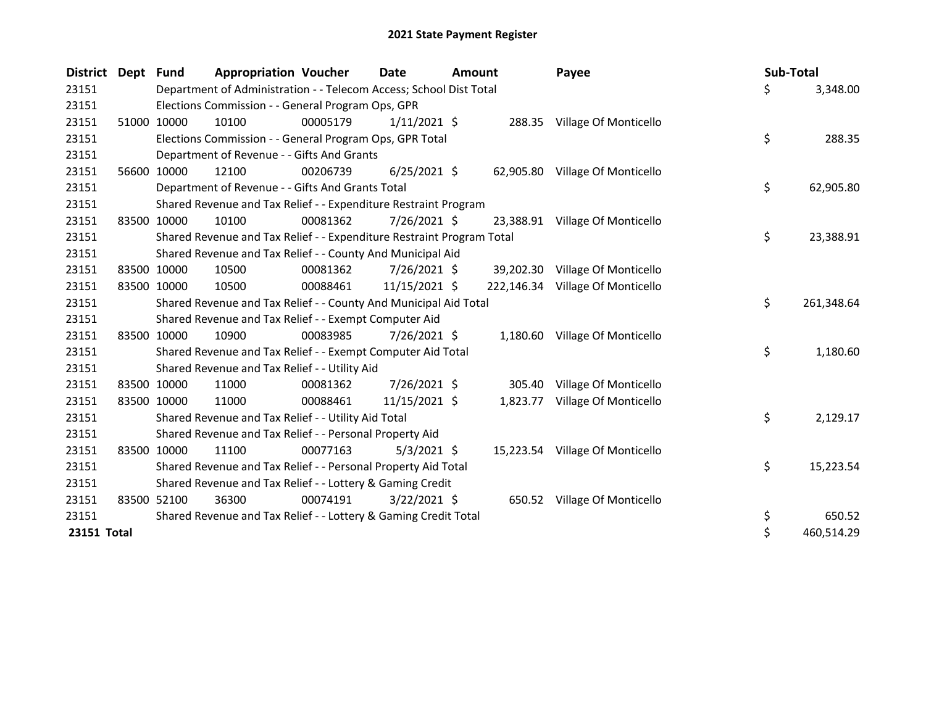| <b>District Dept</b> |       | <b>Fund</b> | <b>Appropriation Voucher</b>                                          |          | <b>Date</b>    | <b>Amount</b> |           | Payee                            | Sub-Total |            |
|----------------------|-------|-------------|-----------------------------------------------------------------------|----------|----------------|---------------|-----------|----------------------------------|-----------|------------|
| 23151                |       |             | Department of Administration - - Telecom Access; School Dist Total    |          |                |               |           |                                  | \$        | 3,348.00   |
| 23151                |       |             | Elections Commission - - General Program Ops, GPR                     |          |                |               |           |                                  |           |            |
| 23151                |       | 51000 10000 | 10100                                                                 | 00005179 | $1/11/2021$ \$ |               |           | 288.35 Village Of Monticello     |           |            |
| 23151                |       |             | Elections Commission - - General Program Ops, GPR Total               |          |                |               |           |                                  | \$        | 288.35     |
| 23151                |       |             | Department of Revenue - - Gifts And Grants                            |          |                |               |           |                                  |           |            |
| 23151                | 56600 | 10000       | 12100                                                                 | 00206739 | $6/25/2021$ \$ |               |           | 62,905.80 Village Of Monticello  |           |            |
| 23151                |       |             | Department of Revenue - - Gifts And Grants Total                      |          |                |               |           |                                  | \$        | 62,905.80  |
| 23151                |       |             | Shared Revenue and Tax Relief - - Expenditure Restraint Program       |          |                |               |           |                                  |           |            |
| 23151                | 83500 | 10000       | 10100                                                                 | 00081362 | 7/26/2021 \$   |               | 23,388.91 | Village Of Monticello            |           |            |
| 23151                |       |             | Shared Revenue and Tax Relief - - Expenditure Restraint Program Total |          |                |               |           |                                  | \$        | 23,388.91  |
| 23151                |       |             | Shared Revenue and Tax Relief - - County And Municipal Aid            |          |                |               |           |                                  |           |            |
| 23151                |       | 83500 10000 | 10500                                                                 | 00081362 | $7/26/2021$ \$ |               |           | 39,202.30 Village Of Monticello  |           |            |
| 23151                |       | 83500 10000 | 10500                                                                 | 00088461 | 11/15/2021 \$  |               |           | 222,146.34 Village Of Monticello |           |            |
| 23151                |       |             | Shared Revenue and Tax Relief - - County And Municipal Aid Total      |          |                |               |           |                                  | \$        | 261,348.64 |
| 23151                |       |             | Shared Revenue and Tax Relief - - Exempt Computer Aid                 |          |                |               |           |                                  |           |            |
| 23151                | 83500 | 10000       | 10900                                                                 | 00083985 | 7/26/2021 \$   |               |           | 1,180.60 Village Of Monticello   |           |            |
| 23151                |       |             | Shared Revenue and Tax Relief - - Exempt Computer Aid Total           |          |                |               |           |                                  | \$        | 1,180.60   |
| 23151                |       |             | Shared Revenue and Tax Relief - - Utility Aid                         |          |                |               |           |                                  |           |            |
| 23151                |       | 83500 10000 | 11000                                                                 | 00081362 | 7/26/2021 \$   |               | 305.40    | Village Of Monticello            |           |            |
| 23151                |       | 83500 10000 | 11000                                                                 | 00088461 | 11/15/2021 \$  |               | 1,823.77  | Village Of Monticello            |           |            |
| 23151                |       |             | Shared Revenue and Tax Relief - - Utility Aid Total                   |          |                |               |           |                                  | \$        | 2,129.17   |
| 23151                |       |             | Shared Revenue and Tax Relief - - Personal Property Aid               |          |                |               |           |                                  |           |            |
| 23151                | 83500 | 10000       | 11100                                                                 | 00077163 | $5/3/2021$ \$  |               |           | 15,223.54 Village Of Monticello  |           |            |
| 23151                |       |             | Shared Revenue and Tax Relief - - Personal Property Aid Total         |          |                |               |           |                                  | \$        | 15,223.54  |
| 23151                |       |             | Shared Revenue and Tax Relief - - Lottery & Gaming Credit             |          |                |               |           |                                  |           |            |
| 23151                |       | 83500 52100 | 36300                                                                 | 00074191 | $3/22/2021$ \$ |               |           | 650.52 Village Of Monticello     |           |            |
| 23151                |       |             | Shared Revenue and Tax Relief - - Lottery & Gaming Credit Total       |          |                |               |           |                                  | \$        | 650.52     |
| 23151 Total          |       |             |                                                                       |          |                |               |           |                                  | \$        | 460,514.29 |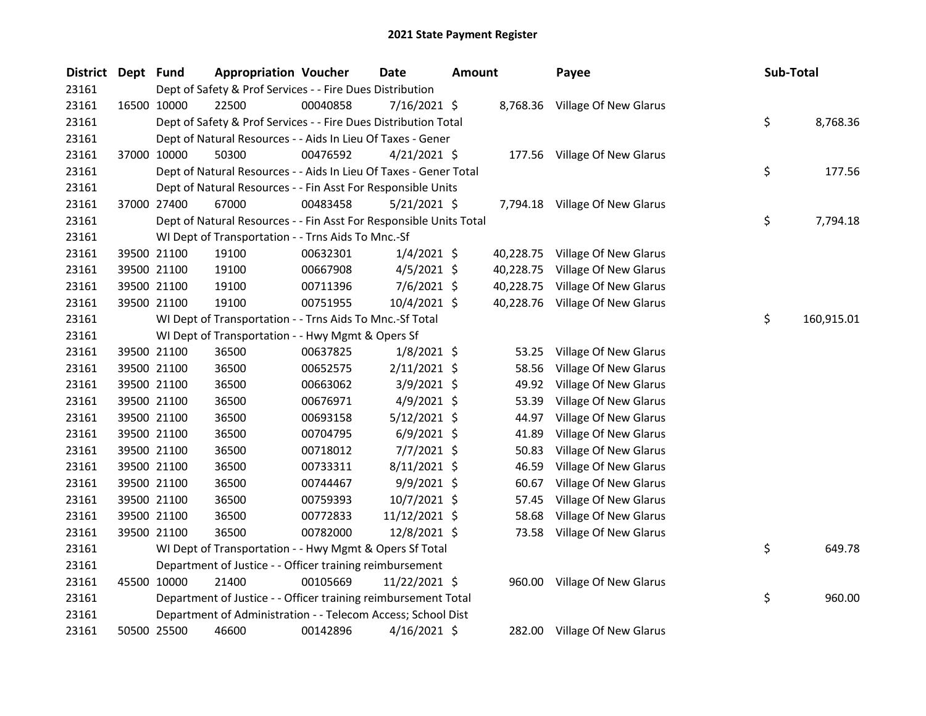| <b>District</b> | Dept Fund |             | <b>Appropriation Voucher</b>                                       |          | <b>Date</b>    | <b>Amount</b> |           | Payee                          | Sub-Total |            |
|-----------------|-----------|-------------|--------------------------------------------------------------------|----------|----------------|---------------|-----------|--------------------------------|-----------|------------|
| 23161           |           |             | Dept of Safety & Prof Services - - Fire Dues Distribution          |          |                |               |           |                                |           |            |
| 23161           |           | 16500 10000 | 22500                                                              | 00040858 | 7/16/2021 \$   |               |           | 8,768.36 Village Of New Glarus |           |            |
| 23161           |           |             | Dept of Safety & Prof Services - - Fire Dues Distribution Total    |          |                |               |           |                                | \$        | 8,768.36   |
| 23161           |           |             | Dept of Natural Resources - - Aids In Lieu Of Taxes - Gener        |          |                |               |           |                                |           |            |
| 23161           |           | 37000 10000 | 50300                                                              | 00476592 | $4/21/2021$ \$ |               |           | 177.56 Village Of New Glarus   |           |            |
| 23161           |           |             | Dept of Natural Resources - - Aids In Lieu Of Taxes - Gener Total  |          |                |               |           |                                | \$        | 177.56     |
| 23161           |           |             | Dept of Natural Resources - - Fin Asst For Responsible Units       |          |                |               |           |                                |           |            |
| 23161           |           | 37000 27400 | 67000                                                              | 00483458 | $5/21/2021$ \$ |               |           | 7,794.18 Village Of New Glarus |           |            |
| 23161           |           |             | Dept of Natural Resources - - Fin Asst For Responsible Units Total |          |                |               |           |                                | \$        | 7,794.18   |
| 23161           |           |             | WI Dept of Transportation - - Trns Aids To Mnc.-Sf                 |          |                |               |           |                                |           |            |
| 23161           |           | 39500 21100 | 19100                                                              | 00632301 | $1/4/2021$ \$  |               | 40,228.75 | Village Of New Glarus          |           |            |
| 23161           |           | 39500 21100 | 19100                                                              | 00667908 | $4/5/2021$ \$  |               | 40,228.75 | Village Of New Glarus          |           |            |
| 23161           |           | 39500 21100 | 19100                                                              | 00711396 | $7/6/2021$ \$  |               | 40,228.75 | Village Of New Glarus          |           |            |
| 23161           |           | 39500 21100 | 19100                                                              | 00751955 | 10/4/2021 \$   |               | 40,228.76 | Village Of New Glarus          |           |            |
| 23161           |           |             | WI Dept of Transportation - - Trns Aids To Mnc.-Sf Total           |          |                |               |           |                                | \$        | 160,915.01 |
| 23161           |           |             | WI Dept of Transportation - - Hwy Mgmt & Opers Sf                  |          |                |               |           |                                |           |            |
| 23161           |           | 39500 21100 | 36500                                                              | 00637825 | $1/8/2021$ \$  |               | 53.25     | Village Of New Glarus          |           |            |
| 23161           |           | 39500 21100 | 36500                                                              | 00652575 | $2/11/2021$ \$ |               | 58.56     | Village Of New Glarus          |           |            |
| 23161           |           | 39500 21100 | 36500                                                              | 00663062 | 3/9/2021 \$    |               | 49.92     | Village Of New Glarus          |           |            |
| 23161           |           | 39500 21100 | 36500                                                              | 00676971 | 4/9/2021 \$    |               | 53.39     | Village Of New Glarus          |           |            |
| 23161           |           | 39500 21100 | 36500                                                              | 00693158 | $5/12/2021$ \$ |               | 44.97     | Village Of New Glarus          |           |            |
| 23161           |           | 39500 21100 | 36500                                                              | 00704795 | $6/9/2021$ \$  |               | 41.89     | Village Of New Glarus          |           |            |
| 23161           |           | 39500 21100 | 36500                                                              | 00718012 | 7/7/2021 \$    |               | 50.83     | Village Of New Glarus          |           |            |
| 23161           |           | 39500 21100 | 36500                                                              | 00733311 | 8/11/2021 \$   |               | 46.59     | Village Of New Glarus          |           |            |
| 23161           |           | 39500 21100 | 36500                                                              | 00744467 | 9/9/2021 \$    |               | 60.67     | Village Of New Glarus          |           |            |
| 23161           |           | 39500 21100 | 36500                                                              | 00759393 | 10/7/2021 \$   |               | 57.45     | Village Of New Glarus          |           |            |
| 23161           |           | 39500 21100 | 36500                                                              | 00772833 | 11/12/2021 \$  |               | 58.68     | Village Of New Glarus          |           |            |
| 23161           |           | 39500 21100 | 36500                                                              | 00782000 | 12/8/2021 \$   |               | 73.58     | Village Of New Glarus          |           |            |
| 23161           |           |             | WI Dept of Transportation - - Hwy Mgmt & Opers Sf Total            |          |                |               |           |                                | \$        | 649.78     |
| 23161           |           |             | Department of Justice - - Officer training reimbursement           |          |                |               |           |                                |           |            |
| 23161           |           | 45500 10000 | 21400                                                              | 00105669 | 11/22/2021 \$  |               | 960.00    | Village Of New Glarus          |           |            |
| 23161           |           |             | Department of Justice - - Officer training reimbursement Total     |          |                |               |           |                                | \$        | 960.00     |
| 23161           |           |             | Department of Administration - - Telecom Access; School Dist       |          |                |               |           |                                |           |            |
| 23161           |           | 50500 25500 | 46600                                                              | 00142896 | 4/16/2021 \$   |               | 282.00    | <b>Village Of New Glarus</b>   |           |            |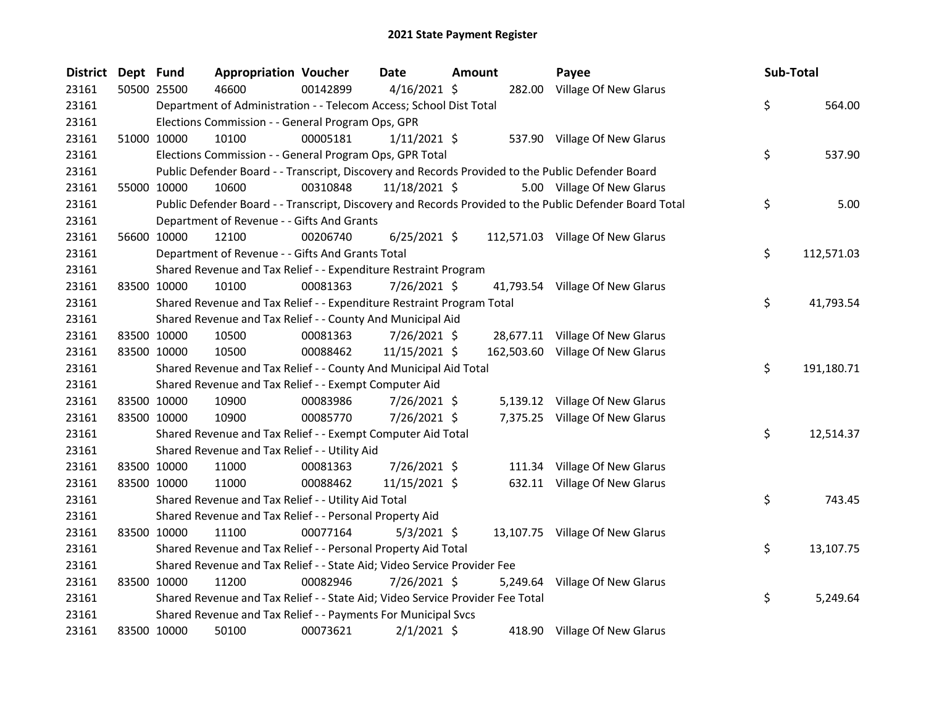| District Dept Fund |             | <b>Appropriation Voucher</b>                                                  |          | Date           | Amount | Payee                                                                                                   | Sub-Total        |
|--------------------|-------------|-------------------------------------------------------------------------------|----------|----------------|--------|---------------------------------------------------------------------------------------------------------|------------------|
| 23161              | 50500 25500 | 46600                                                                         | 00142899 | $4/16/2021$ \$ |        | 282.00 Village Of New Glarus                                                                            |                  |
| 23161              |             | Department of Administration - - Telecom Access; School Dist Total            |          |                |        |                                                                                                         | \$<br>564.00     |
| 23161              |             | Elections Commission - - General Program Ops, GPR                             |          |                |        |                                                                                                         |                  |
| 23161              | 51000 10000 | 10100                                                                         | 00005181 | $1/11/2021$ \$ |        | 537.90 Village Of New Glarus                                                                            |                  |
| 23161              |             | Elections Commission - - General Program Ops, GPR Total                       |          |                |        |                                                                                                         | \$<br>537.90     |
| 23161              |             |                                                                               |          |                |        | Public Defender Board - - Transcript, Discovery and Records Provided to the Public Defender Board       |                  |
| 23161              | 55000 10000 | 10600                                                                         | 00310848 | 11/18/2021 \$  |        | 5.00 Village Of New Glarus                                                                              |                  |
| 23161              |             |                                                                               |          |                |        | Public Defender Board - - Transcript, Discovery and Records Provided to the Public Defender Board Total | \$<br>5.00       |
| 23161              |             | Department of Revenue - - Gifts And Grants                                    |          |                |        |                                                                                                         |                  |
| 23161              | 56600 10000 | 12100                                                                         | 00206740 | $6/25/2021$ \$ |        | 112,571.03 Village Of New Glarus                                                                        |                  |
| 23161              |             | Department of Revenue - - Gifts And Grants Total                              |          |                |        |                                                                                                         | \$<br>112,571.03 |
| 23161              |             | Shared Revenue and Tax Relief - - Expenditure Restraint Program               |          |                |        |                                                                                                         |                  |
| 23161              | 83500 10000 | 10100                                                                         | 00081363 | 7/26/2021 \$   |        | 41,793.54 Village Of New Glarus                                                                         |                  |
| 23161              |             | Shared Revenue and Tax Relief - - Expenditure Restraint Program Total         |          |                |        |                                                                                                         | \$<br>41,793.54  |
| 23161              |             | Shared Revenue and Tax Relief - - County And Municipal Aid                    |          |                |        |                                                                                                         |                  |
| 23161              | 83500 10000 | 10500                                                                         | 00081363 | 7/26/2021 \$   |        | 28,677.11 Village Of New Glarus                                                                         |                  |
| 23161              | 83500 10000 | 10500                                                                         | 00088462 | 11/15/2021 \$  |        | 162,503.60 Village Of New Glarus                                                                        |                  |
| 23161              |             | Shared Revenue and Tax Relief - - County And Municipal Aid Total              |          |                |        |                                                                                                         | \$<br>191,180.71 |
| 23161              |             | Shared Revenue and Tax Relief - - Exempt Computer Aid                         |          |                |        |                                                                                                         |                  |
| 23161              | 83500 10000 | 10900                                                                         | 00083986 | 7/26/2021 \$   |        | 5,139.12 Village Of New Glarus                                                                          |                  |
| 23161              | 83500 10000 | 10900                                                                         | 00085770 | 7/26/2021 \$   |        | 7,375.25 Village Of New Glarus                                                                          |                  |
| 23161              |             | Shared Revenue and Tax Relief - - Exempt Computer Aid Total                   |          |                |        |                                                                                                         | \$<br>12,514.37  |
| 23161              |             | Shared Revenue and Tax Relief - - Utility Aid                                 |          |                |        |                                                                                                         |                  |
| 23161              | 83500 10000 | 11000                                                                         | 00081363 | 7/26/2021 \$   |        | 111.34 Village Of New Glarus                                                                            |                  |
| 23161              | 83500 10000 | 11000                                                                         | 00088462 | 11/15/2021 \$  |        | 632.11 Village Of New Glarus                                                                            |                  |
| 23161              |             | Shared Revenue and Tax Relief - - Utility Aid Total                           |          |                |        |                                                                                                         | \$<br>743.45     |
| 23161              |             | Shared Revenue and Tax Relief - - Personal Property Aid                       |          |                |        |                                                                                                         |                  |
| 23161              | 83500 10000 | 11100                                                                         | 00077164 | $5/3/2021$ \$  |        | 13,107.75 Village Of New Glarus                                                                         |                  |
| 23161              |             | Shared Revenue and Tax Relief - - Personal Property Aid Total                 |          |                |        |                                                                                                         | \$<br>13,107.75  |
| 23161              |             | Shared Revenue and Tax Relief - - State Aid; Video Service Provider Fee       |          |                |        |                                                                                                         |                  |
| 23161              | 83500 10000 | 11200                                                                         | 00082946 | 7/26/2021 \$   |        | 5,249.64 Village Of New Glarus                                                                          |                  |
| 23161              |             | Shared Revenue and Tax Relief - - State Aid; Video Service Provider Fee Total |          |                |        |                                                                                                         | \$<br>5,249.64   |
| 23161              |             | Shared Revenue and Tax Relief - - Payments For Municipal Svcs                 |          |                |        |                                                                                                         |                  |
| 23161              | 83500 10000 | 50100                                                                         | 00073621 | $2/1/2021$ \$  |        | 418.90 Village Of New Glarus                                                                            |                  |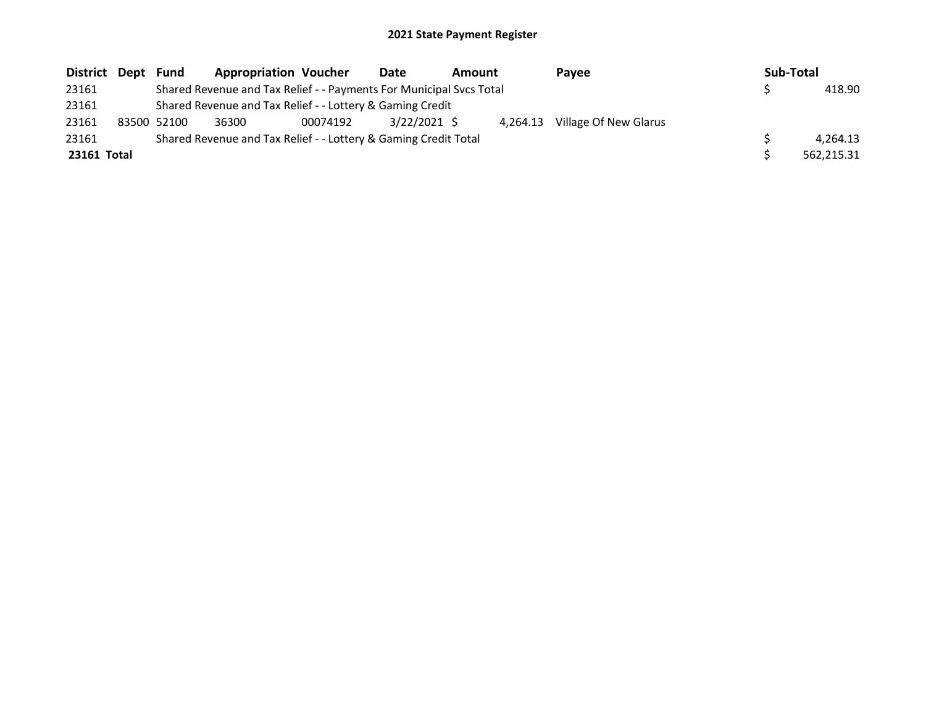| District Dept | Fund        | <b>Appropriation Voucher</b>                                        |          | Date<br>Amount |          | Pavee  | Sub-Total             |  |            |
|---------------|-------------|---------------------------------------------------------------------|----------|----------------|----------|--------|-----------------------|--|------------|
| 23161         |             | Shared Revenue and Tax Relief - - Payments For Municipal Svcs Total |          |                |          | 418.90 |                       |  |            |
| 23161         |             | Shared Revenue and Tax Relief - - Lottery & Gaming Credit           |          |                |          |        |                       |  |            |
| 23161         | 83500 52100 | 36300                                                               | 00074192 | $3/22/2021$ \$ | 4.264.13 |        | Village Of New Glarus |  |            |
| 23161         |             | Shared Revenue and Tax Relief - - Lottery & Gaming Credit Total     |          |                |          |        |                       |  | 4.264.13   |
| 23161 Total   |             |                                                                     |          |                |          |        |                       |  | 562.215.31 |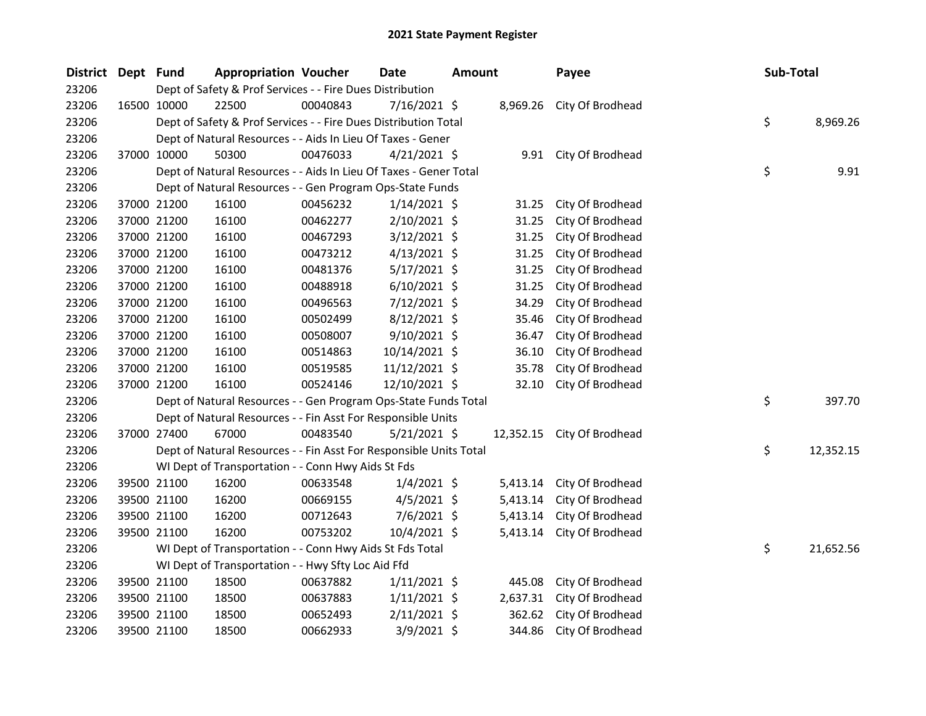| <b>District</b> | Dept Fund |             | <b>Appropriation Voucher</b>                                       |          | Date           | <b>Amount</b> |           | Payee                     | Sub-Total |           |
|-----------------|-----------|-------------|--------------------------------------------------------------------|----------|----------------|---------------|-----------|---------------------------|-----------|-----------|
| 23206           |           |             | Dept of Safety & Prof Services - - Fire Dues Distribution          |          |                |               |           |                           |           |           |
| 23206           |           | 16500 10000 | 22500                                                              | 00040843 | 7/16/2021 \$   |               | 8,969.26  | City Of Brodhead          |           |           |
| 23206           |           |             | Dept of Safety & Prof Services - - Fire Dues Distribution Total    |          |                |               |           |                           | \$        | 8,969.26  |
| 23206           |           |             | Dept of Natural Resources - - Aids In Lieu Of Taxes - Gener        |          |                |               |           |                           |           |           |
| 23206           |           | 37000 10000 | 50300                                                              | 00476033 | $4/21/2021$ \$ |               |           | 9.91 City Of Brodhead     |           |           |
| 23206           |           |             | Dept of Natural Resources - - Aids In Lieu Of Taxes - Gener Total  |          |                |               |           |                           | \$        | 9.91      |
| 23206           |           |             | Dept of Natural Resources - - Gen Program Ops-State Funds          |          |                |               |           |                           |           |           |
| 23206           |           | 37000 21200 | 16100                                                              | 00456232 | $1/14/2021$ \$ |               | 31.25     | City Of Brodhead          |           |           |
| 23206           |           | 37000 21200 | 16100                                                              | 00462277 | 2/10/2021 \$   |               | 31.25     | City Of Brodhead          |           |           |
| 23206           |           | 37000 21200 | 16100                                                              | 00467293 | $3/12/2021$ \$ |               | 31.25     | City Of Brodhead          |           |           |
| 23206           |           | 37000 21200 | 16100                                                              | 00473212 | $4/13/2021$ \$ |               | 31.25     | City Of Brodhead          |           |           |
| 23206           |           | 37000 21200 | 16100                                                              | 00481376 | $5/17/2021$ \$ |               | 31.25     | City Of Brodhead          |           |           |
| 23206           |           | 37000 21200 | 16100                                                              | 00488918 | $6/10/2021$ \$ |               | 31.25     | City Of Brodhead          |           |           |
| 23206           |           | 37000 21200 | 16100                                                              | 00496563 | 7/12/2021 \$   |               | 34.29     | City Of Brodhead          |           |           |
| 23206           |           | 37000 21200 | 16100                                                              | 00502499 | $8/12/2021$ \$ |               | 35.46     | City Of Brodhead          |           |           |
| 23206           |           | 37000 21200 | 16100                                                              | 00508007 | $9/10/2021$ \$ |               | 36.47     | City Of Brodhead          |           |           |
| 23206           |           | 37000 21200 | 16100                                                              | 00514863 | 10/14/2021 \$  |               | 36.10     | City Of Brodhead          |           |           |
| 23206           |           | 37000 21200 | 16100                                                              | 00519585 | 11/12/2021 \$  |               | 35.78     | City Of Brodhead          |           |           |
| 23206           |           | 37000 21200 | 16100                                                              | 00524146 | 12/10/2021 \$  |               | 32.10     | City Of Brodhead          |           |           |
| 23206           |           |             | Dept of Natural Resources - - Gen Program Ops-State Funds Total    |          |                |               |           |                           | \$        | 397.70    |
| 23206           |           |             | Dept of Natural Resources - - Fin Asst For Responsible Units       |          |                |               |           |                           |           |           |
| 23206           |           | 37000 27400 | 67000                                                              | 00483540 | $5/21/2021$ \$ |               | 12,352.15 | City Of Brodhead          |           |           |
| 23206           |           |             | Dept of Natural Resources - - Fin Asst For Responsible Units Total |          |                |               |           |                           | \$        | 12,352.15 |
| 23206           |           |             | WI Dept of Transportation - - Conn Hwy Aids St Fds                 |          |                |               |           |                           |           |           |
| 23206           |           | 39500 21100 | 16200                                                              | 00633548 | $1/4/2021$ \$  |               | 5,413.14  | City Of Brodhead          |           |           |
| 23206           |           | 39500 21100 | 16200                                                              | 00669155 | $4/5/2021$ \$  |               | 5,413.14  | City Of Brodhead          |           |           |
| 23206           |           | 39500 21100 | 16200                                                              | 00712643 | 7/6/2021 \$    |               |           | 5,413.14 City Of Brodhead |           |           |
| 23206           |           | 39500 21100 | 16200                                                              | 00753202 | 10/4/2021 \$   |               |           | 5,413.14 City Of Brodhead |           |           |
| 23206           |           |             | WI Dept of Transportation - - Conn Hwy Aids St Fds Total           |          |                |               |           |                           | \$        | 21,652.56 |
| 23206           |           |             | WI Dept of Transportation - - Hwy Sfty Loc Aid Ffd                 |          |                |               |           |                           |           |           |
| 23206           |           | 39500 21100 | 18500                                                              | 00637882 | $1/11/2021$ \$ |               | 445.08    | City Of Brodhead          |           |           |
| 23206           |           | 39500 21100 | 18500                                                              | 00637883 | $1/11/2021$ \$ |               | 2,637.31  | City Of Brodhead          |           |           |
| 23206           |           | 39500 21100 | 18500                                                              | 00652493 | $2/11/2021$ \$ |               | 362.62    | City Of Brodhead          |           |           |
| 23206           |           | 39500 21100 | 18500                                                              | 00662933 | 3/9/2021 \$    |               | 344.86    | City Of Brodhead          |           |           |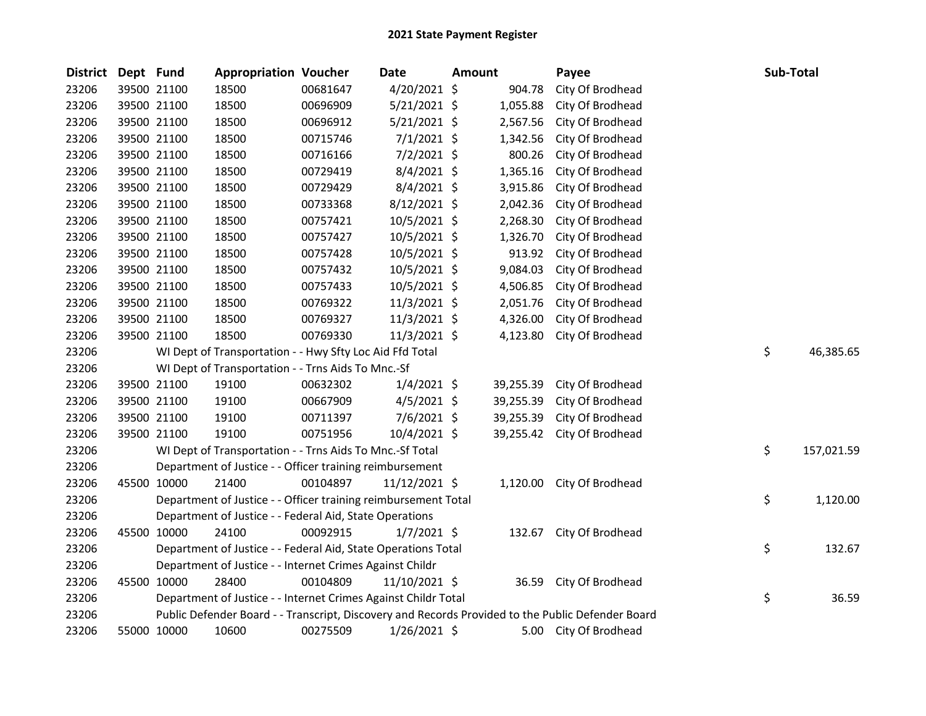| District | Dept Fund |             | <b>Appropriation Voucher</b>                                   |          | Date            | <b>Amount</b> |           | Payee                                                                                             | Sub-Total        |
|----------|-----------|-------------|----------------------------------------------------------------|----------|-----------------|---------------|-----------|---------------------------------------------------------------------------------------------------|------------------|
| 23206    |           | 39500 21100 | 18500                                                          | 00681647 | 4/20/2021 \$    |               | 904.78    | City Of Brodhead                                                                                  |                  |
| 23206    |           | 39500 21100 | 18500                                                          | 00696909 | $5/21/2021$ \$  |               | 1,055.88  | City Of Brodhead                                                                                  |                  |
| 23206    |           | 39500 21100 | 18500                                                          | 00696912 | $5/21/2021$ \$  |               | 2,567.56  | City Of Brodhead                                                                                  |                  |
| 23206    |           | 39500 21100 | 18500                                                          | 00715746 | $7/1/2021$ \$   |               | 1,342.56  | City Of Brodhead                                                                                  |                  |
| 23206    |           | 39500 21100 | 18500                                                          | 00716166 | $7/2/2021$ \$   |               | 800.26    | City Of Brodhead                                                                                  |                  |
| 23206    |           | 39500 21100 | 18500                                                          | 00729419 | $8/4/2021$ \$   |               | 1,365.16  | City Of Brodhead                                                                                  |                  |
| 23206    |           | 39500 21100 | 18500                                                          | 00729429 | $8/4/2021$ \$   |               | 3,915.86  | City Of Brodhead                                                                                  |                  |
| 23206    |           | 39500 21100 | 18500                                                          | 00733368 | 8/12/2021 \$    |               | 2,042.36  | City Of Brodhead                                                                                  |                  |
| 23206    |           | 39500 21100 | 18500                                                          | 00757421 | 10/5/2021 \$    |               | 2,268.30  | City Of Brodhead                                                                                  |                  |
| 23206    |           | 39500 21100 | 18500                                                          | 00757427 | 10/5/2021 \$    |               | 1,326.70  | City Of Brodhead                                                                                  |                  |
| 23206    |           | 39500 21100 | 18500                                                          | 00757428 | 10/5/2021 \$    |               | 913.92    | City Of Brodhead                                                                                  |                  |
| 23206    |           | 39500 21100 | 18500                                                          | 00757432 | 10/5/2021 \$    |               | 9,084.03  | City Of Brodhead                                                                                  |                  |
| 23206    |           | 39500 21100 | 18500                                                          | 00757433 | 10/5/2021 \$    |               | 4,506.85  | City Of Brodhead                                                                                  |                  |
| 23206    |           | 39500 21100 | 18500                                                          | 00769322 | 11/3/2021 \$    |               | 2,051.76  | City Of Brodhead                                                                                  |                  |
| 23206    |           | 39500 21100 | 18500                                                          | 00769327 | $11/3/2021$ \$  |               | 4,326.00  | City Of Brodhead                                                                                  |                  |
| 23206    |           | 39500 21100 | 18500                                                          | 00769330 | $11/3/2021$ \$  |               | 4,123.80  | City Of Brodhead                                                                                  |                  |
| 23206    |           |             | WI Dept of Transportation - - Hwy Sfty Loc Aid Ffd Total       |          |                 |               |           |                                                                                                   | \$<br>46,385.65  |
| 23206    |           |             | WI Dept of Transportation - - Trns Aids To Mnc.-Sf             |          |                 |               |           |                                                                                                   |                  |
| 23206    |           | 39500 21100 | 19100                                                          | 00632302 | $1/4/2021$ \$   |               | 39,255.39 | City Of Brodhead                                                                                  |                  |
| 23206    |           | 39500 21100 | 19100                                                          | 00667909 | $4/5/2021$ \$   |               | 39,255.39 | City Of Brodhead                                                                                  |                  |
| 23206    |           | 39500 21100 | 19100                                                          | 00711397 | 7/6/2021 \$     |               | 39,255.39 | City Of Brodhead                                                                                  |                  |
| 23206    |           | 39500 21100 | 19100                                                          | 00751956 | $10/4/2021$ \$  |               | 39,255.42 | City Of Brodhead                                                                                  |                  |
| 23206    |           |             | WI Dept of Transportation - - Trns Aids To Mnc.-Sf Total       |          |                 |               |           |                                                                                                   | \$<br>157,021.59 |
| 23206    |           |             | Department of Justice - - Officer training reimbursement       |          |                 |               |           |                                                                                                   |                  |
| 23206    |           | 45500 10000 | 21400                                                          | 00104897 | $11/12/2021$ \$ |               |           | 1,120.00 City Of Brodhead                                                                         |                  |
| 23206    |           |             | Department of Justice - - Officer training reimbursement Total |          |                 |               |           |                                                                                                   | \$<br>1,120.00   |
| 23206    |           |             | Department of Justice - - Federal Aid, State Operations        |          |                 |               |           |                                                                                                   |                  |
| 23206    |           | 45500 10000 | 24100                                                          | 00092915 | $1/7/2021$ \$   |               |           | 132.67 City Of Brodhead                                                                           |                  |
| 23206    |           |             | Department of Justice - - Federal Aid, State Operations Total  |          |                 |               |           |                                                                                                   | \$<br>132.67     |
| 23206    |           |             | Department of Justice - - Internet Crimes Against Childr       |          |                 |               |           |                                                                                                   |                  |
| 23206    |           | 45500 10000 | 28400                                                          | 00104809 | 11/10/2021 \$   |               | 36.59     | City Of Brodhead                                                                                  |                  |
| 23206    |           |             | Department of Justice - - Internet Crimes Against Childr Total |          |                 |               |           |                                                                                                   | \$<br>36.59      |
| 23206    |           |             |                                                                |          |                 |               |           | Public Defender Board - - Transcript, Discovery and Records Provided to the Public Defender Board |                  |
| 23206    |           | 55000 10000 | 10600                                                          | 00275509 | 1/26/2021 \$    |               |           | 5.00 City Of Brodhead                                                                             |                  |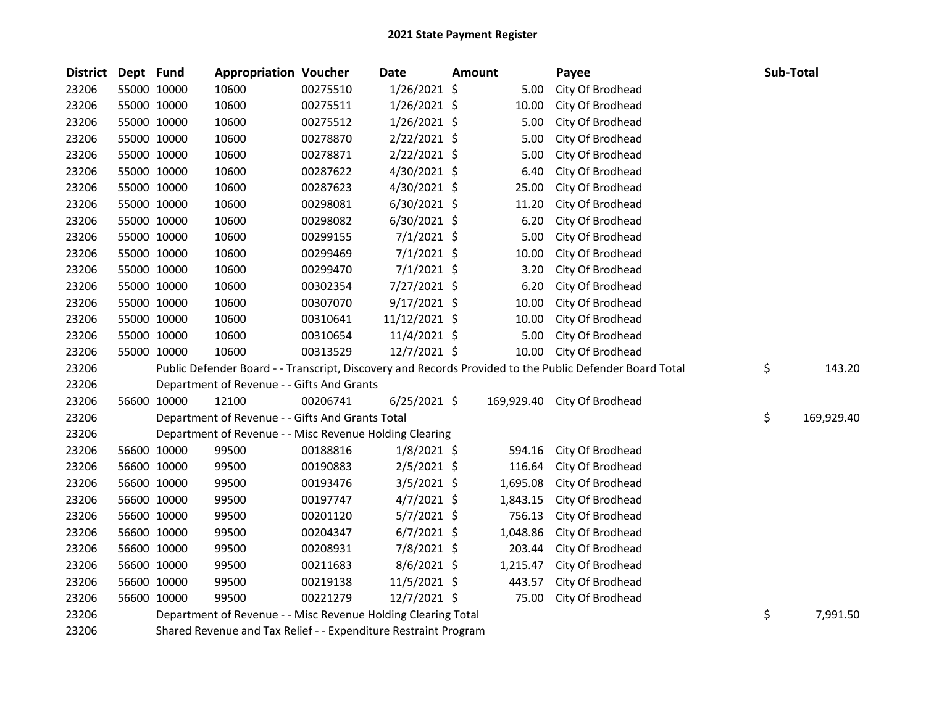| <b>District</b> | Dept Fund |             | <b>Appropriation Voucher</b>                                  |          | <b>Date</b>    | <b>Amount</b> |          | Payee                                                                                                   | Sub-Total        |
|-----------------|-----------|-------------|---------------------------------------------------------------|----------|----------------|---------------|----------|---------------------------------------------------------------------------------------------------------|------------------|
| 23206           |           | 55000 10000 | 10600                                                         | 00275510 | $1/26/2021$ \$ |               | 5.00     | City Of Brodhead                                                                                        |                  |
| 23206           |           | 55000 10000 | 10600                                                         | 00275511 | $1/26/2021$ \$ |               | 10.00    | City Of Brodhead                                                                                        |                  |
| 23206           |           | 55000 10000 | 10600                                                         | 00275512 | $1/26/2021$ \$ |               | 5.00     | City Of Brodhead                                                                                        |                  |
| 23206           |           | 55000 10000 | 10600                                                         | 00278870 | 2/22/2021 \$   |               | 5.00     | City Of Brodhead                                                                                        |                  |
| 23206           |           | 55000 10000 | 10600                                                         | 00278871 | 2/22/2021 \$   |               | 5.00     | City Of Brodhead                                                                                        |                  |
| 23206           |           | 55000 10000 | 10600                                                         | 00287622 | $4/30/2021$ \$ |               | 6.40     | City Of Brodhead                                                                                        |                  |
| 23206           |           | 55000 10000 | 10600                                                         | 00287623 | 4/30/2021 \$   |               | 25.00    | City Of Brodhead                                                                                        |                  |
| 23206           |           | 55000 10000 | 10600                                                         | 00298081 | 6/30/2021 \$   |               | 11.20    | City Of Brodhead                                                                                        |                  |
| 23206           |           | 55000 10000 | 10600                                                         | 00298082 | $6/30/2021$ \$ |               | 6.20     | City Of Brodhead                                                                                        |                  |
| 23206           |           | 55000 10000 | 10600                                                         | 00299155 | $7/1/2021$ \$  |               | 5.00     | City Of Brodhead                                                                                        |                  |
| 23206           |           | 55000 10000 | 10600                                                         | 00299469 | $7/1/2021$ \$  |               | 10.00    | City Of Brodhead                                                                                        |                  |
| 23206           |           | 55000 10000 | 10600                                                         | 00299470 | $7/1/2021$ \$  |               | 3.20     | City Of Brodhead                                                                                        |                  |
| 23206           |           | 55000 10000 | 10600                                                         | 00302354 | 7/27/2021 \$   |               | 6.20     | City Of Brodhead                                                                                        |                  |
| 23206           |           | 55000 10000 | 10600                                                         | 00307070 | $9/17/2021$ \$ |               | 10.00    | City Of Brodhead                                                                                        |                  |
| 23206           |           | 55000 10000 | 10600                                                         | 00310641 | 11/12/2021 \$  |               | 10.00    | City Of Brodhead                                                                                        |                  |
| 23206           |           | 55000 10000 | 10600                                                         | 00310654 | 11/4/2021 \$   |               | 5.00     | City Of Brodhead                                                                                        |                  |
| 23206           |           | 55000 10000 | 10600                                                         | 00313529 | 12/7/2021 \$   |               | 10.00    | City Of Brodhead                                                                                        |                  |
| 23206           |           |             |                                                               |          |                |               |          | Public Defender Board - - Transcript, Discovery and Records Provided to the Public Defender Board Total | \$<br>143.20     |
| 23206           |           |             | Department of Revenue - - Gifts And Grants                    |          |                |               |          |                                                                                                         |                  |
| 23206           |           | 56600 10000 | 12100                                                         | 00206741 | $6/25/2021$ \$ |               |          | 169,929.40 City Of Brodhead                                                                             |                  |
| 23206           |           |             | Department of Revenue - - Gifts And Grants Total              |          |                |               |          |                                                                                                         | \$<br>169,929.40 |
| 23206           |           |             | Department of Revenue - - Misc Revenue Holding Clearing       |          |                |               |          |                                                                                                         |                  |
| 23206           |           | 56600 10000 | 99500                                                         | 00188816 | $1/8/2021$ \$  |               | 594.16   | City Of Brodhead                                                                                        |                  |
| 23206           |           | 56600 10000 | 99500                                                         | 00190883 | $2/5/2021$ \$  |               | 116.64   | City Of Brodhead                                                                                        |                  |
| 23206           |           | 56600 10000 | 99500                                                         | 00193476 | $3/5/2021$ \$  |               | 1,695.08 | City Of Brodhead                                                                                        |                  |
| 23206           |           | 56600 10000 | 99500                                                         | 00197747 | $4/7/2021$ \$  |               | 1,843.15 | City Of Brodhead                                                                                        |                  |
| 23206           |           | 56600 10000 | 99500                                                         | 00201120 | $5/7/2021$ \$  |               | 756.13   | City Of Brodhead                                                                                        |                  |
| 23206           |           | 56600 10000 | 99500                                                         | 00204347 | $6/7/2021$ \$  |               | 1,048.86 | City Of Brodhead                                                                                        |                  |
| 23206           |           | 56600 10000 | 99500                                                         | 00208931 | 7/8/2021 \$    |               | 203.44   | City Of Brodhead                                                                                        |                  |
| 23206           |           | 56600 10000 | 99500                                                         | 00211683 | $8/6/2021$ \$  |               | 1,215.47 | City Of Brodhead                                                                                        |                  |
| 23206           |           | 56600 10000 | 99500                                                         | 00219138 | 11/5/2021 \$   |               | 443.57   | City Of Brodhead                                                                                        |                  |
| 23206           |           | 56600 10000 | 99500                                                         | 00221279 | 12/7/2021 \$   |               | 75.00    | City Of Brodhead                                                                                        |                  |
| 23206           |           |             | Department of Revenue - - Misc Revenue Holding Clearing Total |          |                |               |          |                                                                                                         | \$<br>7,991.50   |

Shared Revenue and Tax Relief - - Expenditure Restraint Program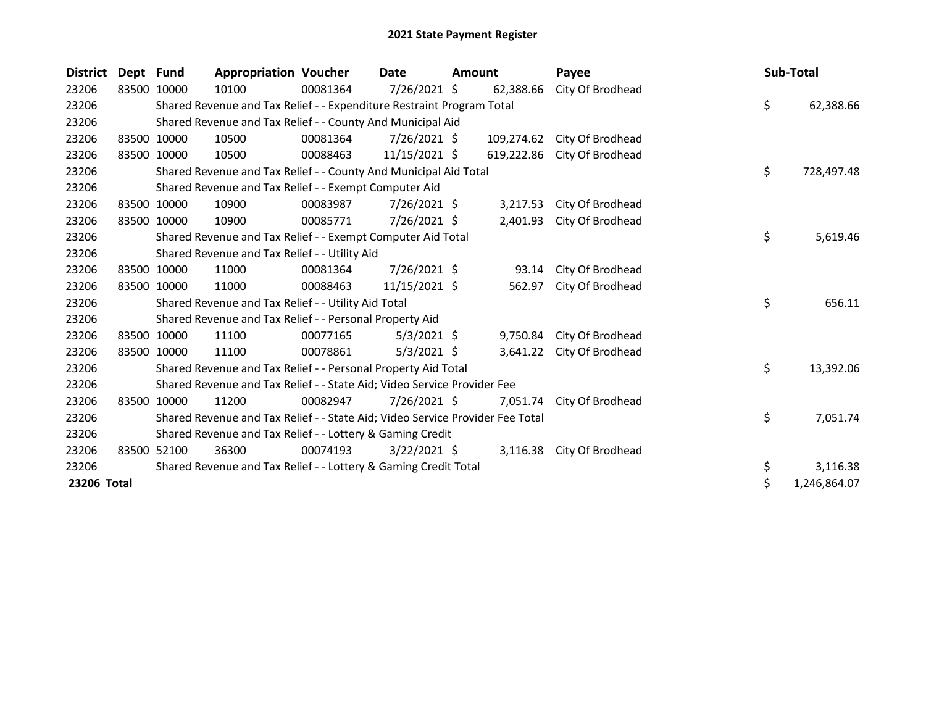| <b>District</b> | Dept Fund   |                                                            | <b>Appropriation Voucher</b>                                                  |          | Date           | <b>Amount</b> |            | Payee                     | Sub-Total |              |
|-----------------|-------------|------------------------------------------------------------|-------------------------------------------------------------------------------|----------|----------------|---------------|------------|---------------------------|-----------|--------------|
| 23206           | 83500 10000 |                                                            | 10100                                                                         | 00081364 | 7/26/2021 \$   |               | 62,388.66  | City Of Brodhead          |           |              |
| 23206           |             |                                                            | Shared Revenue and Tax Relief - - Expenditure Restraint Program Total         |          |                |               |            |                           | \$        | 62,388.66    |
| 23206           |             | Shared Revenue and Tax Relief - - County And Municipal Aid |                                                                               |          |                |               |            |                           |           |              |
| 23206           | 83500 10000 |                                                            | 10500                                                                         | 00081364 | $7/26/2021$ \$ |               | 109,274.62 | City Of Brodhead          |           |              |
| 23206           | 83500 10000 |                                                            | 10500                                                                         | 00088463 | 11/15/2021 \$  |               | 619,222.86 | City Of Brodhead          |           |              |
| 23206           |             |                                                            | Shared Revenue and Tax Relief - - County And Municipal Aid Total              |          |                |               |            |                           | \$        | 728,497.48   |
| 23206           |             |                                                            | Shared Revenue and Tax Relief - - Exempt Computer Aid                         |          |                |               |            |                           |           |              |
| 23206           | 83500       | 10000                                                      | 10900                                                                         | 00083987 | $7/26/2021$ \$ |               | 3,217.53   | City Of Brodhead          |           |              |
| 23206           | 83500 10000 |                                                            | 10900                                                                         | 00085771 | 7/26/2021 \$   |               | 2,401.93   | City Of Brodhead          |           |              |
| 23206           |             |                                                            | Shared Revenue and Tax Relief - - Exempt Computer Aid Total                   |          |                |               |            |                           | \$        | 5,619.46     |
| 23206           |             |                                                            | Shared Revenue and Tax Relief - - Utility Aid                                 |          |                |               |            |                           |           |              |
| 23206           | 83500 10000 |                                                            | 11000                                                                         | 00081364 | 7/26/2021 \$   |               | 93.14      | City Of Brodhead          |           |              |
| 23206           | 83500 10000 |                                                            | 11000                                                                         | 00088463 | 11/15/2021 \$  |               | 562.97     | City Of Brodhead          |           |              |
| 23206           |             |                                                            | Shared Revenue and Tax Relief - - Utility Aid Total                           |          |                |               |            |                           | \$        | 656.11       |
| 23206           |             |                                                            | Shared Revenue and Tax Relief - - Personal Property Aid                       |          |                |               |            |                           |           |              |
| 23206           | 83500       | 10000                                                      | 11100                                                                         | 00077165 | $5/3/2021$ \$  |               | 9,750.84   | City Of Brodhead          |           |              |
| 23206           | 83500 10000 |                                                            | 11100                                                                         | 00078861 | $5/3/2021$ \$  |               | 3,641.22   | City Of Brodhead          |           |              |
| 23206           |             |                                                            | Shared Revenue and Tax Relief - - Personal Property Aid Total                 |          |                |               |            |                           | \$        | 13,392.06    |
| 23206           |             |                                                            | Shared Revenue and Tax Relief - - State Aid; Video Service Provider Fee       |          |                |               |            |                           |           |              |
| 23206           | 83500       | 10000                                                      | 11200                                                                         | 00082947 | $7/26/2021$ \$ |               | 7,051.74   | City Of Brodhead          |           |              |
| 23206           |             |                                                            | Shared Revenue and Tax Relief - - State Aid; Video Service Provider Fee Total |          |                |               |            |                           | \$        | 7,051.74     |
| 23206           |             |                                                            | Shared Revenue and Tax Relief - - Lottery & Gaming Credit                     |          |                |               |            |                           |           |              |
| 23206           | 83500 52100 |                                                            | 36300                                                                         | 00074193 | $3/22/2021$ \$ |               |            | 3,116.38 City Of Brodhead |           |              |
| 23206           |             |                                                            | Shared Revenue and Tax Relief - - Lottery & Gaming Credit Total               |          |                |               |            |                           | \$        | 3,116.38     |
| 23206 Total     |             |                                                            |                                                                               |          |                |               |            |                           | \$        | 1,246,864.07 |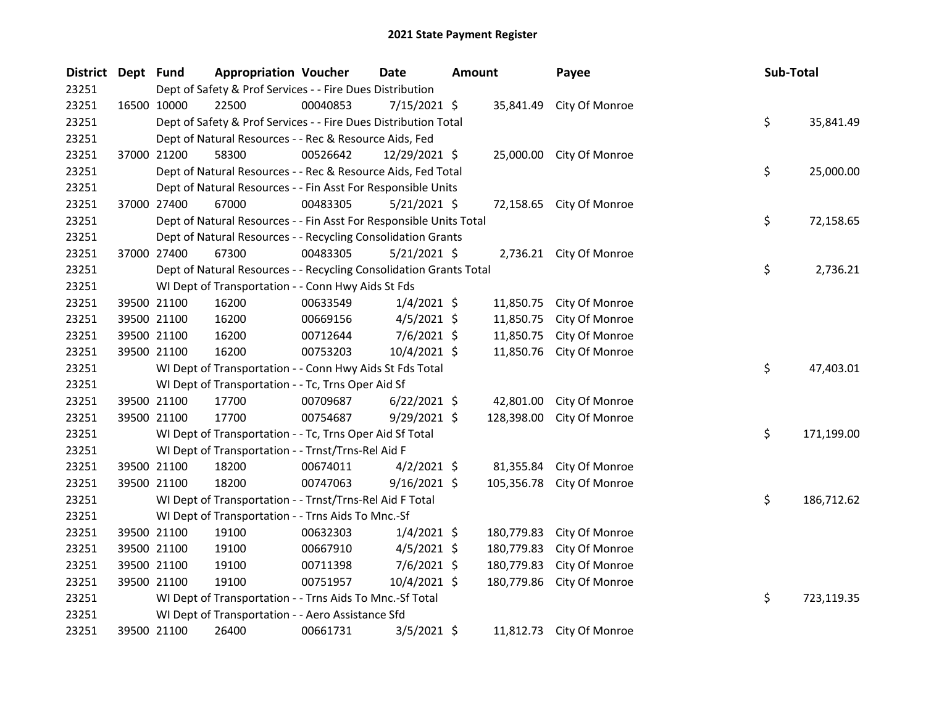| District Dept Fund |             | <b>Appropriation Voucher</b>                                       |          | <b>Date</b>    | Amount |            | Payee                    | Sub-Total |            |
|--------------------|-------------|--------------------------------------------------------------------|----------|----------------|--------|------------|--------------------------|-----------|------------|
| 23251              |             | Dept of Safety & Prof Services - - Fire Dues Distribution          |          |                |        |            |                          |           |            |
| 23251              | 16500 10000 | 22500                                                              | 00040853 | $7/15/2021$ \$ |        | 35,841.49  | City Of Monroe           |           |            |
| 23251              |             | Dept of Safety & Prof Services - - Fire Dues Distribution Total    |          |                |        |            |                          | \$        | 35,841.49  |
| 23251              |             | Dept of Natural Resources - - Rec & Resource Aids, Fed             |          |                |        |            |                          |           |            |
| 23251              | 37000 21200 | 58300                                                              | 00526642 | 12/29/2021 \$  |        |            | 25,000.00 City Of Monroe |           |            |
| 23251              |             | Dept of Natural Resources - - Rec & Resource Aids, Fed Total       |          |                |        |            |                          | \$        | 25,000.00  |
| 23251              |             | Dept of Natural Resources - - Fin Asst For Responsible Units       |          |                |        |            |                          |           |            |
| 23251              | 37000 27400 | 67000                                                              | 00483305 | 5/21/2021 \$   |        |            | 72,158.65 City Of Monroe |           |            |
| 23251              |             | Dept of Natural Resources - - Fin Asst For Responsible Units Total |          |                |        |            |                          | \$        | 72,158.65  |
| 23251              |             | Dept of Natural Resources - - Recycling Consolidation Grants       |          |                |        |            |                          |           |            |
| 23251              | 37000 27400 | 67300                                                              | 00483305 | $5/21/2021$ \$ |        |            | 2,736.21 City Of Monroe  |           |            |
| 23251              |             | Dept of Natural Resources - - Recycling Consolidation Grants Total |          |                |        |            |                          | \$        | 2,736.21   |
| 23251              |             | WI Dept of Transportation - - Conn Hwy Aids St Fds                 |          |                |        |            |                          |           |            |
| 23251              | 39500 21100 | 16200                                                              | 00633549 | $1/4/2021$ \$  |        | 11,850.75  | City Of Monroe           |           |            |
| 23251              | 39500 21100 | 16200                                                              | 00669156 | $4/5/2021$ \$  |        | 11,850.75  | City Of Monroe           |           |            |
| 23251              | 39500 21100 | 16200                                                              | 00712644 | $7/6/2021$ \$  |        | 11,850.75  | City Of Monroe           |           |            |
| 23251              | 39500 21100 | 16200                                                              | 00753203 | 10/4/2021 \$   |        | 11,850.76  | City Of Monroe           |           |            |
| 23251              |             | WI Dept of Transportation - - Conn Hwy Aids St Fds Total           |          |                |        |            |                          | \$        | 47,403.01  |
| 23251              |             | WI Dept of Transportation - - Tc, Trns Oper Aid Sf                 |          |                |        |            |                          |           |            |
| 23251              | 39500 21100 | 17700                                                              | 00709687 | $6/22/2021$ \$ |        | 42,801.00  | City Of Monroe           |           |            |
| 23251              | 39500 21100 | 17700                                                              | 00754687 | $9/29/2021$ \$ |        | 128,398.00 | City Of Monroe           |           |            |
| 23251              |             | WI Dept of Transportation - - Tc, Trns Oper Aid Sf Total           |          |                |        |            |                          | \$        | 171,199.00 |
| 23251              |             | WI Dept of Transportation - - Trnst/Trns-Rel Aid F                 |          |                |        |            |                          |           |            |
| 23251              | 39500 21100 | 18200                                                              | 00674011 | $4/2/2021$ \$  |        | 81,355.84  | City Of Monroe           |           |            |
| 23251              | 39500 21100 | 18200                                                              | 00747063 | $9/16/2021$ \$ |        | 105,356.78 | City Of Monroe           |           |            |
| 23251              |             | WI Dept of Transportation - - Trnst/Trns-Rel Aid F Total           |          |                |        |            |                          | \$        | 186,712.62 |
| 23251              |             | WI Dept of Transportation - - Trns Aids To Mnc.-Sf                 |          |                |        |            |                          |           |            |
| 23251              | 39500 21100 | 19100                                                              | 00632303 | $1/4/2021$ \$  |        | 180,779.83 | City Of Monroe           |           |            |
| 23251              | 39500 21100 | 19100                                                              | 00667910 | $4/5/2021$ \$  |        | 180,779.83 | City Of Monroe           |           |            |
| 23251              | 39500 21100 | 19100                                                              | 00711398 | $7/6/2021$ \$  |        | 180,779.83 | City Of Monroe           |           |            |
| 23251              | 39500 21100 | 19100                                                              | 00751957 | 10/4/2021 \$   |        | 180,779.86 | City Of Monroe           |           |            |
| 23251              |             | WI Dept of Transportation - - Trns Aids To Mnc.-Sf Total           |          |                |        |            |                          | \$        | 723,119.35 |
| 23251              |             | WI Dept of Transportation - - Aero Assistance Sfd                  |          |                |        |            |                          |           |            |
| 23251              | 39500 21100 | 26400                                                              | 00661731 | $3/5/2021$ \$  |        | 11,812.73  | City Of Monroe           |           |            |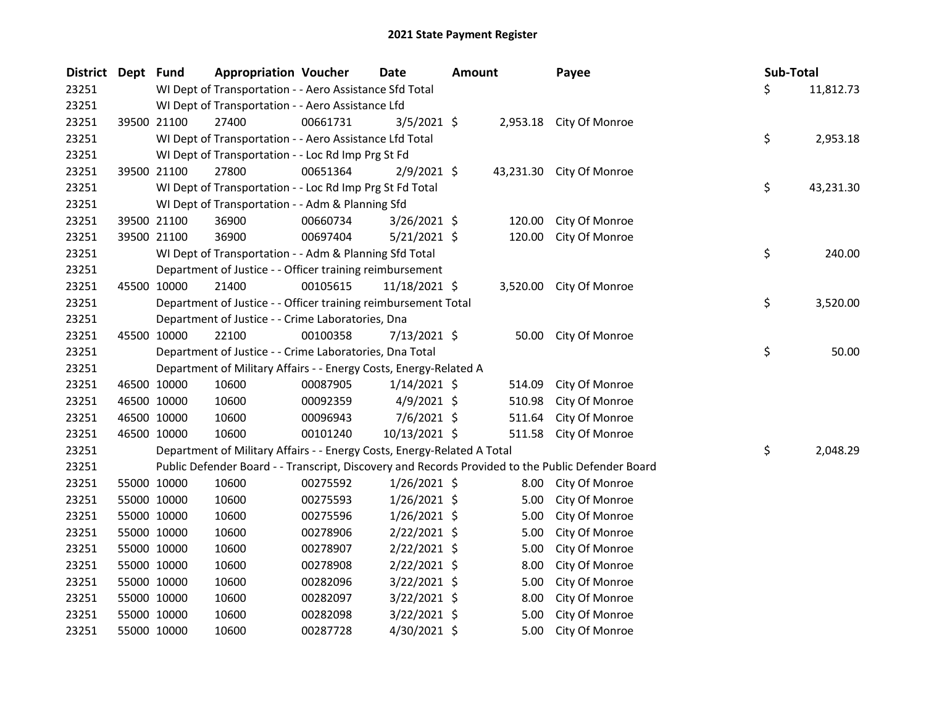| District Dept Fund |             | <b>Appropriation Voucher</b>                                            |          | Date           | <b>Amount</b> |        | Payee                                                                                             | Sub-Total |           |
|--------------------|-------------|-------------------------------------------------------------------------|----------|----------------|---------------|--------|---------------------------------------------------------------------------------------------------|-----------|-----------|
| 23251              |             | WI Dept of Transportation - - Aero Assistance Sfd Total                 |          |                |               |        |                                                                                                   | \$        | 11,812.73 |
| 23251              |             | WI Dept of Transportation - - Aero Assistance Lfd                       |          |                |               |        |                                                                                                   |           |           |
| 23251              | 39500 21100 | 27400                                                                   | 00661731 | 3/5/2021 \$    |               |        | 2,953.18 City Of Monroe                                                                           |           |           |
| 23251              |             | WI Dept of Transportation - - Aero Assistance Lfd Total                 |          |                |               |        |                                                                                                   | \$        | 2,953.18  |
| 23251              |             | WI Dept of Transportation - - Loc Rd Imp Prg St Fd                      |          |                |               |        |                                                                                                   |           |           |
| 23251              | 39500 21100 | 27800                                                                   | 00651364 | 2/9/2021 \$    |               |        | 43,231.30 City Of Monroe                                                                          |           |           |
| 23251              |             | WI Dept of Transportation - - Loc Rd Imp Prg St Fd Total                |          |                |               |        |                                                                                                   | \$        | 43,231.30 |
| 23251              |             | WI Dept of Transportation - - Adm & Planning Sfd                        |          |                |               |        |                                                                                                   |           |           |
| 23251              | 39500 21100 | 36900                                                                   | 00660734 | $3/26/2021$ \$ |               | 120.00 | City Of Monroe                                                                                    |           |           |
| 23251              | 39500 21100 | 36900                                                                   | 00697404 | $5/21/2021$ \$ |               | 120.00 | City Of Monroe                                                                                    |           |           |
| 23251              |             | WI Dept of Transportation - - Adm & Planning Sfd Total                  |          |                |               |        |                                                                                                   | \$        | 240.00    |
| 23251              |             | Department of Justice - - Officer training reimbursement                |          |                |               |        |                                                                                                   |           |           |
| 23251              | 45500 10000 | 21400                                                                   | 00105615 | 11/18/2021 \$  |               |        | 3,520.00 City Of Monroe                                                                           |           |           |
| 23251              |             | Department of Justice - - Officer training reimbursement Total          |          |                |               |        |                                                                                                   | \$        | 3,520.00  |
| 23251              |             | Department of Justice - - Crime Laboratories, Dna                       |          |                |               |        |                                                                                                   |           |           |
| 23251              | 45500 10000 | 22100                                                                   | 00100358 | 7/13/2021 \$   |               |        | 50.00 City Of Monroe                                                                              |           |           |
| 23251              |             | Department of Justice - - Crime Laboratories, Dna Total                 |          |                |               |        |                                                                                                   | \$        | 50.00     |
| 23251              |             | Department of Military Affairs - - Energy Costs, Energy-Related A       |          |                |               |        |                                                                                                   |           |           |
| 23251              | 46500 10000 | 10600                                                                   | 00087905 | $1/14/2021$ \$ |               | 514.09 | City Of Monroe                                                                                    |           |           |
| 23251              | 46500 10000 | 10600                                                                   | 00092359 | $4/9/2021$ \$  |               | 510.98 | City Of Monroe                                                                                    |           |           |
| 23251              | 46500 10000 | 10600                                                                   | 00096943 | $7/6/2021$ \$  |               | 511.64 | City Of Monroe                                                                                    |           |           |
| 23251              | 46500 10000 | 10600                                                                   | 00101240 | 10/13/2021 \$  |               | 511.58 | City Of Monroe                                                                                    |           |           |
| 23251              |             | Department of Military Affairs - - Energy Costs, Energy-Related A Total |          |                |               |        |                                                                                                   | \$        | 2,048.29  |
| 23251              |             |                                                                         |          |                |               |        | Public Defender Board - - Transcript, Discovery and Records Provided to the Public Defender Board |           |           |
| 23251              | 55000 10000 | 10600                                                                   | 00275592 | $1/26/2021$ \$ |               |        | 8.00 City Of Monroe                                                                               |           |           |
| 23251              | 55000 10000 | 10600                                                                   | 00275593 | 1/26/2021 \$   |               | 5.00   | City Of Monroe                                                                                    |           |           |
| 23251              | 55000 10000 | 10600                                                                   | 00275596 | $1/26/2021$ \$ |               | 5.00   | City Of Monroe                                                                                    |           |           |
| 23251              | 55000 10000 | 10600                                                                   | 00278906 | $2/22/2021$ \$ |               | 5.00   | City Of Monroe                                                                                    |           |           |
| 23251              | 55000 10000 | 10600                                                                   | 00278907 | $2/22/2021$ \$ |               | 5.00   | City Of Monroe                                                                                    |           |           |
| 23251              | 55000 10000 | 10600                                                                   | 00278908 | $2/22/2021$ \$ |               | 8.00   | City Of Monroe                                                                                    |           |           |
| 23251              | 55000 10000 | 10600                                                                   | 00282096 | 3/22/2021 \$   |               | 5.00   | City Of Monroe                                                                                    |           |           |
| 23251              | 55000 10000 | 10600                                                                   | 00282097 | $3/22/2021$ \$ |               | 8.00   | City Of Monroe                                                                                    |           |           |
| 23251              | 55000 10000 | 10600                                                                   | 00282098 | $3/22/2021$ \$ |               | 5.00   | City Of Monroe                                                                                    |           |           |
| 23251              | 55000 10000 | 10600                                                                   | 00287728 | 4/30/2021 \$   |               | 5.00   | City Of Monroe                                                                                    |           |           |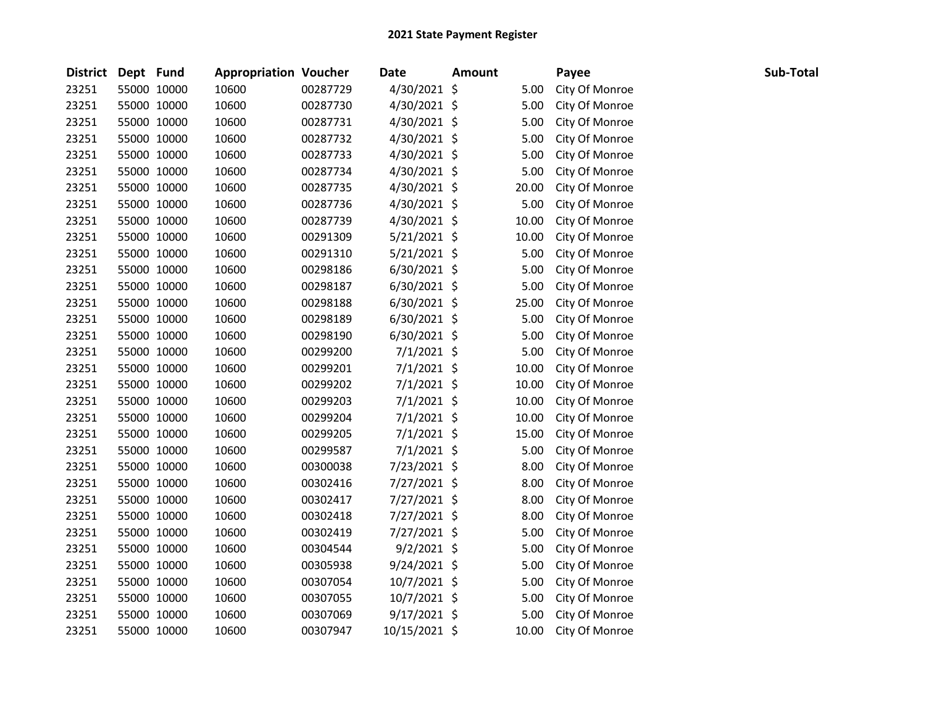| District Dept Fund |             | <b>Appropriation Voucher</b> |          | <b>Date</b>    | <b>Amount</b> |       | Payee          | Sub-Total |
|--------------------|-------------|------------------------------|----------|----------------|---------------|-------|----------------|-----------|
| 23251              | 55000 10000 | 10600                        | 00287729 | 4/30/2021 \$   |               | 5.00  | City Of Monroe |           |
| 23251              | 55000 10000 | 10600                        | 00287730 | 4/30/2021 \$   |               | 5.00  | City Of Monroe |           |
| 23251              | 55000 10000 | 10600                        | 00287731 | 4/30/2021 \$   |               | 5.00  | City Of Monroe |           |
| 23251              | 55000 10000 | 10600                        | 00287732 | 4/30/2021 \$   |               | 5.00  | City Of Monroe |           |
| 23251              | 55000 10000 | 10600                        | 00287733 | 4/30/2021 \$   |               | 5.00  | City Of Monroe |           |
| 23251              | 55000 10000 | 10600                        | 00287734 | 4/30/2021 \$   |               | 5.00  | City Of Monroe |           |
| 23251              | 55000 10000 | 10600                        | 00287735 | $4/30/2021$ \$ |               | 20.00 | City Of Monroe |           |
| 23251              | 55000 10000 | 10600                        | 00287736 | $4/30/2021$ \$ |               | 5.00  | City Of Monroe |           |
| 23251              | 55000 10000 | 10600                        | 00287739 | 4/30/2021 \$   |               | 10.00 | City Of Monroe |           |
| 23251              | 55000 10000 | 10600                        | 00291309 | 5/21/2021 \$   |               | 10.00 | City Of Monroe |           |
| 23251              | 55000 10000 | 10600                        | 00291310 | $5/21/2021$ \$ |               | 5.00  | City Of Monroe |           |
| 23251              | 55000 10000 | 10600                        | 00298186 | $6/30/2021$ \$ |               | 5.00  | City Of Monroe |           |
| 23251              | 55000 10000 | 10600                        | 00298187 | $6/30/2021$ \$ |               | 5.00  | City Of Monroe |           |
| 23251              | 55000 10000 | 10600                        | 00298188 | 6/30/2021 \$   |               | 25.00 | City Of Monroe |           |
| 23251              | 55000 10000 | 10600                        | 00298189 | 6/30/2021 \$   |               | 5.00  | City Of Monroe |           |
| 23251              | 55000 10000 | 10600                        | 00298190 | $6/30/2021$ \$ |               | 5.00  | City Of Monroe |           |
| 23251              | 55000 10000 | 10600                        | 00299200 | 7/1/2021 \$    |               | 5.00  | City Of Monroe |           |
| 23251              | 55000 10000 | 10600                        | 00299201 | $7/1/2021$ \$  |               | 10.00 | City Of Monroe |           |
| 23251              | 55000 10000 | 10600                        | 00299202 | $7/1/2021$ \$  |               | 10.00 | City Of Monroe |           |
| 23251              | 55000 10000 | 10600                        | 00299203 | $7/1/2021$ \$  |               | 10.00 | City Of Monroe |           |
| 23251              | 55000 10000 | 10600                        | 00299204 | $7/1/2021$ \$  |               | 10.00 | City Of Monroe |           |
| 23251              | 55000 10000 | 10600                        | 00299205 | $7/1/2021$ \$  |               | 15.00 | City Of Monroe |           |
| 23251              | 55000 10000 | 10600                        | 00299587 | 7/1/2021 \$    |               | 5.00  | City Of Monroe |           |
| 23251              | 55000 10000 | 10600                        | 00300038 | 7/23/2021 \$   |               | 8.00  | City Of Monroe |           |
| 23251              | 55000 10000 | 10600                        | 00302416 | 7/27/2021 \$   |               | 8.00  | City Of Monroe |           |
| 23251              | 55000 10000 | 10600                        | 00302417 | 7/27/2021 \$   |               | 8.00  | City Of Monroe |           |
| 23251              | 55000 10000 | 10600                        | 00302418 | 7/27/2021 \$   |               | 8.00  | City Of Monroe |           |
| 23251              | 55000 10000 | 10600                        | 00302419 | 7/27/2021 \$   |               | 5.00  | City Of Monroe |           |
| 23251              | 55000 10000 | 10600                        | 00304544 | $9/2/2021$ \$  |               | 5.00  | City Of Monroe |           |
| 23251              | 55000 10000 | 10600                        | 00305938 | $9/24/2021$ \$ |               | 5.00  | City Of Monroe |           |
| 23251              | 55000 10000 | 10600                        | 00307054 | 10/7/2021 \$   |               | 5.00  | City Of Monroe |           |
| 23251              | 55000 10000 | 10600                        | 00307055 | 10/7/2021 \$   |               | 5.00  | City Of Monroe |           |
| 23251              | 55000 10000 | 10600                        | 00307069 | 9/17/2021 \$   |               | 5.00  | City Of Monroe |           |
| 23251              | 55000 10000 | 10600                        | 00307947 | 10/15/2021 \$  |               | 10.00 | City Of Monroe |           |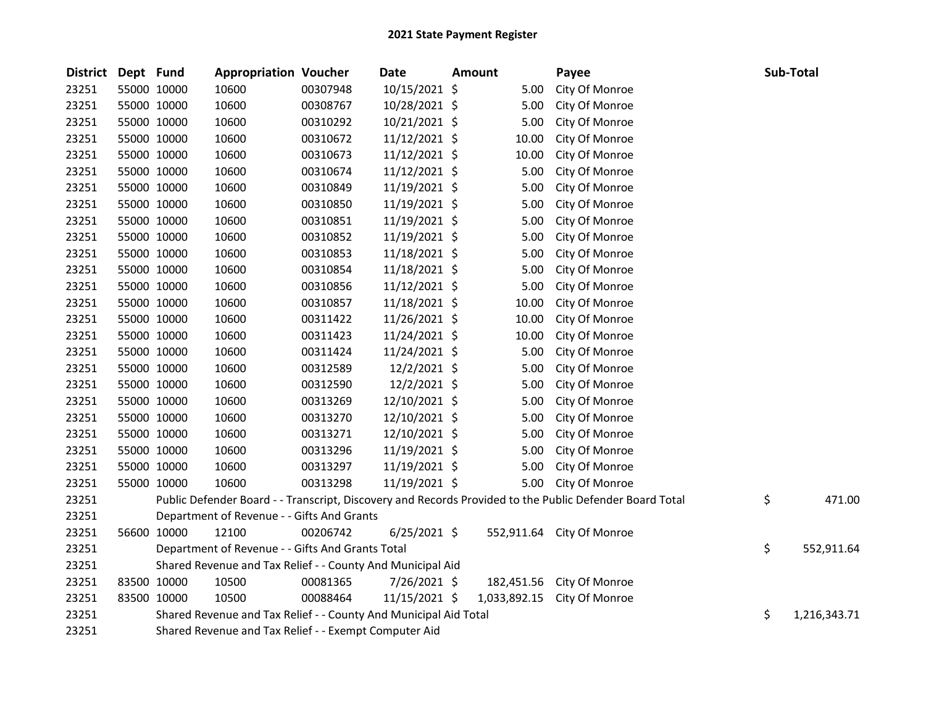| <b>District</b> | Dept Fund   |                                                            | <b>Appropriation Voucher</b>                                     |          | Date           | <b>Amount</b> |              | Payee                                                                                                   |    | Sub-Total    |
|-----------------|-------------|------------------------------------------------------------|------------------------------------------------------------------|----------|----------------|---------------|--------------|---------------------------------------------------------------------------------------------------------|----|--------------|
| 23251           | 55000 10000 |                                                            | 10600                                                            | 00307948 | 10/15/2021 \$  |               | 5.00         | City Of Monroe                                                                                          |    |              |
| 23251           | 55000 10000 |                                                            | 10600                                                            | 00308767 | 10/28/2021 \$  |               | 5.00         | City Of Monroe                                                                                          |    |              |
| 23251           | 55000 10000 |                                                            | 10600                                                            | 00310292 | 10/21/2021 \$  |               | 5.00         | City Of Monroe                                                                                          |    |              |
| 23251           | 55000 10000 |                                                            | 10600                                                            | 00310672 | 11/12/2021 \$  |               | 10.00        | City Of Monroe                                                                                          |    |              |
| 23251           | 55000 10000 |                                                            | 10600                                                            | 00310673 | 11/12/2021 \$  |               | 10.00        | City Of Monroe                                                                                          |    |              |
| 23251           | 55000 10000 |                                                            | 10600                                                            | 00310674 | 11/12/2021 \$  |               | 5.00         | City Of Monroe                                                                                          |    |              |
| 23251           | 55000 10000 |                                                            | 10600                                                            | 00310849 | 11/19/2021 \$  |               | 5.00         | City Of Monroe                                                                                          |    |              |
| 23251           | 55000 10000 |                                                            | 10600                                                            | 00310850 | 11/19/2021 \$  |               | 5.00         | City Of Monroe                                                                                          |    |              |
| 23251           | 55000 10000 |                                                            | 10600                                                            | 00310851 | 11/19/2021 \$  |               | 5.00         | City Of Monroe                                                                                          |    |              |
| 23251           | 55000 10000 |                                                            | 10600                                                            | 00310852 | 11/19/2021 \$  |               | 5.00         | City Of Monroe                                                                                          |    |              |
| 23251           | 55000 10000 |                                                            | 10600                                                            | 00310853 | 11/18/2021 \$  |               | 5.00         | City Of Monroe                                                                                          |    |              |
| 23251           | 55000 10000 |                                                            | 10600                                                            | 00310854 | 11/18/2021 \$  |               | 5.00         | City Of Monroe                                                                                          |    |              |
| 23251           | 55000 10000 |                                                            | 10600                                                            | 00310856 | 11/12/2021 \$  |               | 5.00         | City Of Monroe                                                                                          |    |              |
| 23251           | 55000 10000 |                                                            | 10600                                                            | 00310857 | 11/18/2021 \$  |               | 10.00        | City Of Monroe                                                                                          |    |              |
| 23251           | 55000 10000 |                                                            | 10600                                                            | 00311422 | 11/26/2021 \$  |               | 10.00        | City Of Monroe                                                                                          |    |              |
| 23251           | 55000 10000 |                                                            | 10600                                                            | 00311423 | 11/24/2021 \$  |               | 10.00        | City Of Monroe                                                                                          |    |              |
| 23251           | 55000 10000 |                                                            | 10600                                                            | 00311424 | 11/24/2021 \$  |               | 5.00         | City Of Monroe                                                                                          |    |              |
| 23251           | 55000 10000 |                                                            | 10600                                                            | 00312589 | 12/2/2021 \$   |               | 5.00         | City Of Monroe                                                                                          |    |              |
| 23251           | 55000 10000 |                                                            | 10600                                                            | 00312590 | 12/2/2021 \$   |               | 5.00         | City Of Monroe                                                                                          |    |              |
| 23251           | 55000 10000 |                                                            | 10600                                                            | 00313269 | 12/10/2021 \$  |               | 5.00         | City Of Monroe                                                                                          |    |              |
| 23251           | 55000 10000 |                                                            | 10600                                                            | 00313270 | 12/10/2021 \$  |               | 5.00         | City Of Monroe                                                                                          |    |              |
| 23251           | 55000 10000 |                                                            | 10600                                                            | 00313271 | 12/10/2021 \$  |               | 5.00         | City Of Monroe                                                                                          |    |              |
| 23251           | 55000 10000 |                                                            | 10600                                                            | 00313296 | 11/19/2021 \$  |               | 5.00         | City Of Monroe                                                                                          |    |              |
| 23251           | 55000 10000 |                                                            | 10600                                                            | 00313297 | 11/19/2021 \$  |               | 5.00         | City Of Monroe                                                                                          |    |              |
| 23251           | 55000 10000 |                                                            | 10600                                                            | 00313298 | 11/19/2021 \$  |               | 5.00         | City Of Monroe                                                                                          |    |              |
| 23251           |             |                                                            |                                                                  |          |                |               |              | Public Defender Board - - Transcript, Discovery and Records Provided to the Public Defender Board Total | \$ | 471.00       |
| 23251           |             |                                                            | Department of Revenue - - Gifts And Grants                       |          |                |               |              |                                                                                                         |    |              |
| 23251           | 56600 10000 |                                                            | 12100                                                            | 00206742 | $6/25/2021$ \$ |               |              | 552,911.64 City Of Monroe                                                                               |    |              |
| 23251           |             |                                                            | Department of Revenue - - Gifts And Grants Total                 |          |                |               |              |                                                                                                         | \$ | 552,911.64   |
| 23251           |             | Shared Revenue and Tax Relief - - County And Municipal Aid |                                                                  |          |                |               |              |                                                                                                         |    |              |
| 23251           | 83500 10000 |                                                            | 10500                                                            | 00081365 | 7/26/2021 \$   |               | 182,451.56   | City Of Monroe                                                                                          |    |              |
| 23251           | 83500 10000 |                                                            | 10500                                                            | 00088464 | 11/15/2021 \$  |               | 1,033,892.15 | City Of Monroe                                                                                          |    |              |
| 23251           |             |                                                            | Shared Revenue and Tax Relief - - County And Municipal Aid Total |          |                |               |              |                                                                                                         | \$ | 1,216,343.71 |
| 23251           |             |                                                            | Shared Revenue and Tax Relief - - Exempt Computer Aid            |          |                |               |              |                                                                                                         |    |              |